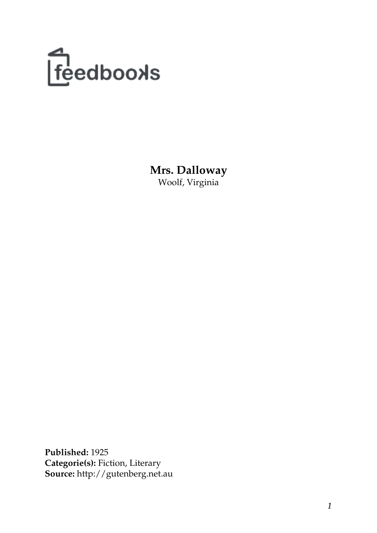

**Mrs. Dalloway** Woolf, Virginia

**Published:** 1925 **Categorie(s):** Fiction, Literary **Source:** http://gutenberg.net.au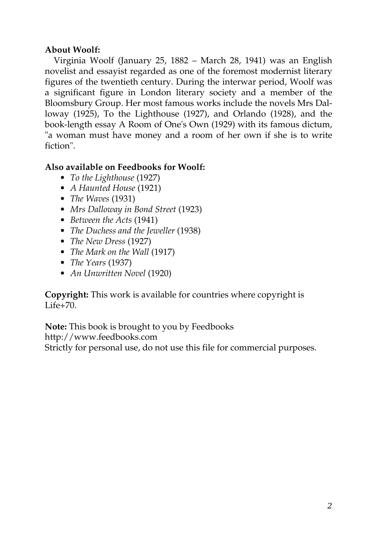## **About Woolf:**

Virginia Woolf (January 25, 1882 – March 28, 1941) was an English novelist and essayist regarded as one of the foremost modernist literary figures of the twentieth century. During the interwar period, Woolf was a significant figure in London literary society and a member of the Bloomsbury Group. Her most famous works include the novels Mrs Dalloway (1925), To the Lighthouse (1927), and Orlando (1928), and the book-length essay A Room of One's Own (1929) with its famous dictum, "a woman must have money and a room of her own if she is to write fiction".

## **Also available on Feedbooks for Woolf:**

- *[To the Lighthouse](http://generation.feedbooks.com/book/1234.pdf)* (1927)
- *[A Haunted House](http://generation.feedbooks.com/book/1388.pdf)* (1921)
- *[The Waves](http://generation.feedbooks.com/book/1230.pdf)* (1931)
- *[Mrs Dalloway in Bond Street](http://generation.feedbooks.com/book/1393.pdf)* (1923)
- *[Between the Acts](http://generation.feedbooks.com/book/1235.pdf)* (1941)
- *[The Duchess and the Jeweller](http://generation.feedbooks.com/book/1399.pdf)* (1938)
- *[The New Dress](http://generation.feedbooks.com/book/1395.pdf)* (1927)
- *[The Mark on the Wall](http://generation.feedbooks.com/book/1384.pdf)* (1917)
- *[The Years](http://generation.feedbooks.com/book/1233.pdf)* (1937)
- *[An Unwritten Novel](http://generation.feedbooks.com/book/1387.pdf)* (1920)

## **Copyright:** This work is available for countries where copyright is [Life+70](http://en.wikisource.org/wiki/Help:Public_domain#Copyright_terms_by_country).

**Note:** This book is brought to you by Feedbooks

<http://www.feedbooks.com>

Strictly for personal use, do not use this file for commercial purposes.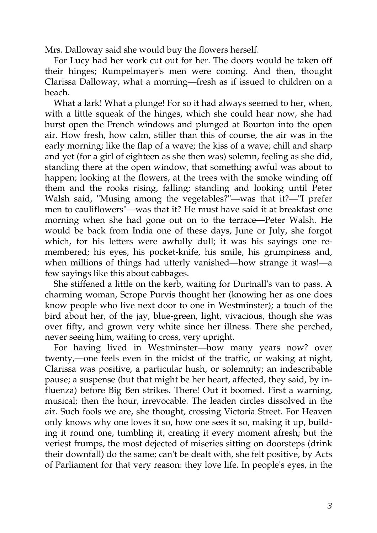Mrs. Dalloway said she would buy the flowers herself.

For Lucy had her work cut out for her. The doors would be taken off their hinges; Rumpelmayer's men were coming. And then, thought Clarissa Dalloway, what a morning—fresh as if issued to children on a beach.

What a lark! What a plunge! For so it had always seemed to her, when, with a little squeak of the hinges, which she could hear now, she had burst open the French windows and plunged at Bourton into the open air. How fresh, how calm, stiller than this of course, the air was in the early morning; like the flap of a wave; the kiss of a wave; chill and sharp and yet (for a girl of eighteen as she then was) solemn, feeling as she did, standing there at the open window, that something awful was about to happen; looking at the flowers, at the trees with the smoke winding off them and the rooks rising, falling; standing and looking until Peter Walsh said, "Musing among the vegetables?"—was that it?—"I prefer men to cauliflowers"—was that it? He must have said it at breakfast one morning when she had gone out on to the terrace—Peter Walsh. He would be back from India one of these days, June or July, she forgot which, for his letters were awfully dull; it was his sayings one remembered; his eyes, his pocket-knife, his smile, his grumpiness and, when millions of things had utterly vanished—how strange it was!—a few sayings like this about cabbages.

She stiffened a little on the kerb, waiting for Durtnall's van to pass. A charming woman, Scrope Purvis thought her (knowing her as one does know people who live next door to one in Westminster); a touch of the bird about her, of the jay, blue-green, light, vivacious, though she was over fifty, and grown very white since her illness. There she perched, never seeing him, waiting to cross, very upright.

For having lived in Westminster—how many years now? over twenty,—one feels even in the midst of the traffic, or waking at night, Clarissa was positive, a particular hush, or solemnity; an indescribable pause; a suspense (but that might be her heart, affected, they said, by influenza) before Big Ben strikes. There! Out it boomed. First a warning, musical; then the hour, irrevocable. The leaden circles dissolved in the air. Such fools we are, she thought, crossing Victoria Street. For Heaven only knows why one loves it so, how one sees it so, making it up, building it round one, tumbling it, creating it every moment afresh; but the veriest frumps, the most dejected of miseries sitting on doorsteps (drink their downfall) do the same; can't be dealt with, she felt positive, by Acts of Parliament for that very reason: they love life. In people's eyes, in the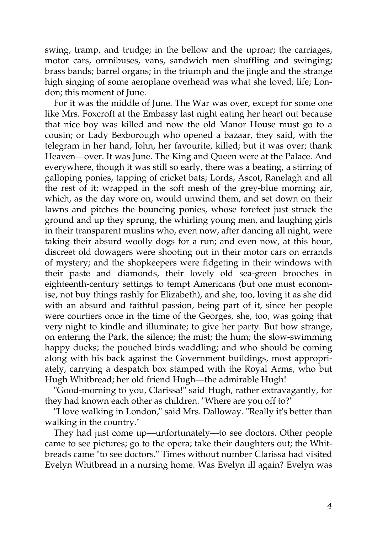swing, tramp, and trudge; in the bellow and the uproar; the carriages, motor cars, omnibuses, vans, sandwich men shuffling and swinging; brass bands; barrel organs; in the triumph and the jingle and the strange high singing of some aeroplane overhead was what she loved; life; London; this moment of June.

For it was the middle of June. The War was over, except for some one like Mrs. Foxcroft at the Embassy last night eating her heart out because that nice boy was killed and now the old Manor House must go to a cousin; or Lady Bexborough who opened a bazaar, they said, with the telegram in her hand, John, her favourite, killed; but it was over; thank Heaven—over. It was June. The King and Queen were at the Palace. And everywhere, though it was still so early, there was a beating, a stirring of galloping ponies, tapping of cricket bats; Lords, Ascot, Ranelagh and all the rest of it; wrapped in the soft mesh of the grey-blue morning air, which, as the day wore on, would unwind them, and set down on their lawns and pitches the bouncing ponies, whose forefeet just struck the ground and up they sprung, the whirling young men, and laughing girls in their transparent muslins who, even now, after dancing all night, were taking their absurd woolly dogs for a run; and even now, at this hour, discreet old dowagers were shooting out in their motor cars on errands of mystery; and the shopkeepers were fidgeting in their windows with their paste and diamonds, their lovely old sea-green brooches in eighteenth-century settings to tempt Americans (but one must economise, not buy things rashly for Elizabeth), and she, too, loving it as she did with an absurd and faithful passion, being part of it, since her people were courtiers once in the time of the Georges, she, too, was going that very night to kindle and illuminate; to give her party. But how strange, on entering the Park, the silence; the mist; the hum; the slow-swimming happy ducks; the pouched birds waddling; and who should be coming along with his back against the Government buildings, most appropriately, carrying a despatch box stamped with the Royal Arms, who but Hugh Whitbread; her old friend Hugh—the admirable Hugh!

"Good-morning to you, Clarissa!" said Hugh, rather extravagantly, for they had known each other as children. "Where are you off to?"

"I love walking in London," said Mrs. Dalloway. "Really it's better than walking in the country."

They had just come up—unfortunately—to see doctors. Other people came to see pictures; go to the opera; take their daughters out; the Whitbreads came "to see doctors." Times without number Clarissa had visited Evelyn Whitbread in a nursing home. Was Evelyn ill again? Evelyn was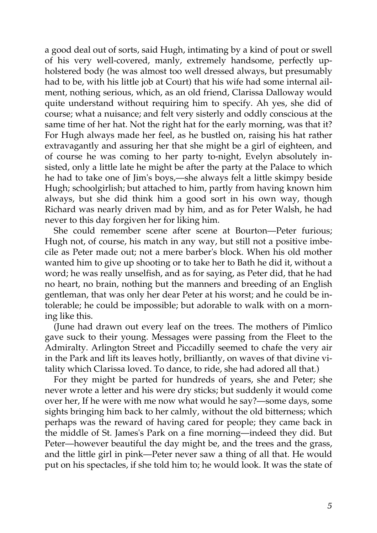a good deal out of sorts, said Hugh, intimating by a kind of pout or swell of his very well-covered, manly, extremely handsome, perfectly upholstered body (he was almost too well dressed always, but presumably had to be, with his little job at Court) that his wife had some internal ailment, nothing serious, which, as an old friend, Clarissa Dalloway would quite understand without requiring him to specify. Ah yes, she did of course; what a nuisance; and felt very sisterly and oddly conscious at the same time of her hat. Not the right hat for the early morning, was that it? For Hugh always made her feel, as he bustled on, raising his hat rather extravagantly and assuring her that she might be a girl of eighteen, and of course he was coming to her party to-night, Evelyn absolutely insisted, only a little late he might be after the party at the Palace to which he had to take one of Jim's boys,—she always felt a little skimpy beside Hugh; schoolgirlish; but attached to him, partly from having known him always, but she did think him a good sort in his own way, though Richard was nearly driven mad by him, and as for Peter Walsh, he had never to this day forgiven her for liking him.

She could remember scene after scene at Bourton—Peter furious; Hugh not, of course, his match in any way, but still not a positive imbecile as Peter made out; not a mere barber's block. When his old mother wanted him to give up shooting or to take her to Bath he did it, without a word; he was really unselfish, and as for saying, as Peter did, that he had no heart, no brain, nothing but the manners and breeding of an English gentleman, that was only her dear Peter at his worst; and he could be intolerable; he could be impossible; but adorable to walk with on a morning like this.

(June had drawn out every leaf on the trees. The mothers of Pimlico gave suck to their young. Messages were passing from the Fleet to the Admiralty. Arlington Street and Piccadilly seemed to chafe the very air in the Park and lift its leaves hotly, brilliantly, on waves of that divine vitality which Clarissa loved. To dance, to ride, she had adored all that.)

For they might be parted for hundreds of years, she and Peter; she never wrote a letter and his were dry sticks; but suddenly it would come over her, If he were with me now what would he say?—some days, some sights bringing him back to her calmly, without the old bitterness; which perhaps was the reward of having cared for people; they came back in the middle of St. James's Park on a fine morning—indeed they did. But Peter—however beautiful the day might be, and the trees and the grass, and the little girl in pink—Peter never saw a thing of all that. He would put on his spectacles, if she told him to; he would look. It was the state of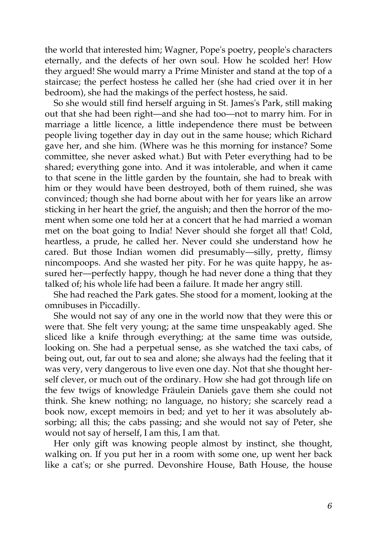the world that interested him; Wagner, Pope's poetry, people's characters eternally, and the defects of her own soul. How he scolded her! How they argued! She would marry a Prime Minister and stand at the top of a staircase; the perfect hostess he called her (she had cried over it in her bedroom), she had the makings of the perfect hostess, he said.

So she would still find herself arguing in St. James's Park, still making out that she had been right—and she had too—not to marry him. For in marriage a little licence, a little independence there must be between people living together day in day out in the same house; which Richard gave her, and she him. (Where was he this morning for instance? Some committee, she never asked what.) But with Peter everything had to be shared; everything gone into. And it was intolerable, and when it came to that scene in the little garden by the fountain, she had to break with him or they would have been destroyed, both of them ruined, she was convinced; though she had borne about with her for years like an arrow sticking in her heart the grief, the anguish; and then the horror of the moment when some one told her at a concert that he had married a woman met on the boat going to India! Never should she forget all that! Cold, heartless, a prude, he called her. Never could she understand how he cared. But those Indian women did presumably—silly, pretty, flimsy nincompoops. And she wasted her pity. For he was quite happy, he assured her—perfectly happy, though he had never done a thing that they talked of; his whole life had been a failure. It made her angry still.

She had reached the Park gates. She stood for a moment, looking at the omnibuses in Piccadilly.

She would not say of any one in the world now that they were this or were that. She felt very young; at the same time unspeakably aged. She sliced like a knife through everything; at the same time was outside, looking on. She had a perpetual sense, as she watched the taxi cabs, of being out, out, far out to sea and alone; she always had the feeling that it was very, very dangerous to live even one day. Not that she thought herself clever, or much out of the ordinary. How she had got through life on the few twigs of knowledge Fräulein Daniels gave them she could not think. She knew nothing; no language, no history; she scarcely read a book now, except memoirs in bed; and yet to her it was absolutely absorbing; all this; the cabs passing; and she would not say of Peter, she would not say of herself, I am this, I am that.

Her only gift was knowing people almost by instinct, she thought, walking on. If you put her in a room with some one, up went her back like a cat's; or she purred. Devonshire House, Bath House, the house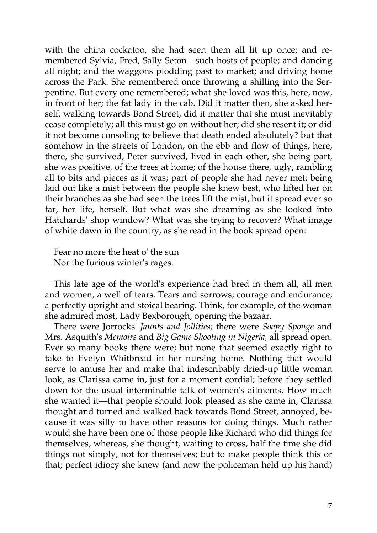with the china cockatoo, she had seen them all lit up once; and remembered Sylvia, Fred, Sally Seton—such hosts of people; and dancing all night; and the waggons plodding past to market; and driving home across the Park. She remembered once throwing a shilling into the Serpentine. But every one remembered; what she loved was this, here, now, in front of her; the fat lady in the cab. Did it matter then, she asked herself, walking towards Bond Street, did it matter that she must inevitably cease completely; all this must go on without her; did she resent it; or did it not become consoling to believe that death ended absolutely? but that somehow in the streets of London, on the ebb and flow of things, here, there, she survived, Peter survived, lived in each other, she being part, she was positive, of the trees at home; of the house there, ugly, rambling all to bits and pieces as it was; part of people she had never met; being laid out like a mist between the people she knew best, who lifted her on their branches as she had seen the trees lift the mist, but it spread ever so far, her life, herself. But what was she dreaming as she looked into Hatchards' shop window? What was she trying to recover? What image of white dawn in the country, as she read in the book spread open:

Fear no more the heat o' the sun Nor the furious winter's rages.

This late age of the world's experience had bred in them all, all men and women, a well of tears. Tears and sorrows; courage and endurance; a perfectly upright and stoical bearing. Think, for example, of the woman she admired most, Lady Bexborough, opening the bazaar.

There were Jorrocks' *Jaunts and Jollities;* there were *Soapy Sponge* and Mrs. Asquith's *Memoirs* and *Big Game Shooting in Nigeria,* all spread open. Ever so many books there were; but none that seemed exactly right to take to Evelyn Whitbread in her nursing home. Nothing that would serve to amuse her and make that indescribably dried-up little woman look, as Clarissa came in, just for a moment cordial; before they settled down for the usual interminable talk of women's ailments. How much she wanted it—that people should look pleased as she came in, Clarissa thought and turned and walked back towards Bond Street, annoyed, because it was silly to have other reasons for doing things. Much rather would she have been one of those people like Richard who did things for themselves, whereas, she thought, waiting to cross, half the time she did things not simply, not for themselves; but to make people think this or that; perfect idiocy she knew (and now the policeman held up his hand)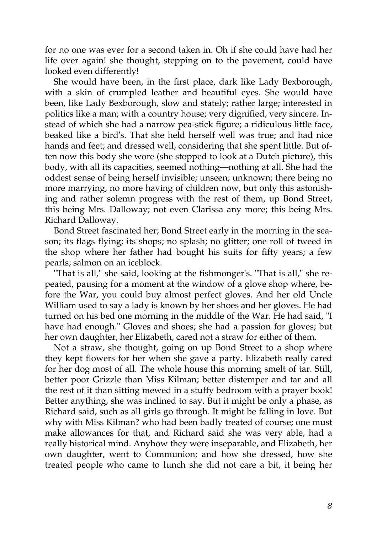for no one was ever for a second taken in. Oh if she could have had her life over again! she thought, stepping on to the pavement, could have looked even differently!

She would have been, in the first place, dark like Lady Bexborough, with a skin of crumpled leather and beautiful eyes. She would have been, like Lady Bexborough, slow and stately; rather large; interested in politics like a man; with a country house; very dignified, very sincere. Instead of which she had a narrow pea-stick figure; a ridiculous little face, beaked like a bird's. That she held herself well was true; and had nice hands and feet; and dressed well, considering that she spent little. But often now this body she wore (she stopped to look at a Dutch picture), this body, with all its capacities, seemed nothing—nothing at all. She had the oddest sense of being herself invisible; unseen; unknown; there being no more marrying, no more having of children now, but only this astonishing and rather solemn progress with the rest of them, up Bond Street, this being Mrs. Dalloway; not even Clarissa any more; this being Mrs. Richard Dalloway.

Bond Street fascinated her; Bond Street early in the morning in the season; its flags flying; its shops; no splash; no glitter; one roll of tweed in the shop where her father had bought his suits for fifty years; a few pearls; salmon on an iceblock.

"That is all," she said, looking at the fishmonger's. "That is all," she repeated, pausing for a moment at the window of a glove shop where, before the War, you could buy almost perfect gloves. And her old Uncle William used to say a lady is known by her shoes and her gloves. He had turned on his bed one morning in the middle of the War. He had said, "I have had enough." Gloves and shoes; she had a passion for gloves; but her own daughter, her Elizabeth, cared not a straw for either of them.

Not a straw, she thought, going on up Bond Street to a shop where they kept flowers for her when she gave a party. Elizabeth really cared for her dog most of all. The whole house this morning smelt of tar. Still, better poor Grizzle than Miss Kilman; better distemper and tar and all the rest of it than sitting mewed in a stuffy bedroom with a prayer book! Better anything, she was inclined to say. But it might be only a phase, as Richard said, such as all girls go through. It might be falling in love. But why with Miss Kilman? who had been badly treated of course; one must make allowances for that, and Richard said she was very able, had a really historical mind. Anyhow they were inseparable, and Elizabeth, her own daughter, went to Communion; and how she dressed, how she treated people who came to lunch she did not care a bit, it being her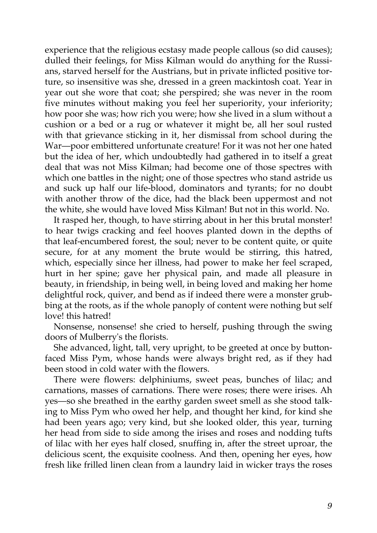experience that the religious ecstasy made people callous (so did causes); dulled their feelings, for Miss Kilman would do anything for the Russians, starved herself for the Austrians, but in private inflicted positive torture, so insensitive was she, dressed in a green mackintosh coat. Year in year out she wore that coat; she perspired; she was never in the room five minutes without making you feel her superiority, your inferiority; how poor she was; how rich you were; how she lived in a slum without a cushion or a bed or a rug or whatever it might be, all her soul rusted with that grievance sticking in it, her dismissal from school during the War—poor embittered unfortunate creature! For it was not her one hated but the idea of her, which undoubtedly had gathered in to itself a great deal that was not Miss Kilman; had become one of those spectres with which one battles in the night; one of those spectres who stand astride us and suck up half our life-blood, dominators and tyrants; for no doubt with another throw of the dice, had the black been uppermost and not the white, she would have loved Miss Kilman! But not in this world. No.

It rasped her, though, to have stirring about in her this brutal monster! to hear twigs cracking and feel hooves planted down in the depths of that leaf-encumbered forest, the soul; never to be content quite, or quite secure, for at any moment the brute would be stirring, this hatred, which, especially since her illness, had power to make her feel scraped, hurt in her spine; gave her physical pain, and made all pleasure in beauty, in friendship, in being well, in being loved and making her home delightful rock, quiver, and bend as if indeed there were a monster grubbing at the roots, as if the whole panoply of content were nothing but self love! this hatred!

Nonsense, nonsense! she cried to herself, pushing through the swing doors of Mulberry's the florists.

She advanced, light, tall, very upright, to be greeted at once by buttonfaced Miss Pym, whose hands were always bright red, as if they had been stood in cold water with the flowers.

There were flowers: delphiniums, sweet peas, bunches of lilac; and carnations, masses of carnations. There were roses; there were irises. Ah yes—so she breathed in the earthy garden sweet smell as she stood talking to Miss Pym who owed her help, and thought her kind, for kind she had been years ago; very kind, but she looked older, this year, turning her head from side to side among the irises and roses and nodding tufts of lilac with her eyes half closed, snuffing in, after the street uproar, the delicious scent, the exquisite coolness. And then, opening her eyes, how fresh like frilled linen clean from a laundry laid in wicker trays the roses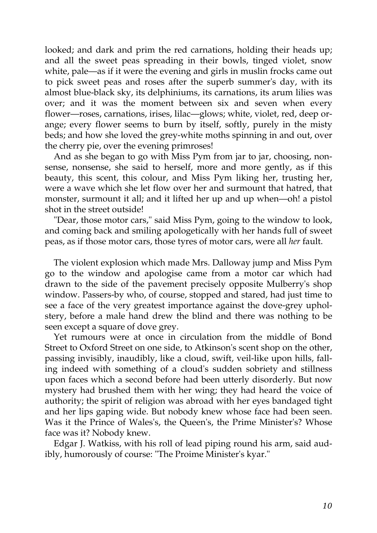looked; and dark and prim the red carnations, holding their heads up; and all the sweet peas spreading in their bowls, tinged violet, snow white, pale—as if it were the evening and girls in muslin frocks came out to pick sweet peas and roses after the superb summer's day, with its almost blue-black sky, its delphiniums, its carnations, its arum lilies was over; and it was the moment between six and seven when every flower—roses, carnations, irises, lilac—glows; white, violet, red, deep orange; every flower seems to burn by itself, softly, purely in the misty beds; and how she loved the grey-white moths spinning in and out, over the cherry pie, over the evening primroses!

And as she began to go with Miss Pym from jar to jar, choosing, nonsense, nonsense, she said to herself, more and more gently, as if this beauty, this scent, this colour, and Miss Pym liking her, trusting her, were a wave which she let flow over her and surmount that hatred, that monster, surmount it all; and it lifted her up and up when—oh! a pistol shot in the street outside!

"Dear, those motor cars," said Miss Pym, going to the window to look, and coming back and smiling apologetically with her hands full of sweet peas, as if those motor cars, those tyres of motor cars, were all *her* fault.

The violent explosion which made Mrs. Dalloway jump and Miss Pym go to the window and apologise came from a motor car which had drawn to the side of the pavement precisely opposite Mulberry's shop window. Passers-by who, of course, stopped and stared, had just time to see a face of the very greatest importance against the dove-grey upholstery, before a male hand drew the blind and there was nothing to be seen except a square of dove grey.

Yet rumours were at once in circulation from the middle of Bond Street to Oxford Street on one side, to Atkinson's scent shop on the other, passing invisibly, inaudibly, like a cloud, swift, veil-like upon hills, falling indeed with something of a cloud's sudden sobriety and stillness upon faces which a second before had been utterly disorderly. But now mystery had brushed them with her wing; they had heard the voice of authority; the spirit of religion was abroad with her eyes bandaged tight and her lips gaping wide. But nobody knew whose face had been seen. Was it the Prince of Wales's, the Queen's, the Prime Minister's? Whose face was it? Nobody knew.

Edgar J. Watkiss, with his roll of lead piping round his arm, said audibly, humorously of course: "The Proime Minister's kyar."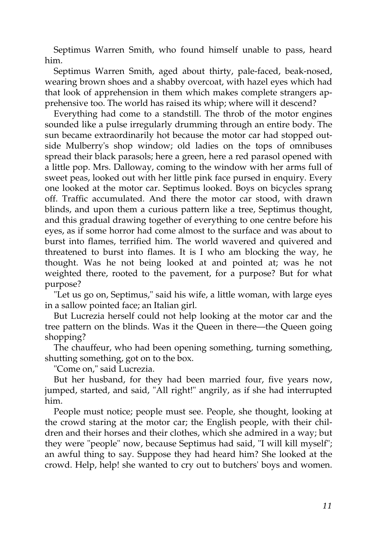Septimus Warren Smith, who found himself unable to pass, heard him.

Septimus Warren Smith, aged about thirty, pale-faced, beak-nosed, wearing brown shoes and a shabby overcoat, with hazel eyes which had that look of apprehension in them which makes complete strangers apprehensive too. The world has raised its whip; where will it descend?

Everything had come to a standstill. The throb of the motor engines sounded like a pulse irregularly drumming through an entire body. The sun became extraordinarily hot because the motor car had stopped outside Mulberry's shop window; old ladies on the tops of omnibuses spread their black parasols; here a green, here a red parasol opened with a little pop. Mrs. Dalloway, coming to the window with her arms full of sweet peas, looked out with her little pink face pursed in enquiry. Every one looked at the motor car. Septimus looked. Boys on bicycles sprang off. Traffic accumulated. And there the motor car stood, with drawn blinds, and upon them a curious pattern like a tree, Septimus thought, and this gradual drawing together of everything to one centre before his eyes, as if some horror had come almost to the surface and was about to burst into flames, terrified him. The world wavered and quivered and threatened to burst into flames. It is I who am blocking the way, he thought. Was he not being looked at and pointed at; was he not weighted there, rooted to the pavement, for a purpose? But for what purpose?

"Let us go on, Septimus," said his wife, a little woman, with large eyes in a sallow pointed face; an Italian girl.

But Lucrezia herself could not help looking at the motor car and the tree pattern on the blinds. Was it the Queen in there—the Queen going shopping?

The chauffeur, who had been opening something, turning something, shutting something, got on to the box.

"Come on," said Lucrezia.

But her husband, for they had been married four, five years now, jumped, started, and said, "All right!" angrily, as if she had interrupted him.

People must notice; people must see. People, she thought, looking at the crowd staring at the motor car; the English people, with their children and their horses and their clothes, which she admired in a way; but they were "people" now, because Septimus had said, "I will kill myself"; an awful thing to say. Suppose they had heard him? She looked at the crowd. Help, help! she wanted to cry out to butchers' boys and women.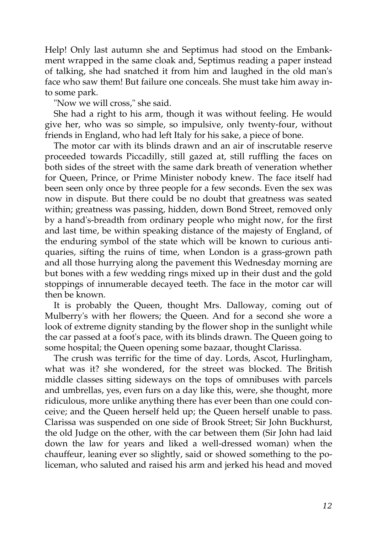Help! Only last autumn she and Septimus had stood on the Embankment wrapped in the same cloak and, Septimus reading a paper instead of talking, she had snatched it from him and laughed in the old man's face who saw them! But failure one conceals. She must take him away into some park.

"Now we will cross," she said.

She had a right to his arm, though it was without feeling. He would give her, who was so simple, so impulsive, only twenty-four, without friends in England, who had left Italy for his sake, a piece of bone.

The motor car with its blinds drawn and an air of inscrutable reserve proceeded towards Piccadilly, still gazed at, still ruffling the faces on both sides of the street with the same dark breath of veneration whether for Queen, Prince, or Prime Minister nobody knew. The face itself had been seen only once by three people for a few seconds. Even the sex was now in dispute. But there could be no doubt that greatness was seated within; greatness was passing, hidden, down Bond Street, removed only by a hand's-breadth from ordinary people who might now, for the first and last time, be within speaking distance of the majesty of England, of the enduring symbol of the state which will be known to curious antiquaries, sifting the ruins of time, when London is a grass-grown path and all those hurrying along the pavement this Wednesday morning are but bones with a few wedding rings mixed up in their dust and the gold stoppings of innumerable decayed teeth. The face in the motor car will then be known.

It is probably the Queen, thought Mrs. Dalloway, coming out of Mulberry's with her flowers; the Queen. And for a second she wore a look of extreme dignity standing by the flower shop in the sunlight while the car passed at a foot's pace, with its blinds drawn. The Queen going to some hospital; the Queen opening some bazaar, thought Clarissa.

The crush was terrific for the time of day. Lords, Ascot, Hurlingham, what was it? she wondered, for the street was blocked. The British middle classes sitting sideways on the tops of omnibuses with parcels and umbrellas, yes, even furs on a day like this, were, she thought, more ridiculous, more unlike anything there has ever been than one could conceive; and the Queen herself held up; the Queen herself unable to pass. Clarissa was suspended on one side of Brook Street; Sir John Buckhurst, the old Judge on the other, with the car between them (Sir John had laid down the law for years and liked a well-dressed woman) when the chauffeur, leaning ever so slightly, said or showed something to the policeman, who saluted and raised his arm and jerked his head and moved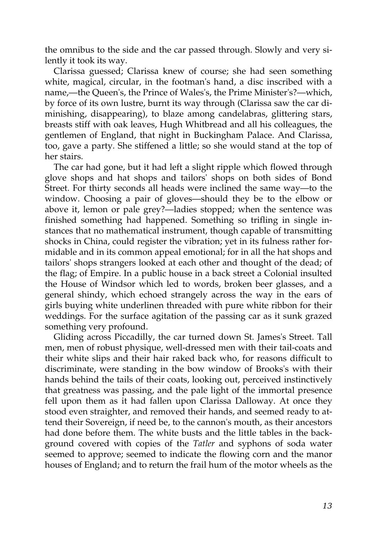the omnibus to the side and the car passed through. Slowly and very silently it took its way.

Clarissa guessed; Clarissa knew of course; she had seen something white, magical, circular, in the footman's hand, a disc inscribed with a name,—the Queen's, the Prince of Wales's, the Prime Minister's?—which, by force of its own lustre, burnt its way through (Clarissa saw the car diminishing, disappearing), to blaze among candelabras, glittering stars, breasts stiff with oak leaves, Hugh Whitbread and all his colleagues, the gentlemen of England, that night in Buckingham Palace. And Clarissa, too, gave a party. She stiffened a little; so she would stand at the top of her stairs.

The car had gone, but it had left a slight ripple which flowed through glove shops and hat shops and tailors' shops on both sides of Bond Street. For thirty seconds all heads were inclined the same way—to the window. Choosing a pair of gloves—should they be to the elbow or above it, lemon or pale grey?—ladies stopped; when the sentence was finished something had happened. Something so trifling in single instances that no mathematical instrument, though capable of transmitting shocks in China, could register the vibration; yet in its fulness rather formidable and in its common appeal emotional; for in all the hat shops and tailors' shops strangers looked at each other and thought of the dead; of the flag; of Empire. In a public house in a back street a Colonial insulted the House of Windsor which led to words, broken beer glasses, and a general shindy, which echoed strangely across the way in the ears of girls buying white underlinen threaded with pure white ribbon for their weddings. For the surface agitation of the passing car as it sunk grazed something very profound.

Gliding across Piccadilly, the car turned down St. James's Street. Tall men, men of robust physique, well-dressed men with their tail-coats and their white slips and their hair raked back who, for reasons difficult to discriminate, were standing in the bow window of Brooks's with their hands behind the tails of their coats, looking out, perceived instinctively that greatness was passing, and the pale light of the immortal presence fell upon them as it had fallen upon Clarissa Dalloway. At once they stood even straighter, and removed their hands, and seemed ready to attend their Sovereign, if need be, to the cannon's mouth, as their ancestors had done before them. The white busts and the little tables in the background covered with copies of the *Tatler* and syphons of soda water seemed to approve; seemed to indicate the flowing corn and the manor houses of England; and to return the frail hum of the motor wheels as the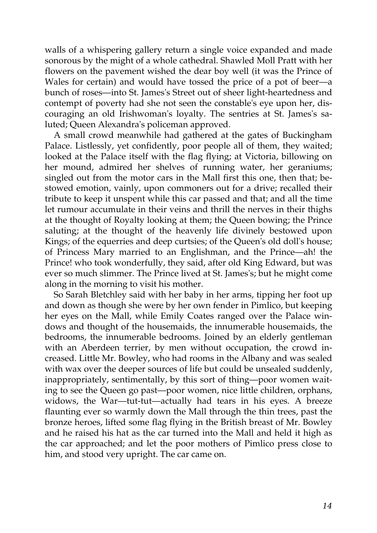walls of a whispering gallery return a single voice expanded and made sonorous by the might of a whole cathedral. Shawled Moll Pratt with her flowers on the pavement wished the dear boy well (it was the Prince of Wales for certain) and would have tossed the price of a pot of beer—a bunch of roses—into St. James's Street out of sheer light-heartedness and contempt of poverty had she not seen the constable's eye upon her, discouraging an old Irishwoman's loyalty. The sentries at St. James's saluted; Queen Alexandra's policeman approved.

A small crowd meanwhile had gathered at the gates of Buckingham Palace. Listlessly, yet confidently, poor people all of them, they waited; looked at the Palace itself with the flag flying; at Victoria, billowing on her mound, admired her shelves of running water, her geraniums; singled out from the motor cars in the Mall first this one, then that; bestowed emotion, vainly, upon commoners out for a drive; recalled their tribute to keep it unspent while this car passed and that; and all the time let rumour accumulate in their veins and thrill the nerves in their thighs at the thought of Royalty looking at them; the Queen bowing; the Prince saluting; at the thought of the heavenly life divinely bestowed upon Kings; of the equerries and deep curtsies; of the Queen's old doll's house; of Princess Mary married to an Englishman, and the Prince—ah! the Prince! who took wonderfully, they said, after old King Edward, but was ever so much slimmer. The Prince lived at St. James's; but he might come along in the morning to visit his mother.

So Sarah Bletchley said with her baby in her arms, tipping her foot up and down as though she were by her own fender in Pimlico, but keeping her eyes on the Mall, while Emily Coates ranged over the Palace windows and thought of the housemaids, the innumerable housemaids, the bedrooms, the innumerable bedrooms. Joined by an elderly gentleman with an Aberdeen terrier, by men without occupation, the crowd increased. Little Mr. Bowley, who had rooms in the Albany and was sealed with wax over the deeper sources of life but could be unsealed suddenly, inappropriately, sentimentally, by this sort of thing—poor women waiting to see the Queen go past—poor women, nice little children, orphans, widows, the War—tut-tut—actually had tears in his eyes. A breeze flaunting ever so warmly down the Mall through the thin trees, past the bronze heroes, lifted some flag flying in the British breast of Mr. Bowley and he raised his hat as the car turned into the Mall and held it high as the car approached; and let the poor mothers of Pimlico press close to him, and stood very upright. The car came on.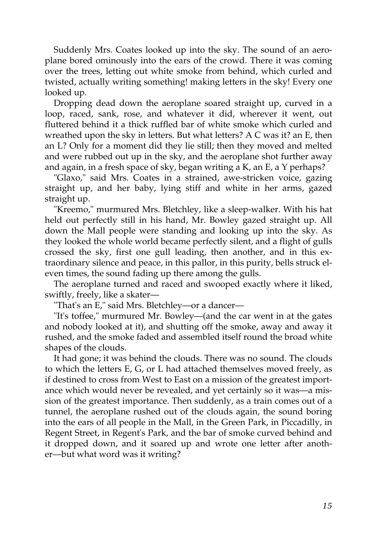Suddenly Mrs. Coates looked up into the sky. The sound of an aeroplane bored ominously into the ears of the crowd. There it was coming over the trees, letting out white smoke from behind, which curled and twisted, actually writing something! making letters in the sky! Every one looked up.

Dropping dead down the aeroplane soared straight up, curved in a loop, raced, sank, rose, and whatever it did, wherever it went, out fluttered behind it a thick ruffled bar of white smoke which curled and wreathed upon the sky in letters. But what letters? A C was it? an E, then an L? Only for a moment did they lie still; then they moved and melted and were rubbed out up in the sky, and the aeroplane shot further away and again, in a fresh space of sky, began writing a K, an E, a Y perhaps?

"Glaxo," said Mrs. Coates in a strained, awe-stricken voice, gazing straight up, and her baby, lying stiff and white in her arms, gazed straight up.

"Kreemo," murmured Mrs. Bletchley, like a sleep-walker. With his hat held out perfectly still in his hand, Mr. Bowley gazed straight up. All down the Mall people were standing and looking up into the sky. As they looked the whole world became perfectly silent, and a flight of gulls crossed the sky, first one gull leading, then another, and in this extraordinary silence and peace, in this pallor, in this purity, bells struck eleven times, the sound fading up there among the gulls.

The aeroplane turned and raced and swooped exactly where it liked, swiftly, freely, like a skater—

"That's an E," said Mrs. Bletchley—or a dancer—

"It's toffee," murmured Mr. Bowley—(and the car went in at the gates and nobody looked at it), and shutting off the smoke, away and away it rushed, and the smoke faded and assembled itself round the broad white shapes of the clouds.

It had gone; it was behind the clouds. There was no sound. The clouds to which the letters E, G, or L had attached themselves moved freely, as if destined to cross from West to East on a mission of the greatest importance which would never be revealed, and yet certainly so it was—a mission of the greatest importance. Then suddenly, as a train comes out of a tunnel, the aeroplane rushed out of the clouds again, the sound boring into the ears of all people in the Mall, in the Green Park, in Piccadilly, in Regent Street, in Regent's Park, and the bar of smoke curved behind and it dropped down, and it soared up and wrote one letter after another—but what word was it writing?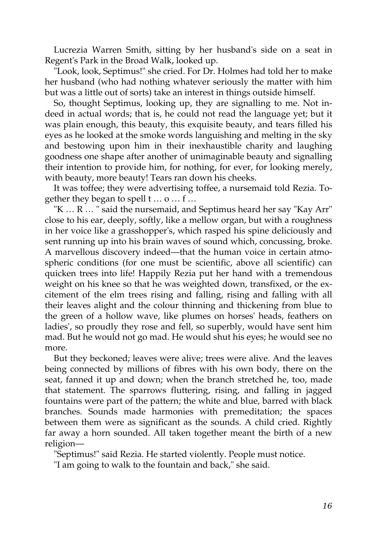Lucrezia Warren Smith, sitting by her husband's side on a seat in Regent's Park in the Broad Walk, looked up.

"Look, look, Septimus!" she cried. For Dr. Holmes had told her to make her husband (who had nothing whatever seriously the matter with him but was a little out of sorts) take an interest in things outside himself.

So, thought Septimus, looking up, they are signalling to me. Not indeed in actual words; that is, he could not read the language yet; but it was plain enough, this beauty, this exquisite beauty, and tears filled his eyes as he looked at the smoke words languishing and melting in the sky and bestowing upon him in their inexhaustible charity and laughing goodness one shape after another of unimaginable beauty and signalling their intention to provide him, for nothing, for ever, for looking merely, with beauty, more beauty! Tears ran down his cheeks.

It was toffee; they were advertising toffee, a nursemaid told Rezia. Together they began to spell t … o … f …

"K … R … " said the nursemaid, and Septimus heard her say "Kay Arr" close to his ear, deeply, softly, like a mellow organ, but with a roughness in her voice like a grasshopper's, which rasped his spine deliciously and sent running up into his brain waves of sound which, concussing, broke. A marvellous discovery indeed—that the human voice in certain atmospheric conditions (for one must be scientific, above all scientific) can quicken trees into life! Happily Rezia put her hand with a tremendous weight on his knee so that he was weighted down, transfixed, or the excitement of the elm trees rising and falling, rising and falling with all their leaves alight and the colour thinning and thickening from blue to the green of a hollow wave, like plumes on horses' heads, feathers on ladies', so proudly they rose and fell, so superbly, would have sent him mad. But he would not go mad. He would shut his eyes; he would see no more.

But they beckoned; leaves were alive; trees were alive. And the leaves being connected by millions of fibres with his own body, there on the seat, fanned it up and down; when the branch stretched he, too, made that statement. The sparrows fluttering, rising, and falling in jagged fountains were part of the pattern; the white and blue, barred with black branches. Sounds made harmonies with premeditation; the spaces between them were as significant as the sounds. A child cried. Rightly far away a horn sounded. All taken together meant the birth of a new religion—

"Septimus!" said Rezia. He started violently. People must notice.

"I am going to walk to the fountain and back," she said.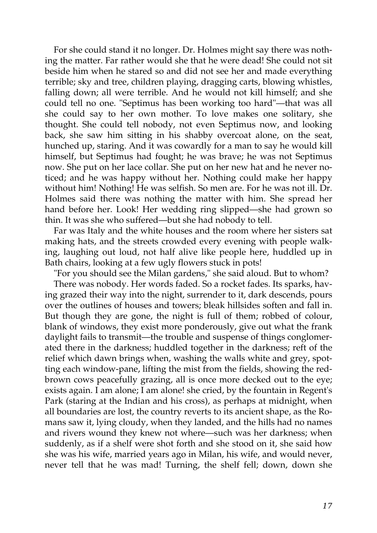For she could stand it no longer. Dr. Holmes might say there was nothing the matter. Far rather would she that he were dead! She could not sit beside him when he stared so and did not see her and made everything terrible; sky and tree, children playing, dragging carts, blowing whistles, falling down; all were terrible. And he would not kill himself; and she could tell no one. "Septimus has been working too hard"—that was all she could say to her own mother. To love makes one solitary, she thought. She could tell nobody, not even Septimus now, and looking back, she saw him sitting in his shabby overcoat alone, on the seat, hunched up, staring. And it was cowardly for a man to say he would kill himself, but Septimus had fought; he was brave; he was not Septimus now. She put on her lace collar. She put on her new hat and he never noticed; and he was happy without her. Nothing could make her happy without him! Nothing! He was selfish. So men are. For he was not ill. Dr. Holmes said there was nothing the matter with him. She spread her hand before her. Look! Her wedding ring slipped—she had grown so thin. It was she who suffered—but she had nobody to tell.

Far was Italy and the white houses and the room where her sisters sat making hats, and the streets crowded every evening with people walking, laughing out loud, not half alive like people here, huddled up in Bath chairs, looking at a few ugly flowers stuck in pots!

"For you should see the Milan gardens," she said aloud. But to whom?

There was nobody. Her words faded. So a rocket fades. Its sparks, having grazed their way into the night, surrender to it, dark descends, pours over the outlines of houses and towers; bleak hillsides soften and fall in. But though they are gone, the night is full of them; robbed of colour, blank of windows, they exist more ponderously, give out what the frank daylight fails to transmit—the trouble and suspense of things conglomerated there in the darkness; huddled together in the darkness; reft of the relief which dawn brings when, washing the walls white and grey, spotting each window-pane, lifting the mist from the fields, showing the redbrown cows peacefully grazing, all is once more decked out to the eye; exists again. I am alone; I am alone! she cried, by the fountain in Regent's Park (staring at the Indian and his cross), as perhaps at midnight, when all boundaries are lost, the country reverts to its ancient shape, as the Romans saw it, lying cloudy, when they landed, and the hills had no names and rivers wound they knew not where—such was her darkness; when suddenly, as if a shelf were shot forth and she stood on it, she said how she was his wife, married years ago in Milan, his wife, and would never, never tell that he was mad! Turning, the shelf fell; down, down she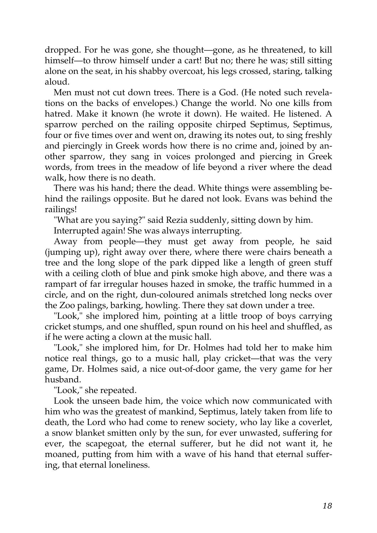dropped. For he was gone, she thought—gone, as he threatened, to kill himself—to throw himself under a cart! But no; there he was; still sitting alone on the seat, in his shabby overcoat, his legs crossed, staring, talking aloud.

Men must not cut down trees. There is a God. (He noted such revelations on the backs of envelopes.) Change the world. No one kills from hatred. Make it known (he wrote it down). He waited. He listened. A sparrow perched on the railing opposite chirped Septimus, Septimus, four or five times over and went on, drawing its notes out, to sing freshly and piercingly in Greek words how there is no crime and, joined by another sparrow, they sang in voices prolonged and piercing in Greek words, from trees in the meadow of life beyond a river where the dead walk, how there is no death.

There was his hand; there the dead. White things were assembling behind the railings opposite. But he dared not look. Evans was behind the railings!

"What are you saying?" said Rezia suddenly, sitting down by him.

Interrupted again! She was always interrupting.

Away from people—they must get away from people, he said (jumping up), right away over there, where there were chairs beneath a tree and the long slope of the park dipped like a length of green stuff with a ceiling cloth of blue and pink smoke high above, and there was a rampart of far irregular houses hazed in smoke, the traffic hummed in a circle, and on the right, dun-coloured animals stretched long necks over the Zoo palings, barking, howling. There they sat down under a tree.

"Look," she implored him, pointing at a little troop of boys carrying cricket stumps, and one shuffled, spun round on his heel and shuffled, as if he were acting a clown at the music hall.

"Look," she implored him, for Dr. Holmes had told her to make him notice real things, go to a music hall, play cricket—that was the very game, Dr. Holmes said, a nice out-of-door game, the very game for her husband.

"Look," she repeated.

Look the unseen bade him, the voice which now communicated with him who was the greatest of mankind, Septimus, lately taken from life to death, the Lord who had come to renew society, who lay like a coverlet, a snow blanket smitten only by the sun, for ever unwasted, suffering for ever, the scapegoat, the eternal sufferer, but he did not want it, he moaned, putting from him with a wave of his hand that eternal suffering, that eternal loneliness.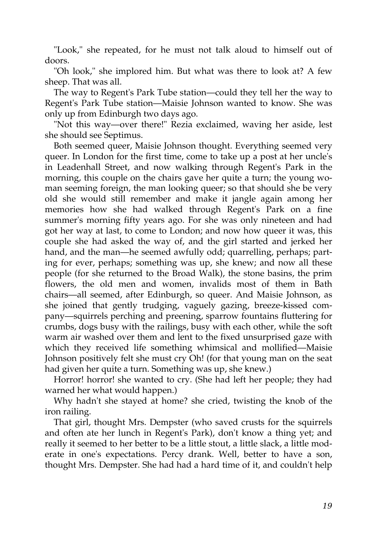"Look," she repeated, for he must not talk aloud to himself out of doors.

"Oh look," she implored him. But what was there to look at? A few sheep. That was all.

The way to Regent's Park Tube station—could they tell her the way to Regent's Park Tube station—Maisie Johnson wanted to know. She was only up from Edinburgh two days ago.

"Not this way—over there!" Rezia exclaimed, waving her aside, lest she should see Septimus.

Both seemed queer, Maisie Johnson thought. Everything seemed very queer. In London for the first time, come to take up a post at her uncle's in Leadenhall Street, and now walking through Regent's Park in the morning, this couple on the chairs gave her quite a turn; the young woman seeming foreign, the man looking queer; so that should she be very old she would still remember and make it jangle again among her memories how she had walked through Regent's Park on a fine summer's morning fifty years ago. For she was only nineteen and had got her way at last, to come to London; and now how queer it was, this couple she had asked the way of, and the girl started and jerked her hand, and the man—he seemed awfully odd; quarrelling, perhaps; parting for ever, perhaps; something was up, she knew; and now all these people (for she returned to the Broad Walk), the stone basins, the prim flowers, the old men and women, invalids most of them in Bath chairs—all seemed, after Edinburgh, so queer. And Maisie Johnson, as she joined that gently trudging, vaguely gazing, breeze-kissed company—squirrels perching and preening, sparrow fountains fluttering for crumbs, dogs busy with the railings, busy with each other, while the soft warm air washed over them and lent to the fixed unsurprised gaze with which they received life something whimsical and mollified—Maisie Johnson positively felt she must cry Oh! (for that young man on the seat had given her quite a turn. Something was up, she knew.)

Horror! horror! she wanted to cry. (She had left her people; they had warned her what would happen.)

Why hadn't she stayed at home? she cried, twisting the knob of the iron railing.

That girl, thought Mrs. Dempster (who saved crusts for the squirrels and often ate her lunch in Regent's Park), don't know a thing yet; and really it seemed to her better to be a little stout, a little slack, a little moderate in one's expectations. Percy drank. Well, better to have a son, thought Mrs. Dempster. She had had a hard time of it, and couldn't help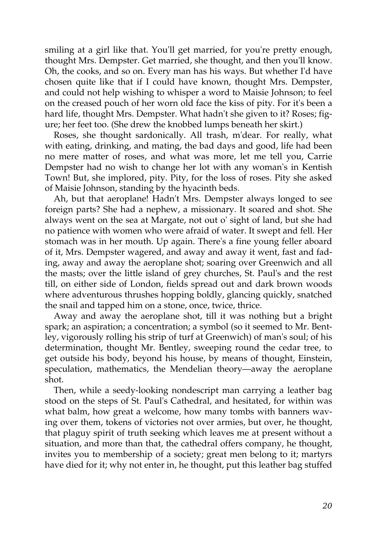smiling at a girl like that. You'll get married, for you're pretty enough, thought Mrs. Dempster. Get married, she thought, and then you'll know. Oh, the cooks, and so on. Every man has his ways. But whether I'd have chosen quite like that if I could have known, thought Mrs. Dempster, and could not help wishing to whisper a word to Maisie Johnson; to feel on the creased pouch of her worn old face the kiss of pity. For it's been a hard life, thought Mrs. Dempster. What hadn't she given to it? Roses; figure; her feet too. (She drew the knobbed lumps beneath her skirt.)

Roses, she thought sardonically. All trash, m'dear. For really, what with eating, drinking, and mating, the bad days and good, life had been no mere matter of roses, and what was more, let me tell you, Carrie Dempster had no wish to change her lot with any woman's in Kentish Town! But, she implored, pity. Pity, for the loss of roses. Pity she asked of Maisie Johnson, standing by the hyacinth beds.

Ah, but that aeroplane! Hadn't Mrs. Dempster always longed to see foreign parts? She had a nephew, a missionary. It soared and shot. She always went on the sea at Margate, not out o' sight of land, but she had no patience with women who were afraid of water. It swept and fell. Her stomach was in her mouth. Up again. There's a fine young feller aboard of it, Mrs. Dempster wagered, and away and away it went, fast and fading, away and away the aeroplane shot; soaring over Greenwich and all the masts; over the little island of grey churches, St. Paul's and the rest till, on either side of London, fields spread out and dark brown woods where adventurous thrushes hopping boldly, glancing quickly, snatched the snail and tapped him on a stone, once, twice, thrice.

Away and away the aeroplane shot, till it was nothing but a bright spark; an aspiration; a concentration; a symbol (so it seemed to Mr. Bentley, vigorously rolling his strip of turf at Greenwich) of man's soul; of his determination, thought Mr. Bentley, sweeping round the cedar tree, to get outside his body, beyond his house, by means of thought, Einstein, speculation, mathematics, the Mendelian theory—away the aeroplane shot.

Then, while a seedy-looking nondescript man carrying a leather bag stood on the steps of St. Paul's Cathedral, and hesitated, for within was what balm, how great a welcome, how many tombs with banners waving over them, tokens of victories not over armies, but over, he thought, that plaguy spirit of truth seeking which leaves me at present without a situation, and more than that, the cathedral offers company, he thought, invites you to membership of a society; great men belong to it; martyrs have died for it; why not enter in, he thought, put this leather bag stuffed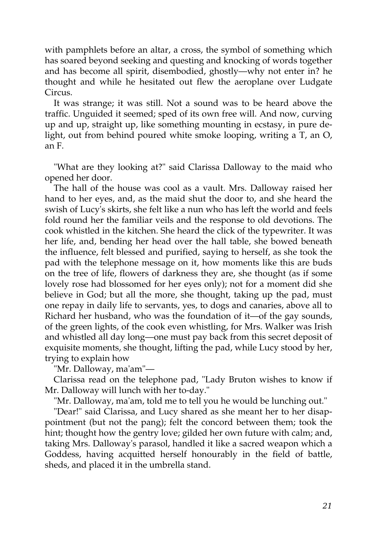with pamphlets before an altar, a cross, the symbol of something which has soared beyond seeking and questing and knocking of words together and has become all spirit, disembodied, ghostly—why not enter in? he thought and while he hesitated out flew the aeroplane over Ludgate Circus.

It was strange; it was still. Not a sound was to be heard above the traffic. Unguided it seemed; sped of its own free will. And now, curving up and up, straight up, like something mounting in ecstasy, in pure delight, out from behind poured white smoke looping, writing a T, an O, an F.

"What are they looking at?" said Clarissa Dalloway to the maid who opened her door.

The hall of the house was cool as a vault. Mrs. Dalloway raised her hand to her eyes, and, as the maid shut the door to, and she heard the swish of Lucy's skirts, she felt like a nun who has left the world and feels fold round her the familiar veils and the response to old devotions. The cook whistled in the kitchen. She heard the click of the typewriter. It was her life, and, bending her head over the hall table, she bowed beneath the influence, felt blessed and purified, saying to herself, as she took the pad with the telephone message on it, how moments like this are buds on the tree of life, flowers of darkness they are, she thought (as if some lovely rose had blossomed for her eyes only); not for a moment did she believe in God; but all the more, she thought, taking up the pad, must one repay in daily life to servants, yes, to dogs and canaries, above all to Richard her husband, who was the foundation of it—of the gay sounds, of the green lights, of the cook even whistling, for Mrs. Walker was Irish and whistled all day long—one must pay back from this secret deposit of exquisite moments, she thought, lifting the pad, while Lucy stood by her, trying to explain how

"Mr. Dalloway, ma'am"—

Clarissa read on the telephone pad, "Lady Bruton wishes to know if Mr. Dalloway will lunch with her to-day."

"Mr. Dalloway, ma'am, told me to tell you he would be lunching out."

"Dear!" said Clarissa, and Lucy shared as she meant her to her disappointment (but not the pang); felt the concord between them; took the hint; thought how the gentry love; gilded her own future with calm; and, taking Mrs. Dalloway's parasol, handled it like a sacred weapon which a Goddess, having acquitted herself honourably in the field of battle, sheds, and placed it in the umbrella stand.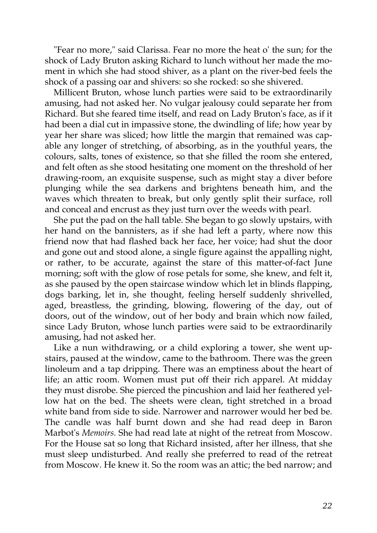"Fear no more," said Clarissa. Fear no more the heat o' the sun; for the shock of Lady Bruton asking Richard to lunch without her made the moment in which she had stood shiver, as a plant on the river-bed feels the shock of a passing oar and shivers: so she rocked: so she shivered.

Millicent Bruton, whose lunch parties were said to be extraordinarily amusing, had not asked her. No vulgar jealousy could separate her from Richard. But she feared time itself, and read on Lady Bruton's face, as if it had been a dial cut in impassive stone, the dwindling of life; how year by year her share was sliced; how little the margin that remained was capable any longer of stretching, of absorbing, as in the youthful years, the colours, salts, tones of existence, so that she filled the room she entered, and felt often as she stood hesitating one moment on the threshold of her drawing-room, an exquisite suspense, such as might stay a diver before plunging while the sea darkens and brightens beneath him, and the waves which threaten to break, but only gently split their surface, roll and conceal and encrust as they just turn over the weeds with pearl.

She put the pad on the hall table. She began to go slowly upstairs, with her hand on the bannisters, as if she had left a party, where now this friend now that had flashed back her face, her voice; had shut the door and gone out and stood alone, a single figure against the appalling night, or rather, to be accurate, against the stare of this matter-of-fact June morning; soft with the glow of rose petals for some, she knew, and felt it, as she paused by the open staircase window which let in blinds flapping, dogs barking, let in, she thought, feeling herself suddenly shrivelled, aged, breastless, the grinding, blowing, flowering of the day, out of doors, out of the window, out of her body and brain which now failed, since Lady Bruton, whose lunch parties were said to be extraordinarily amusing, had not asked her.

Like a nun withdrawing, or a child exploring a tower, she went upstairs, paused at the window, came to the bathroom. There was the green linoleum and a tap dripping. There was an emptiness about the heart of life; an attic room. Women must put off their rich apparel. At midday they must disrobe. She pierced the pincushion and laid her feathered yellow hat on the bed. The sheets were clean, tight stretched in a broad white band from side to side. Narrower and narrower would her bed be. The candle was half burnt down and she had read deep in Baron Marbot's *Memoirs.* She had read late at night of the retreat from Moscow. For the House sat so long that Richard insisted, after her illness, that she must sleep undisturbed. And really she preferred to read of the retreat from Moscow. He knew it. So the room was an attic; the bed narrow; and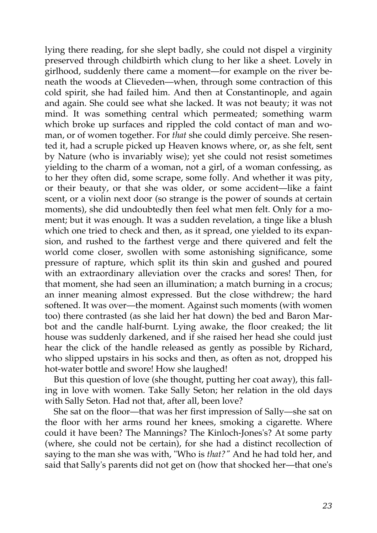lying there reading, for she slept badly, she could not dispel a virginity preserved through childbirth which clung to her like a sheet. Lovely in girlhood, suddenly there came a moment—for example on the river beneath the woods at Clieveden—when, through some contraction of this cold spirit, she had failed him. And then at Constantinople, and again and again. She could see what she lacked. It was not beauty; it was not mind. It was something central which permeated; something warm which broke up surfaces and rippled the cold contact of man and woman, or of women together. For *that* she could dimly perceive. She resented it, had a scruple picked up Heaven knows where, or, as she felt, sent by Nature (who is invariably wise); yet she could not resist sometimes yielding to the charm of a woman, not a girl, of a woman confessing, as to her they often did, some scrape, some folly. And whether it was pity, or their beauty, or that she was older, or some accident—like a faint scent, or a violin next door (so strange is the power of sounds at certain moments), she did undoubtedly then feel what men felt. Only for a moment; but it was enough. It was a sudden revelation, a tinge like a blush which one tried to check and then, as it spread, one yielded to its expansion, and rushed to the farthest verge and there quivered and felt the world come closer, swollen with some astonishing significance, some pressure of rapture, which split its thin skin and gushed and poured with an extraordinary alleviation over the cracks and sores! Then, for that moment, she had seen an illumination; a match burning in a crocus; an inner meaning almost expressed. But the close withdrew; the hard softened. It was over—the moment. Against such moments (with women too) there contrasted (as she laid her hat down) the bed and Baron Marbot and the candle half-burnt. Lying awake, the floor creaked; the lit house was suddenly darkened, and if she raised her head she could just hear the click of the handle released as gently as possible by Richard, who slipped upstairs in his socks and then, as often as not, dropped his hot-water bottle and swore! How she laughed!

But this question of love (she thought, putting her coat away), this falling in love with women. Take Sally Seton; her relation in the old days with Sally Seton. Had not that, after all, been love?

She sat on the floor—that was her first impression of Sally—she sat on the floor with her arms round her knees, smoking a cigarette. Where could it have been? The Mannings? The Kinloch-Jones's? At some party (where, she could not be certain), for she had a distinct recollection of saying to the man she was with, "Who is *that?"* And he had told her, and said that Sally's parents did not get on (how that shocked her—that one's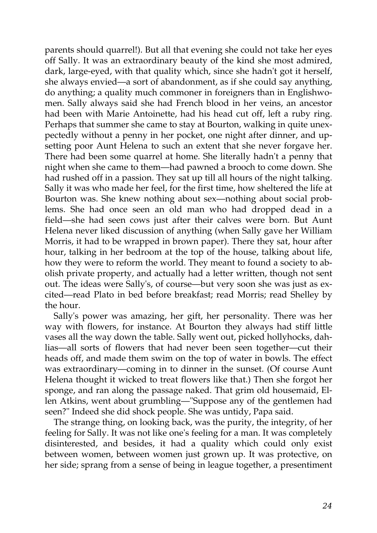parents should quarrel!). But all that evening she could not take her eyes off Sally. It was an extraordinary beauty of the kind she most admired, dark, large-eyed, with that quality which, since she hadn't got it herself, she always envied—a sort of abandonment, as if she could say anything, do anything; a quality much commoner in foreigners than in Englishwomen. Sally always said she had French blood in her veins, an ancestor had been with Marie Antoinette, had his head cut off, left a ruby ring. Perhaps that summer she came to stay at Bourton, walking in quite unexpectedly without a penny in her pocket, one night after dinner, and upsetting poor Aunt Helena to such an extent that she never forgave her. There had been some quarrel at home. She literally hadn't a penny that night when she came to them—had pawned a brooch to come down. She had rushed off in a passion. They sat up till all hours of the night talking. Sally it was who made her feel, for the first time, how sheltered the life at Bourton was. She knew nothing about sex—nothing about social problems. She had once seen an old man who had dropped dead in a field—she had seen cows just after their calves were born. But Aunt Helena never liked discussion of anything (when Sally gave her William Morris, it had to be wrapped in brown paper). There they sat, hour after hour, talking in her bedroom at the top of the house, talking about life, how they were to reform the world. They meant to found a society to abolish private property, and actually had a letter written, though not sent out. The ideas were Sally's, of course—but very soon she was just as excited—read Plato in bed before breakfast; read Morris; read Shelley by the hour.

Sally's power was amazing, her gift, her personality. There was her way with flowers, for instance. At Bourton they always had stiff little vases all the way down the table. Sally went out, picked hollyhocks, dahlias—all sorts of flowers that had never been seen together—cut their heads off, and made them swim on the top of water in bowls. The effect was extraordinary—coming in to dinner in the sunset. (Of course Aunt Helena thought it wicked to treat flowers like that.) Then she forgot her sponge, and ran along the passage naked. That grim old housemaid, Ellen Atkins, went about grumbling—"Suppose any of the gentlemen had seen?" Indeed she did shock people. She was untidy, Papa said.

The strange thing, on looking back, was the purity, the integrity, of her feeling for Sally. It was not like one's feeling for a man. It was completely disinterested, and besides, it had a quality which could only exist between women, between women just grown up. It was protective, on her side; sprang from a sense of being in league together, a presentiment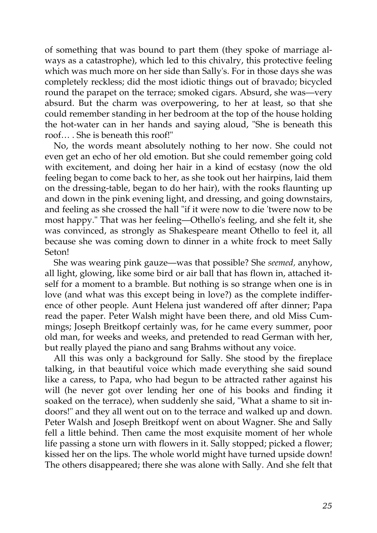of something that was bound to part them (they spoke of marriage always as a catastrophe), which led to this chivalry, this protective feeling which was much more on her side than Sally's. For in those days she was completely reckless; did the most idiotic things out of bravado; bicycled round the parapet on the terrace; smoked cigars. Absurd, she was—very absurd. But the charm was overpowering, to her at least, so that she could remember standing in her bedroom at the top of the house holding the hot-water can in her hands and saying aloud, "She is beneath this roof… . She is beneath this roof!"

No, the words meant absolutely nothing to her now. She could not even get an echo of her old emotion. But she could remember going cold with excitement, and doing her hair in a kind of ecstasy (now the old feeling began to come back to her, as she took out her hairpins, laid them on the dressing-table, began to do her hair), with the rooks flaunting up and down in the pink evening light, and dressing, and going downstairs, and feeling as she crossed the hall "if it were now to die 'twere now to be most happy." That was her feeling—Othello's feeling, and she felt it, she was convinced, as strongly as Shakespeare meant Othello to feel it, all because she was coming down to dinner in a white frock to meet Sally Seton!

She was wearing pink gauze—was that possible? She *seemed,* anyhow, all light, glowing, like some bird or air ball that has flown in, attached itself for a moment to a bramble. But nothing is so strange when one is in love (and what was this except being in love?) as the complete indifference of other people. Aunt Helena just wandered off after dinner; Papa read the paper. Peter Walsh might have been there, and old Miss Cummings; Joseph Breitkopf certainly was, for he came every summer, poor old man, for weeks and weeks, and pretended to read German with her, but really played the piano and sang Brahms without any voice.

All this was only a background for Sally. She stood by the fireplace talking, in that beautiful voice which made everything she said sound like a caress, to Papa, who had begun to be attracted rather against his will (he never got over lending her one of his books and finding it soaked on the terrace), when suddenly she said, "What a shame to sit indoors!" and they all went out on to the terrace and walked up and down. Peter Walsh and Joseph Breitkopf went on about Wagner. She and Sally fell a little behind. Then came the most exquisite moment of her whole life passing a stone urn with flowers in it. Sally stopped; picked a flower; kissed her on the lips. The whole world might have turned upside down! The others disappeared; there she was alone with Sally. And she felt that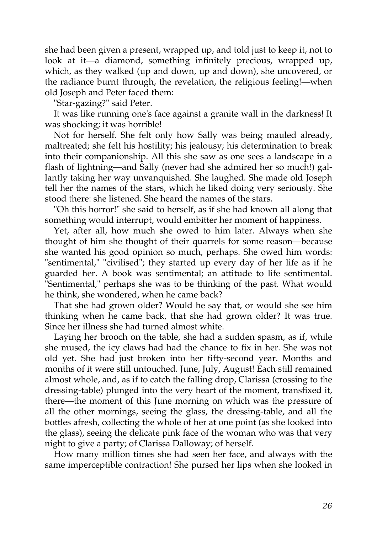she had been given a present, wrapped up, and told just to keep it, not to look at it—a diamond, something infinitely precious, wrapped up, which, as they walked (up and down, up and down), she uncovered, or the radiance burnt through, the revelation, the religious feeling!—when old Joseph and Peter faced them:

"Star-gazing?" said Peter.

It was like running one's face against a granite wall in the darkness! It was shocking; it was horrible!

Not for herself. She felt only how Sally was being mauled already, maltreated; she felt his hostility; his jealousy; his determination to break into their companionship. All this she saw as one sees a landscape in a flash of lightning—and Sally (never had she admired her so much!) gallantly taking her way unvanquished. She laughed. She made old Joseph tell her the names of the stars, which he liked doing very seriously. She stood there: she listened. She heard the names of the stars.

"Oh this horror!" she said to herself, as if she had known all along that something would interrupt, would embitter her moment of happiness.

Yet, after all, how much she owed to him later. Always when she thought of him she thought of their quarrels for some reason—because she wanted his good opinion so much, perhaps. She owed him words: "sentimental," "civilised"; they started up every day of her life as if he guarded her. A book was sentimental; an attitude to life sentimental. "Sentimental," perhaps she was to be thinking of the past. What would he think, she wondered, when he came back?

That she had grown older? Would he say that, or would she see him thinking when he came back, that she had grown older? It was true. Since her illness she had turned almost white.

Laying her brooch on the table, she had a sudden spasm, as if, while she mused, the icy claws had had the chance to fix in her. She was not old yet. She had just broken into her fifty-second year. Months and months of it were still untouched. June, July, August! Each still remained almost whole, and, as if to catch the falling drop, Clarissa (crossing to the dressing-table) plunged into the very heart of the moment, transfixed it, there—the moment of this June morning on which was the pressure of all the other mornings, seeing the glass, the dressing-table, and all the bottles afresh, collecting the whole of her at one point (as she looked into the glass), seeing the delicate pink face of the woman who was that very night to give a party; of Clarissa Dalloway; of herself.

How many million times she had seen her face, and always with the same imperceptible contraction! She pursed her lips when she looked in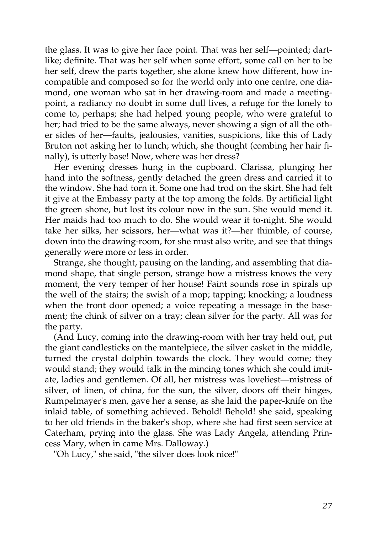the glass. It was to give her face point. That was her self—pointed; dartlike; definite. That was her self when some effort, some call on her to be her self, drew the parts together, she alone knew how different, how incompatible and composed so for the world only into one centre, one diamond, one woman who sat in her drawing-room and made a meetingpoint, a radiancy no doubt in some dull lives, a refuge for the lonely to come to, perhaps; she had helped young people, who were grateful to her; had tried to be the same always, never showing a sign of all the other sides of her—faults, jealousies, vanities, suspicions, like this of Lady Bruton not asking her to lunch; which, she thought (combing her hair finally), is utterly base! Now, where was her dress?

Her evening dresses hung in the cupboard. Clarissa, plunging her hand into the softness, gently detached the green dress and carried it to the window. She had torn it. Some one had trod on the skirt. She had felt it give at the Embassy party at the top among the folds. By artificial light the green shone, but lost its colour now in the sun. She would mend it. Her maids had too much to do. She would wear it to-night. She would take her silks, her scissors, her—what was it?—her thimble, of course, down into the drawing-room, for she must also write, and see that things generally were more or less in order.

Strange, she thought, pausing on the landing, and assembling that diamond shape, that single person, strange how a mistress knows the very moment, the very temper of her house! Faint sounds rose in spirals up the well of the stairs; the swish of a mop; tapping; knocking; a loudness when the front door opened; a voice repeating a message in the basement; the chink of silver on a tray; clean silver for the party. All was for the party.

(And Lucy, coming into the drawing-room with her tray held out, put the giant candlesticks on the mantelpiece, the silver casket in the middle, turned the crystal dolphin towards the clock. They would come; they would stand; they would talk in the mincing tones which she could imitate, ladies and gentlemen. Of all, her mistress was loveliest—mistress of silver, of linen, of china, for the sun, the silver, doors off their hinges, Rumpelmayer's men, gave her a sense, as she laid the paper-knife on the inlaid table, of something achieved. Behold! Behold! she said, speaking to her old friends in the baker's shop, where she had first seen service at Caterham, prying into the glass. She was Lady Angela, attending Princess Mary, when in came Mrs. Dalloway.)

"Oh Lucy," she said, "the silver does look nice!"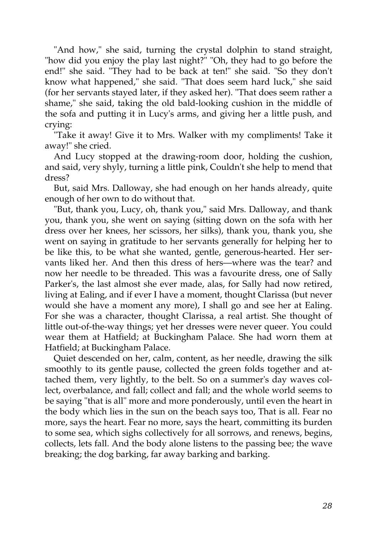"And how," she said, turning the crystal dolphin to stand straight, "how did you enjoy the play last night?" "Oh, they had to go before the end!" she said. "They had to be back at ten!" she said. "So they don't know what happened," she said. "That does seem hard luck," she said (for her servants stayed later, if they asked her). "That does seem rather a shame," she said, taking the old bald-looking cushion in the middle of the sofa and putting it in Lucy's arms, and giving her a little push, and crying:

"Take it away! Give it to Mrs. Walker with my compliments! Take it away!" she cried.

And Lucy stopped at the drawing-room door, holding the cushion, and said, very shyly, turning a little pink, Couldn't she help to mend that dress?

But, said Mrs. Dalloway, she had enough on her hands already, quite enough of her own to do without that.

"But, thank you, Lucy, oh, thank you," said Mrs. Dalloway, and thank you, thank you, she went on saying (sitting down on the sofa with her dress over her knees, her scissors, her silks), thank you, thank you, she went on saying in gratitude to her servants generally for helping her to be like this, to be what she wanted, gentle, generous-hearted. Her servants liked her. And then this dress of hers—where was the tear? and now her needle to be threaded. This was a favourite dress, one of Sally Parker's, the last almost she ever made, alas, for Sally had now retired, living at Ealing, and if ever I have a moment, thought Clarissa (but never would she have a moment any more), I shall go and see her at Ealing. For she was a character, thought Clarissa, a real artist. She thought of little out-of-the-way things; yet her dresses were never queer. You could wear them at Hatfield; at Buckingham Palace. She had worn them at Hatfield; at Buckingham Palace.

Quiet descended on her, calm, content, as her needle, drawing the silk smoothly to its gentle pause, collected the green folds together and attached them, very lightly, to the belt. So on a summer's day waves collect, overbalance, and fall; collect and fall; and the whole world seems to be saying "that is all" more and more ponderously, until even the heart in the body which lies in the sun on the beach says too, That is all. Fear no more, says the heart. Fear no more, says the heart, committing its burden to some sea, which sighs collectively for all sorrows, and renews, begins, collects, lets fall. And the body alone listens to the passing bee; the wave breaking; the dog barking, far away barking and barking.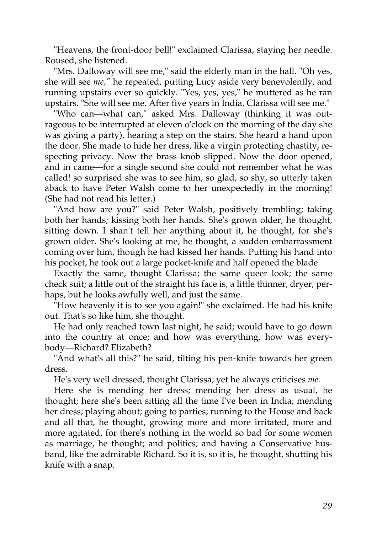"Heavens, the front-door bell!" exclaimed Clarissa, staying her needle. Roused, she listened.

"Mrs. Dalloway will see me," said the elderly man in the hall. "Oh yes, she will see *me,"* he repeated, putting Lucy aside very benevolently, and running upstairs ever so quickly. "Yes, yes, yes," he muttered as he ran upstairs. "She will see me. After five years in India, Clarissa will see me."

"Who can—what can," asked Mrs. Dalloway (thinking it was outrageous to be interrupted at eleven o'clock on the morning of the day she was giving a party), hearing a step on the stairs. She heard a hand upon the door. She made to hide her dress, like a virgin protecting chastity, respecting privacy. Now the brass knob slipped. Now the door opened, and in came—for a single second she could not remember what he was called! so surprised she was to see him, so glad, so shy, so utterly taken aback to have Peter Walsh come to her unexpectedly in the morning! (She had not read his letter.)

"And how are you?" said Peter Walsh, positively trembling; taking both her hands; kissing both her hands. She's grown older, he thought, sitting down. I shan't tell her anything about it, he thought, for she's grown older. She's looking at me, he thought, a sudden embarrassment coming over him, though he had kissed her hands. Putting his hand into his pocket, he took out a large pocket-knife and half opened the blade.

Exactly the same, thought Clarissa; the same queer look; the same check suit; a little out of the straight his face is, a little thinner, dryer, perhaps, but he looks awfully well, and just the same.

"How heavenly it is to see you again!" she exclaimed. He had his knife out. That's so like him, she thought.

He had only reached town last night, he said; would have to go down into the country at once; and how was everything, how was everybody—Richard? Elizabeth?

"And what's all this?" he said, tilting his pen-knife towards her green dress.

He's very well dressed, thought Clarissa; yet he always criticises *me.*

Here she is mending her dress; mending her dress as usual, he thought; here she's been sitting all the time I've been in India; mending her dress; playing about; going to parties; running to the House and back and all that, he thought, growing more and more irritated, more and more agitated, for there's nothing in the world so bad for some women as marriage, he thought; and politics; and having a Conservative husband, like the admirable Richard. So it is, so it is, he thought, shutting his knife with a snap.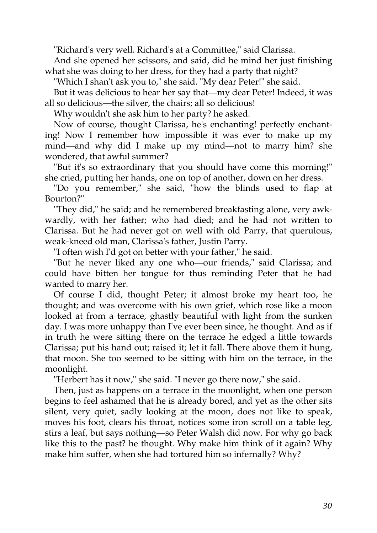"Richard's very well. Richard's at a Committee," said Clarissa.

And she opened her scissors, and said, did he mind her just finishing what she was doing to her dress, for they had a party that night?

"Which I shan't ask you to," she said. "My dear Peter!" she said.

But it was delicious to hear her say that—my dear Peter! Indeed, it was all so delicious—the silver, the chairs; all so delicious!

Why wouldn't she ask him to her party? he asked.

Now of course, thought Clarissa, he's enchanting! perfectly enchanting! Now I remember how impossible it was ever to make up my mind—and why did I make up my mind—not to marry him? she wondered, that awful summer?

"But it's so extraordinary that you should have come this morning!" she cried, putting her hands, one on top of another, down on her dress.

"Do you remember," she said, "how the blinds used to flap at Bourton?"

"They did," he said; and he remembered breakfasting alone, very awkwardly, with her father; who had died; and he had not written to Clarissa. But he had never got on well with old Parry, that querulous, weak-kneed old man, Clarissa's father, Justin Parry.

"I often wish I'd got on better with your father," he said.

"But he never liked any one who—our friends," said Clarissa; and could have bitten her tongue for thus reminding Peter that he had wanted to marry her.

Of course I did, thought Peter; it almost broke my heart too, he thought; and was overcome with his own grief, which rose like a moon looked at from a terrace, ghastly beautiful with light from the sunken day. I was more unhappy than I've ever been since, he thought. And as if in truth he were sitting there on the terrace he edged a little towards Clarissa; put his hand out; raised it; let it fall. There above them it hung, that moon. She too seemed to be sitting with him on the terrace, in the moonlight.

"Herbert has it now," she said. "I never go there now," she said.

Then, just as happens on a terrace in the moonlight, when one person begins to feel ashamed that he is already bored, and yet as the other sits silent, very quiet, sadly looking at the moon, does not like to speak, moves his foot, clears his throat, notices some iron scroll on a table leg, stirs a leaf, but says nothing—so Peter Walsh did now. For why go back like this to the past? he thought. Why make him think of it again? Why make him suffer, when she had tortured him so infernally? Why?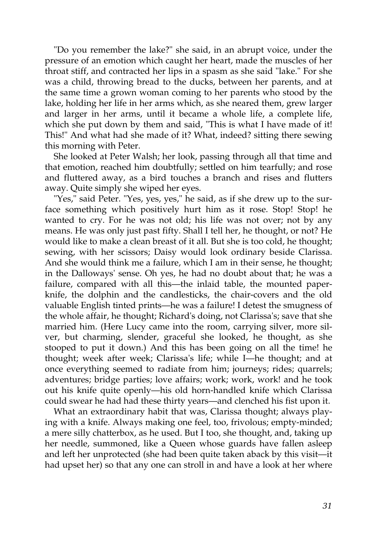"Do you remember the lake?" she said, in an abrupt voice, under the pressure of an emotion which caught her heart, made the muscles of her throat stiff, and contracted her lips in a spasm as she said "lake." For she was a child, throwing bread to the ducks, between her parents, and at the same time a grown woman coming to her parents who stood by the lake, holding her life in her arms which, as she neared them, grew larger and larger in her arms, until it became a whole life, a complete life, which she put down by them and said, "This is what I have made of it! This!" And what had she made of it? What, indeed? sitting there sewing this morning with Peter.

She looked at Peter Walsh; her look, passing through all that time and that emotion, reached him doubtfully; settled on him tearfully; and rose and fluttered away, as a bird touches a branch and rises and flutters away. Quite simply she wiped her eyes.

"Yes," said Peter. "Yes, yes, yes," he said, as if she drew up to the surface something which positively hurt him as it rose. Stop! Stop! he wanted to cry. For he was not old; his life was not over; not by any means. He was only just past fifty. Shall I tell her, he thought, or not? He would like to make a clean breast of it all. But she is too cold, he thought; sewing, with her scissors; Daisy would look ordinary beside Clarissa. And she would think me a failure, which I am in their sense, he thought; in the Dalloways' sense. Oh yes, he had no doubt about that; he was a failure, compared with all this—the inlaid table, the mounted paperknife, the dolphin and the candlesticks, the chair-covers and the old valuable English tinted prints—he was a failure! I detest the smugness of the whole affair, he thought; Richard's doing, not Clarissa's; save that she married him. (Here Lucy came into the room, carrying silver, more silver, but charming, slender, graceful she looked, he thought, as she stooped to put it down.) And this has been going on all the time! he thought; week after week; Clarissa's life; while I—he thought; and at once everything seemed to radiate from him; journeys; rides; quarrels; adventures; bridge parties; love affairs; work; work, work! and he took out his knife quite openly—his old horn-handled knife which Clarissa could swear he had had these thirty years—and clenched his fist upon it.

What an extraordinary habit that was, Clarissa thought; always playing with a knife. Always making one feel, too, frivolous; empty-minded; a mere silly chatterbox, as he used. But I too, she thought, and, taking up her needle, summoned, like a Queen whose guards have fallen asleep and left her unprotected (she had been quite taken aback by this visit—it had upset her) so that any one can stroll in and have a look at her where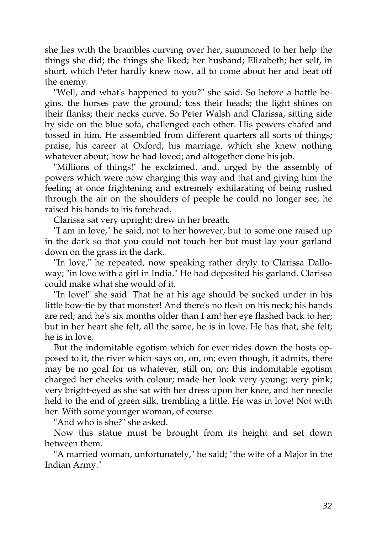she lies with the brambles curving over her, summoned to her help the things she did; the things she liked; her husband; Elizabeth; her self, in short, which Peter hardly knew now, all to come about her and beat off the enemy.

"Well, and what's happened to you?" she said. So before a battle begins, the horses paw the ground; toss their heads; the light shines on their flanks; their necks curve. So Peter Walsh and Clarissa, sitting side by side on the blue sofa, challenged each other. His powers chafed and tossed in him. He assembled from different quarters all sorts of things; praise; his career at Oxford; his marriage, which she knew nothing whatever about; how he had loved; and altogether done his job.

"Millions of things!" he exclaimed, and, urged by the assembly of powers which were now charging this way and that and giving him the feeling at once frightening and extremely exhilarating of being rushed through the air on the shoulders of people he could no longer see, he raised his hands to his forehead.

Clarissa sat very upright; drew in her breath.

"I am in love," he said, not to her however, but to some one raised up in the dark so that you could not touch her but must lay your garland down on the grass in the dark.

"In love," he repeated, now speaking rather dryly to Clarissa Dalloway; "in love with a girl in India." He had deposited his garland. Clarissa could make what she would of it.

"In love!" she said. That he at his age should be sucked under in his little bow-tie by that monster! And there's no flesh on his neck; his hands are red; and he's six months older than I am! her eye flashed back to her; but in her heart she felt, all the same, he is in love. He has that, she felt; he is in love.

But the indomitable egotism which for ever rides down the hosts opposed to it, the river which says on, on, on; even though, it admits, there may be no goal for us whatever, still on, on; this indomitable egotism charged her cheeks with colour; made her look very young; very pink; very bright-eyed as she sat with her dress upon her knee, and her needle held to the end of green silk, trembling a little. He was in love! Not with her. With some younger woman, of course.

"And who is she?" she asked.

Now this statue must be brought from its height and set down between them.

"A married woman, unfortunately," he said; "the wife of a Major in the Indian Army."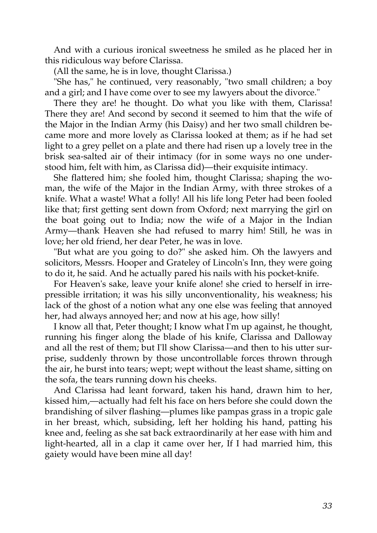And with a curious ironical sweetness he smiled as he placed her in this ridiculous way before Clarissa.

(All the same, he is in love, thought Clarissa.)

"She has," he continued, very reasonably, "two small children; a boy and a girl; and I have come over to see my lawyers about the divorce."

There they are! he thought. Do what you like with them, Clarissa! There they are! And second by second it seemed to him that the wife of the Major in the Indian Army (his Daisy) and her two small children became more and more lovely as Clarissa looked at them; as if he had set light to a grey pellet on a plate and there had risen up a lovely tree in the brisk sea-salted air of their intimacy (for in some ways no one understood him, felt with him, as Clarissa did)—their exquisite intimacy.

She flattered him; she fooled him, thought Clarissa; shaping the woman, the wife of the Major in the Indian Army, with three strokes of a knife. What a waste! What a folly! All his life long Peter had been fooled like that; first getting sent down from Oxford; next marrying the girl on the boat going out to India; now the wife of a Major in the Indian Army—thank Heaven she had refused to marry him! Still, he was in love; her old friend, her dear Peter, he was in love.

"But what are you going to do?" she asked him. Oh the lawyers and solicitors, Messrs. Hooper and Grateley of Lincoln's Inn, they were going to do it, he said. And he actually pared his nails with his pocket-knife.

For Heaven's sake, leave your knife alone! she cried to herself in irrepressible irritation; it was his silly unconventionality, his weakness; his lack of the ghost of a notion what any one else was feeling that annoyed her, had always annoyed her; and now at his age, how silly!

I know all that, Peter thought; I know what I'm up against, he thought, running his finger along the blade of his knife, Clarissa and Dalloway and all the rest of them; but I'll show Clarissa—and then to his utter surprise, suddenly thrown by those uncontrollable forces thrown through the air, he burst into tears; wept; wept without the least shame, sitting on the sofa, the tears running down his cheeks.

And Clarissa had leant forward, taken his hand, drawn him to her, kissed him,—actually had felt his face on hers before she could down the brandishing of silver flashing—plumes like pampas grass in a tropic gale in her breast, which, subsiding, left her holding his hand, patting his knee and, feeling as she sat back extraordinarily at her ease with him and light-hearted, all in a clap it came over her, If I had married him, this gaiety would have been mine all day!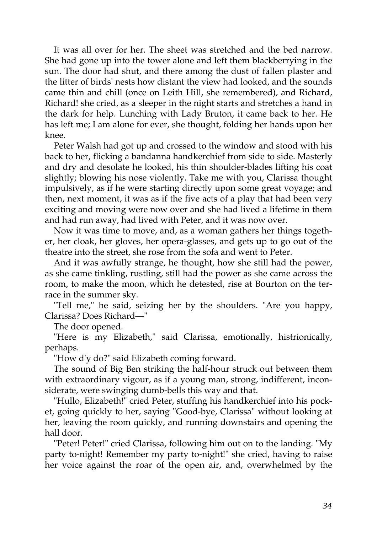It was all over for her. The sheet was stretched and the bed narrow. She had gone up into the tower alone and left them blackberrying in the sun. The door had shut, and there among the dust of fallen plaster and the litter of birds' nests how distant the view had looked, and the sounds came thin and chill (once on Leith Hill, she remembered), and Richard, Richard! she cried, as a sleeper in the night starts and stretches a hand in the dark for help. Lunching with Lady Bruton, it came back to her. He has left me; I am alone for ever, she thought, folding her hands upon her knee.

Peter Walsh had got up and crossed to the window and stood with his back to her, flicking a bandanna handkerchief from side to side. Masterly and dry and desolate he looked, his thin shoulder-blades lifting his coat slightly; blowing his nose violently. Take me with you, Clarissa thought impulsively, as if he were starting directly upon some great voyage; and then, next moment, it was as if the five acts of a play that had been very exciting and moving were now over and she had lived a lifetime in them and had run away, had lived with Peter, and it was now over.

Now it was time to move, and, as a woman gathers her things together, her cloak, her gloves, her opera-glasses, and gets up to go out of the theatre into the street, she rose from the sofa and went to Peter.

And it was awfully strange, he thought, how she still had the power, as she came tinkling, rustling, still had the power as she came across the room, to make the moon, which he detested, rise at Bourton on the terrace in the summer sky.

"Tell me," he said, seizing her by the shoulders. "Are you happy, Clarissa? Does Richard—"

The door opened.

"Here is my Elizabeth," said Clarissa, emotionally, histrionically, perhaps.

"How d'y do?" said Elizabeth coming forward.

The sound of Big Ben striking the half-hour struck out between them with extraordinary vigour, as if a young man, strong, indifferent, inconsiderate, were swinging dumb-bells this way and that.

"Hullo, Elizabeth!" cried Peter, stuffing his handkerchief into his pocket, going quickly to her, saying "Good-bye, Clarissa" without looking at her, leaving the room quickly, and running downstairs and opening the hall door.

"Peter! Peter!" cried Clarissa, following him out on to the landing. "My party to-night! Remember my party to-night!" she cried, having to raise her voice against the roar of the open air, and, overwhelmed by the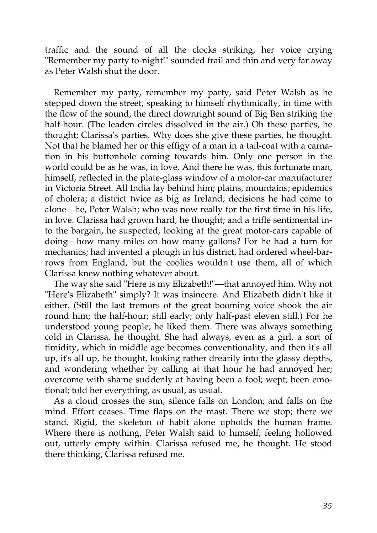traffic and the sound of all the clocks striking, her voice crying "Remember my party to-night!" sounded frail and thin and very far away as Peter Walsh shut the door.

Remember my party, remember my party, said Peter Walsh as he stepped down the street, speaking to himself rhythmically, in time with the flow of the sound, the direct downright sound of Big Ben striking the half-hour. (The leaden circles dissolved in the air.) Oh these parties, he thought; Clarissa's parties. Why does she give these parties, he thought. Not that he blamed her or this effigy of a man in a tail-coat with a carnation in his buttonhole coming towards him. Only one person in the world could be as he was, in love. And there he was, this fortunate man, himself, reflected in the plate-glass window of a motor-car manufacturer in Victoria Street. All India lay behind him; plains, mountains; epidemics of cholera; a district twice as big as Ireland; decisions he had come to alone—he, Peter Walsh; who was now really for the first time in his life, in love. Clarissa had grown hard, he thought; and a trifle sentimental into the bargain, he suspected, looking at the great motor-cars capable of doing—how many miles on how many gallons? For he had a turn for mechanics; had invented a plough in his district, had ordered wheel-barrows from England, but the coolies wouldn't use them, all of which Clarissa knew nothing whatever about.

The way she said "Here is my Elizabeth!"—that annoyed him. Why not "Here's Elizabeth" simply? It was insincere. And Elizabeth didn't like it either. (Still the last tremors of the great booming voice shook the air round him; the half-hour; still early; only half-past eleven still.) For he understood young people; he liked them. There was always something cold in Clarissa, he thought. She had always, even as a girl, a sort of timidity, which in middle age becomes conventionality, and then it's all up, it's all up, he thought, looking rather drearily into the glassy depths, and wondering whether by calling at that hour he had annoyed her; overcome with shame suddenly at having been a fool; wept; been emotional; told her everything, as usual, as usual.

As a cloud crosses the sun, silence falls on London; and falls on the mind. Effort ceases. Time flaps on the mast. There we stop; there we stand. Rigid, the skeleton of habit alone upholds the human frame. Where there is nothing, Peter Walsh said to himself; feeling hollowed out, utterly empty within. Clarissa refused me, he thought. He stood there thinking, Clarissa refused me.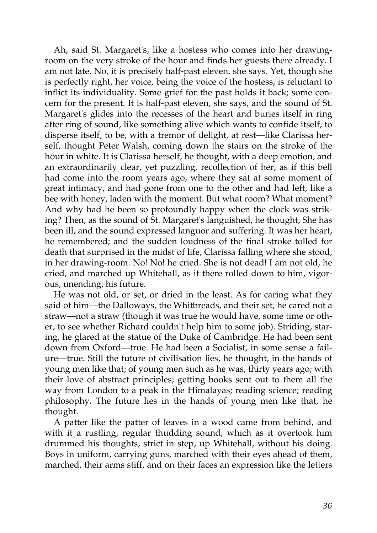Ah, said St. Margaret's, like a hostess who comes into her drawingroom on the very stroke of the hour and finds her guests there already. I am not late. No, it is precisely half-past eleven, she says. Yet, though she is perfectly right, her voice, being the voice of the hostess, is reluctant to inflict its individuality. Some grief for the past holds it back; some concern for the present. It is half-past eleven, she says, and the sound of St. Margaret's glides into the recesses of the heart and buries itself in ring after ring of sound, like something alive which wants to confide itself, to disperse itself, to be, with a tremor of delight, at rest—like Clarissa herself, thought Peter Walsh, coming down the stairs on the stroke of the hour in white. It is Clarissa herself, he thought, with a deep emotion, and an extraordinarily clear, yet puzzling, recollection of her, as if this bell had come into the room years ago, where they sat at some moment of great intimacy, and had gone from one to the other and had left, like a bee with honey, laden with the moment. But what room? What moment? And why had he been so profoundly happy when the clock was striking? Then, as the sound of St. Margaret's languished, he thought, She has been ill, and the sound expressed languor and suffering. It was her heart, he remembered; and the sudden loudness of the final stroke tolled for death that surprised in the midst of life, Clarissa falling where she stood, in her drawing-room. No! No! he cried. She is not dead! I am not old, he cried, and marched up Whitehall, as if there rolled down to him, vigorous, unending, his future.

He was not old, or set, or dried in the least. As for caring what they said of him—the Dalloways, the Whitbreads, and their set, he cared not a straw—not a straw (though it was true he would have, some time or other, to see whether Richard couldn't help him to some job). Striding, staring, he glared at the statue of the Duke of Cambridge. He had been sent down from Oxford—true. He had been a Socialist, in some sense a failure—true. Still the future of civilisation lies, he thought, in the hands of young men like that; of young men such as he was, thirty years ago; with their love of abstract principles; getting books sent out to them all the way from London to a peak in the Himalayas; reading science; reading philosophy. The future lies in the hands of young men like that, he thought.

A patter like the patter of leaves in a wood came from behind, and with it a rustling, regular thudding sound, which as it overtook him drummed his thoughts, strict in step, up Whitehall, without his doing. Boys in uniform, carrying guns, marched with their eyes ahead of them, marched, their arms stiff, and on their faces an expression like the letters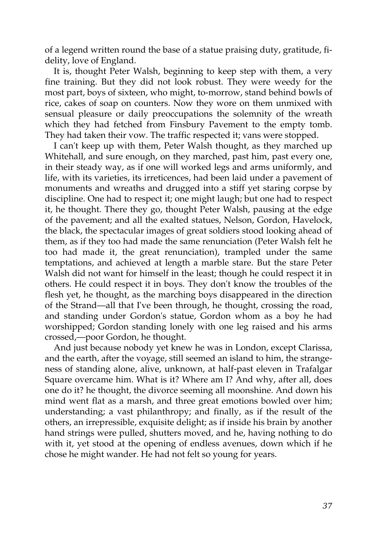of a legend written round the base of a statue praising duty, gratitude, fidelity, love of England.

It is, thought Peter Walsh, beginning to keep step with them, a very fine training. But they did not look robust. They were weedy for the most part, boys of sixteen, who might, to-morrow, stand behind bowls of rice, cakes of soap on counters. Now they wore on them unmixed with sensual pleasure or daily preoccupations the solemnity of the wreath which they had fetched from Finsbury Pavement to the empty tomb. They had taken their vow. The traffic respected it; vans were stopped.

I can't keep up with them, Peter Walsh thought, as they marched up Whitehall, and sure enough, on they marched, past him, past every one, in their steady way, as if one will worked legs and arms uniformly, and life, with its varieties, its irreticences, had been laid under a pavement of monuments and wreaths and drugged into a stiff yet staring corpse by discipline. One had to respect it; one might laugh; but one had to respect it, he thought. There they go, thought Peter Walsh, pausing at the edge of the pavement; and all the exalted statues, Nelson, Gordon, Havelock, the black, the spectacular images of great soldiers stood looking ahead of them, as if they too had made the same renunciation (Peter Walsh felt he too had made it, the great renunciation), trampled under the same temptations, and achieved at length a marble stare. But the stare Peter Walsh did not want for himself in the least; though he could respect it in others. He could respect it in boys. They don't know the troubles of the flesh yet, he thought, as the marching boys disappeared in the direction of the Strand—all that I've been through, he thought, crossing the road, and standing under Gordon's statue, Gordon whom as a boy he had worshipped; Gordon standing lonely with one leg raised and his arms crossed,—poor Gordon, he thought.

And just because nobody yet knew he was in London, except Clarissa, and the earth, after the voyage, still seemed an island to him, the strangeness of standing alone, alive, unknown, at half-past eleven in Trafalgar Square overcame him. What is it? Where am I? And why, after all, does one do it? he thought, the divorce seeming all moonshine. And down his mind went flat as a marsh, and three great emotions bowled over him; understanding; a vast philanthropy; and finally, as if the result of the others, an irrepressible, exquisite delight; as if inside his brain by another hand strings were pulled, shutters moved, and he, having nothing to do with it, yet stood at the opening of endless avenues, down which if he chose he might wander. He had not felt so young for years.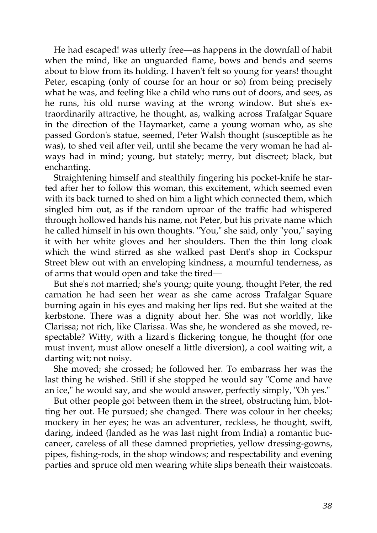He had escaped! was utterly free—as happens in the downfall of habit when the mind, like an unguarded flame, bows and bends and seems about to blow from its holding. I haven't felt so young for years! thought Peter, escaping (only of course for an hour or so) from being precisely what he was, and feeling like a child who runs out of doors, and sees, as he runs, his old nurse waving at the wrong window. But she's extraordinarily attractive, he thought, as, walking across Trafalgar Square in the direction of the Haymarket, came a young woman who, as she passed Gordon's statue, seemed, Peter Walsh thought (susceptible as he was), to shed veil after veil, until she became the very woman he had always had in mind; young, but stately; merry, but discreet; black, but enchanting.

Straightening himself and stealthily fingering his pocket-knife he started after her to follow this woman, this excitement, which seemed even with its back turned to shed on him a light which connected them, which singled him out, as if the random uproar of the traffic had whispered through hollowed hands his name, not Peter, but his private name which he called himself in his own thoughts. "You," she said, only "you," saying it with her white gloves and her shoulders. Then the thin long cloak which the wind stirred as she walked past Dent's shop in Cockspur Street blew out with an enveloping kindness, a mournful tenderness, as of arms that would open and take the tired—

But she's not married; she's young; quite young, thought Peter, the red carnation he had seen her wear as she came across Trafalgar Square burning again in his eyes and making her lips red. But she waited at the kerbstone. There was a dignity about her. She was not worldly, like Clarissa; not rich, like Clarissa. Was she, he wondered as she moved, respectable? Witty, with a lizard's flickering tongue, he thought (for one must invent, must allow oneself a little diversion), a cool waiting wit, a darting wit; not noisy.

She moved; she crossed; he followed her. To embarrass her was the last thing he wished. Still if she stopped he would say "Come and have an ice," he would say, and she would answer, perfectly simply, "Oh yes."

But other people got between them in the street, obstructing him, blotting her out. He pursued; she changed. There was colour in her cheeks; mockery in her eyes; he was an adventurer, reckless, he thought, swift, daring, indeed (landed as he was last night from India) a romantic buccaneer, careless of all these damned proprieties, yellow dressing-gowns, pipes, fishing-rods, in the shop windows; and respectability and evening parties and spruce old men wearing white slips beneath their waistcoats.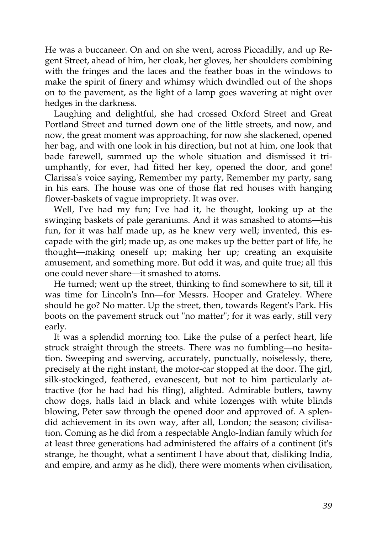He was a buccaneer. On and on she went, across Piccadilly, and up Regent Street, ahead of him, her cloak, her gloves, her shoulders combining with the fringes and the laces and the feather boas in the windows to make the spirit of finery and whimsy which dwindled out of the shops on to the pavement, as the light of a lamp goes wavering at night over hedges in the darkness.

Laughing and delightful, she had crossed Oxford Street and Great Portland Street and turned down one of the little streets, and now, and now, the great moment was approaching, for now she slackened, opened her bag, and with one look in his direction, but not at him, one look that bade farewell, summed up the whole situation and dismissed it triumphantly, for ever, had fitted her key, opened the door, and gone! Clarissa's voice saying, Remember my party, Remember my party, sang in his ears. The house was one of those flat red houses with hanging flower-baskets of vague impropriety. It was over.

Well, I've had my fun; I've had it, he thought, looking up at the swinging baskets of pale geraniums. And it was smashed to atoms—his fun, for it was half made up, as he knew very well; invented, this escapade with the girl; made up, as one makes up the better part of life, he thought—making oneself up; making her up; creating an exquisite amusement, and something more. But odd it was, and quite true; all this one could never share—it smashed to atoms.

He turned; went up the street, thinking to find somewhere to sit, till it was time for Lincoln's Inn—for Messrs. Hooper and Grateley. Where should he go? No matter. Up the street, then, towards Regent's Park. His boots on the pavement struck out "no matter"; for it was early, still very early.

It was a splendid morning too. Like the pulse of a perfect heart, life struck straight through the streets. There was no fumbling—no hesitation. Sweeping and swerving, accurately, punctually, noiselessly, there, precisely at the right instant, the motor-car stopped at the door. The girl, silk-stockinged, feathered, evanescent, but not to him particularly attractive (for he had had his fling), alighted. Admirable butlers, tawny chow dogs, halls laid in black and white lozenges with white blinds blowing, Peter saw through the opened door and approved of. A splendid achievement in its own way, after all, London; the season; civilisation. Coming as he did from a respectable Anglo-Indian family which for at least three generations had administered the affairs of a continent (it's strange, he thought, what a sentiment I have about that, disliking India, and empire, and army as he did), there were moments when civilisation,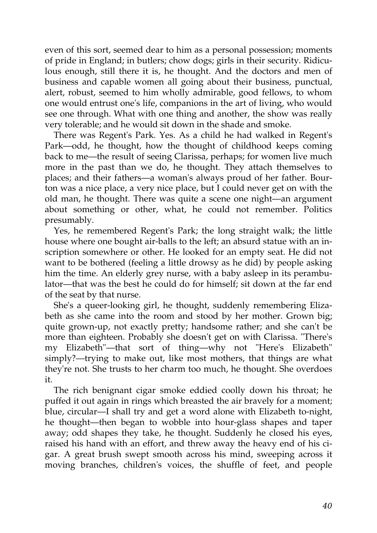even of this sort, seemed dear to him as a personal possession; moments of pride in England; in butlers; chow dogs; girls in their security. Ridiculous enough, still there it is, he thought. And the doctors and men of business and capable women all going about their business, punctual, alert, robust, seemed to him wholly admirable, good fellows, to whom one would entrust one's life, companions in the art of living, who would see one through. What with one thing and another, the show was really very tolerable; and he would sit down in the shade and smoke.

There was Regent's Park. Yes. As a child he had walked in Regent's Park—odd, he thought, how the thought of childhood keeps coming back to me—the result of seeing Clarissa, perhaps; for women live much more in the past than we do, he thought. They attach themselves to places; and their fathers—a woman's always proud of her father. Bourton was a nice place, a very nice place, but I could never get on with the old man, he thought. There was quite a scene one night—an argument about something or other, what, he could not remember. Politics presumably.

Yes, he remembered Regent's Park; the long straight walk; the little house where one bought air-balls to the left; an absurd statue with an inscription somewhere or other. He looked for an empty seat. He did not want to be bothered (feeling a little drowsy as he did) by people asking him the time. An elderly grey nurse, with a baby asleep in its perambulator—that was the best he could do for himself; sit down at the far end of the seat by that nurse.

She's a queer-looking girl, he thought, suddenly remembering Elizabeth as she came into the room and stood by her mother. Grown big; quite grown-up, not exactly pretty; handsome rather; and she can't be more than eighteen. Probably she doesn't get on with Clarissa. "There's my Elizabeth"—that sort of thing—why not "Here's Elizabeth" simply?—trying to make out, like most mothers, that things are what they're not. She trusts to her charm too much, he thought. She overdoes it.

The rich benignant cigar smoke eddied coolly down his throat; he puffed it out again in rings which breasted the air bravely for a moment; blue, circular—I shall try and get a word alone with Elizabeth to-night, he thought—then began to wobble into hour-glass shapes and taper away; odd shapes they take, he thought. Suddenly he closed his eyes, raised his hand with an effort, and threw away the heavy end of his cigar. A great brush swept smooth across his mind, sweeping across it moving branches, children's voices, the shuffle of feet, and people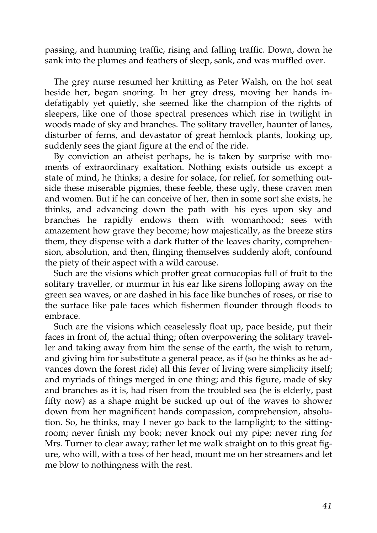passing, and humming traffic, rising and falling traffic. Down, down he sank into the plumes and feathers of sleep, sank, and was muffled over.

The grey nurse resumed her knitting as Peter Walsh, on the hot seat beside her, began snoring. In her grey dress, moving her hands indefatigably yet quietly, she seemed like the champion of the rights of sleepers, like one of those spectral presences which rise in twilight in woods made of sky and branches. The solitary traveller, haunter of lanes, disturber of ferns, and devastator of great hemlock plants, looking up, suddenly sees the giant figure at the end of the ride.

By conviction an atheist perhaps, he is taken by surprise with moments of extraordinary exaltation. Nothing exists outside us except a state of mind, he thinks; a desire for solace, for relief, for something outside these miserable pigmies, these feeble, these ugly, these craven men and women. But if he can conceive of her, then in some sort she exists, he thinks, and advancing down the path with his eyes upon sky and branches he rapidly endows them with womanhood; sees with amazement how grave they become; how majestically, as the breeze stirs them, they dispense with a dark flutter of the leaves charity, comprehension, absolution, and then, flinging themselves suddenly aloft, confound the piety of their aspect with a wild carouse.

Such are the visions which proffer great cornucopias full of fruit to the solitary traveller, or murmur in his ear like sirens lolloping away on the green sea waves, or are dashed in his face like bunches of roses, or rise to the surface like pale faces which fishermen flounder through floods to embrace.

Such are the visions which ceaselessly float up, pace beside, put their faces in front of, the actual thing; often overpowering the solitary traveller and taking away from him the sense of the earth, the wish to return, and giving him for substitute a general peace, as if (so he thinks as he advances down the forest ride) all this fever of living were simplicity itself; and myriads of things merged in one thing; and this figure, made of sky and branches as it is, had risen from the troubled sea (he is elderly, past fifty now) as a shape might be sucked up out of the waves to shower down from her magnificent hands compassion, comprehension, absolution. So, he thinks, may I never go back to the lamplight; to the sittingroom; never finish my book; never knock out my pipe; never ring for Mrs. Turner to clear away; rather let me walk straight on to this great figure, who will, with a toss of her head, mount me on her streamers and let me blow to nothingness with the rest.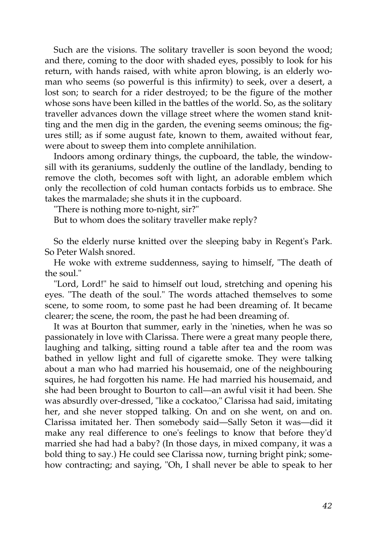Such are the visions. The solitary traveller is soon beyond the wood; and there, coming to the door with shaded eyes, possibly to look for his return, with hands raised, with white apron blowing, is an elderly woman who seems (so powerful is this infirmity) to seek, over a desert, a lost son; to search for a rider destroyed; to be the figure of the mother whose sons have been killed in the battles of the world. So, as the solitary traveller advances down the village street where the women stand knitting and the men dig in the garden, the evening seems ominous; the figures still; as if some august fate, known to them, awaited without fear, were about to sweep them into complete annihilation.

Indoors among ordinary things, the cupboard, the table, the windowsill with its geraniums, suddenly the outline of the landlady, bending to remove the cloth, becomes soft with light, an adorable emblem which only the recollection of cold human contacts forbids us to embrace. She takes the marmalade; she shuts it in the cupboard.

"There is nothing more to-night, sir?"

But to whom does the solitary traveller make reply?

So the elderly nurse knitted over the sleeping baby in Regent's Park. So Peter Walsh snored.

He woke with extreme suddenness, saying to himself, "The death of the soul."

"Lord, Lord!" he said to himself out loud, stretching and opening his eyes. "The death of the soul." The words attached themselves to some scene, to some room, to some past he had been dreaming of. It became clearer; the scene, the room, the past he had been dreaming of.

It was at Bourton that summer, early in the 'nineties, when he was so passionately in love with Clarissa. There were a great many people there, laughing and talking, sitting round a table after tea and the room was bathed in yellow light and full of cigarette smoke. They were talking about a man who had married his housemaid, one of the neighbouring squires, he had forgotten his name. He had married his housemaid, and she had been brought to Bourton to call—an awful visit it had been. She was absurdly over-dressed, "like a cockatoo," Clarissa had said, imitating her, and she never stopped talking. On and on she went, on and on. Clarissa imitated her. Then somebody said—Sally Seton it was—did it make any real difference to one's feelings to know that before they'd married she had had a baby? (In those days, in mixed company, it was a bold thing to say.) He could see Clarissa now, turning bright pink; somehow contracting; and saying, "Oh, I shall never be able to speak to her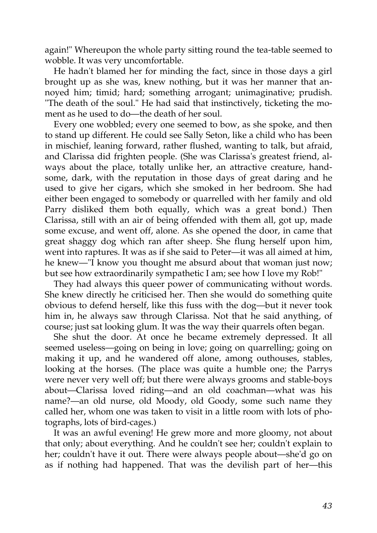again!" Whereupon the whole party sitting round the tea-table seemed to wobble. It was very uncomfortable.

He hadn't blamed her for minding the fact, since in those days a girl brought up as she was, knew nothing, but it was her manner that annoyed him; timid; hard; something arrogant; unimaginative; prudish. "The death of the soul." He had said that instinctively, ticketing the moment as he used to do—the death of her soul.

Every one wobbled; every one seemed to bow, as she spoke, and then to stand up different. He could see Sally Seton, like a child who has been in mischief, leaning forward, rather flushed, wanting to talk, but afraid, and Clarissa did frighten people. (She was Clarissa's greatest friend, always about the place, totally unlike her, an attractive creature, handsome, dark, with the reputation in those days of great daring and he used to give her cigars, which she smoked in her bedroom. She had either been engaged to somebody or quarrelled with her family and old Parry disliked them both equally, which was a great bond.) Then Clarissa, still with an air of being offended with them all, got up, made some excuse, and went off, alone. As she opened the door, in came that great shaggy dog which ran after sheep. She flung herself upon him, went into raptures. It was as if she said to Peter—it was all aimed at him, he knew—"I know you thought me absurd about that woman just now; but see how extraordinarily sympathetic I am; see how I love my Rob!"

They had always this queer power of communicating without words. She knew directly he criticised her. Then she would do something quite obvious to defend herself, like this fuss with the dog—but it never took him in, he always saw through Clarissa. Not that he said anything, of course; just sat looking glum. It was the way their quarrels often began.

She shut the door. At once he became extremely depressed. It all seemed useless—going on being in love; going on quarrelling; going on making it up, and he wandered off alone, among outhouses, stables, looking at the horses. (The place was quite a humble one; the Parrys were never very well off; but there were always grooms and stable-boys about—Clarissa loved riding—and an old coachman—what was his name?—an old nurse, old Moody, old Goody, some such name they called her, whom one was taken to visit in a little room with lots of photographs, lots of bird-cages.)

It was an awful evening! He grew more and more gloomy, not about that only; about everything. And he couldn't see her; couldn't explain to her; couldn't have it out. There were always people about—she'd go on as if nothing had happened. That was the devilish part of her—this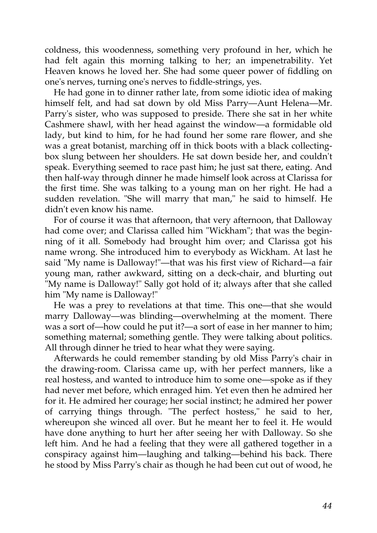coldness, this woodenness, something very profound in her, which he had felt again this morning talking to her; an impenetrability. Yet Heaven knows he loved her. She had some queer power of fiddling on one's nerves, turning one's nerves to fiddle-strings, yes.

He had gone in to dinner rather late, from some idiotic idea of making himself felt, and had sat down by old Miss Parry—Aunt Helena—Mr. Parry's sister, who was supposed to preside. There she sat in her white Cashmere shawl, with her head against the window—a formidable old lady, but kind to him, for he had found her some rare flower, and she was a great botanist, marching off in thick boots with a black collectingbox slung between her shoulders. He sat down beside her, and couldn't speak. Everything seemed to race past him; he just sat there, eating. And then half-way through dinner he made himself look across at Clarissa for the first time. She was talking to a young man on her right. He had a sudden revelation. "She will marry that man," he said to himself. He didn't even know his name.

For of course it was that afternoon, that very afternoon, that Dalloway had come over; and Clarissa called him "Wickham"; that was the beginning of it all. Somebody had brought him over; and Clarissa got his name wrong. She introduced him to everybody as Wickham. At last he said "My name is Dalloway!"—that was his first view of Richard—a fair young man, rather awkward, sitting on a deck-chair, and blurting out "My name is Dalloway!" Sally got hold of it; always after that she called him "My name is Dalloway!"

He was a prey to revelations at that time. This one—that she would marry Dalloway—was blinding—overwhelming at the moment. There was a sort of—how could he put it?—a sort of ease in her manner to him; something maternal; something gentle. They were talking about politics. All through dinner he tried to hear what they were saying.

Afterwards he could remember standing by old Miss Parry's chair in the drawing-room. Clarissa came up, with her perfect manners, like a real hostess, and wanted to introduce him to some one—spoke as if they had never met before, which enraged him. Yet even then he admired her for it. He admired her courage; her social instinct; he admired her power of carrying things through. "The perfect hostess," he said to her, whereupon she winced all over. But he meant her to feel it. He would have done anything to hurt her after seeing her with Dalloway. So she left him. And he had a feeling that they were all gathered together in a conspiracy against him—laughing and talking—behind his back. There he stood by Miss Parry's chair as though he had been cut out of wood, he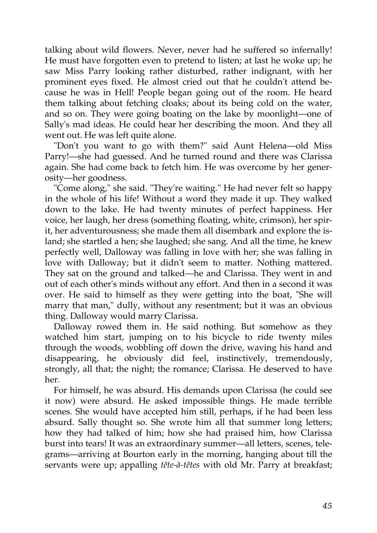talking about wild flowers. Never, never had he suffered so infernally! He must have forgotten even to pretend to listen; at last he woke up; he saw Miss Parry looking rather disturbed, rather indignant, with her prominent eyes fixed. He almost cried out that he couldn't attend because he was in Hell! People began going out of the room. He heard them talking about fetching cloaks; about its being cold on the water, and so on. They were going boating on the lake by moonlight—one of Sally's mad ideas. He could hear her describing the moon. And they all went out. He was left quite alone.

"Don't you want to go with them?" said Aunt Helena—old Miss Parry!—she had guessed. And he turned round and there was Clarissa again. She had come back to fetch him. He was overcome by her generosity—her goodness.

"Come along," she said. "They're waiting." He had never felt so happy in the whole of his life! Without a word they made it up. They walked down to the lake. He had twenty minutes of perfect happiness. Her voice, her laugh, her dress (something floating, white, crimson), her spirit, her adventurousness; she made them all disembark and explore the island; she startled a hen; she laughed; she sang. And all the time, he knew perfectly well, Dalloway was falling in love with her; she was falling in love with Dalloway; but it didn't seem to matter. Nothing mattered. They sat on the ground and talked—he and Clarissa. They went in and out of each other's minds without any effort. And then in a second it was over. He said to himself as they were getting into the boat, "She will marry that man," dully, without any resentment; but it was an obvious thing. Dalloway would marry Clarissa.

Dalloway rowed them in. He said nothing. But somehow as they watched him start, jumping on to his bicycle to ride twenty miles through the woods, wobbling off down the drive, waving his hand and disappearing, he obviously did feel, instinctively, tremendously, strongly, all that; the night; the romance; Clarissa. He deserved to have her.

For himself, he was absurd. His demands upon Clarissa (he could see it now) were absurd. He asked impossible things. He made terrible scenes. She would have accepted him still, perhaps, if he had been less absurd. Sally thought so. She wrote him all that summer long letters; how they had talked of him; how she had praised him, how Clarissa burst into tears! It was an extraordinary summer—all letters, scenes, telegrams—arriving at Bourton early in the morning, hanging about till the servants were up; appalling *tête-à-têtes* with old Mr. Parry at breakfast;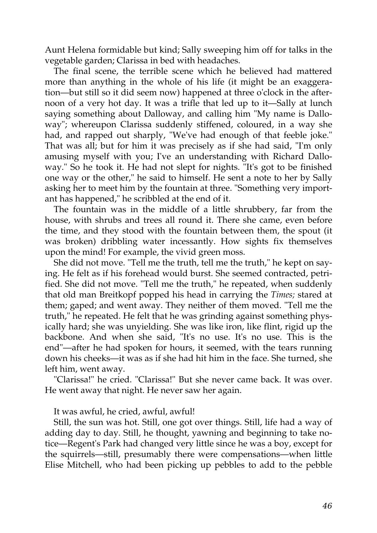Aunt Helena formidable but kind; Sally sweeping him off for talks in the vegetable garden; Clarissa in bed with headaches.

The final scene, the terrible scene which he believed had mattered more than anything in the whole of his life (it might be an exaggeration—but still so it did seem now) happened at three o'clock in the afternoon of a very hot day. It was a trifle that led up to it—Sally at lunch saying something about Dalloway, and calling him "My name is Dalloway"; whereupon Clarissa suddenly stiffened, coloured, in a way she had, and rapped out sharply, "We've had enough of that feeble joke." That was all; but for him it was precisely as if she had said, "I'm only amusing myself with you; I've an understanding with Richard Dalloway." So he took it. He had not slept for nights. "It's got to be finished one way or the other," he said to himself. He sent a note to her by Sally asking her to meet him by the fountain at three. "Something very important has happened," he scribbled at the end of it.

The fountain was in the middle of a little shrubbery, far from the house, with shrubs and trees all round it. There she came, even before the time, and they stood with the fountain between them, the spout (it was broken) dribbling water incessantly. How sights fix themselves upon the mind! For example, the vivid green moss.

She did not move. "Tell me the truth, tell me the truth," he kept on saying. He felt as if his forehead would burst. She seemed contracted, petrified. She did not move. "Tell me the truth," he repeated, when suddenly that old man Breitkopf popped his head in carrying the *Times;* stared at them; gaped; and went away. They neither of them moved. "Tell me the truth," he repeated. He felt that he was grinding against something physically hard; she was unyielding. She was like iron, like flint, rigid up the backbone. And when she said, "It's no use. It's no use. This is the end"—after he had spoken for hours, it seemed, with the tears running down his cheeks—it was as if she had hit him in the face. She turned, she left him, went away.

"Clarissa!" he cried. "Clarissa!" But she never came back. It was over. He went away that night. He never saw her again.

It was awful, he cried, awful, awful!

Still, the sun was hot. Still, one got over things. Still, life had a way of adding day to day. Still, he thought, yawning and beginning to take notice—Regent's Park had changed very little since he was a boy, except for the squirrels—still, presumably there were compensations—when little Elise Mitchell, who had been picking up pebbles to add to the pebble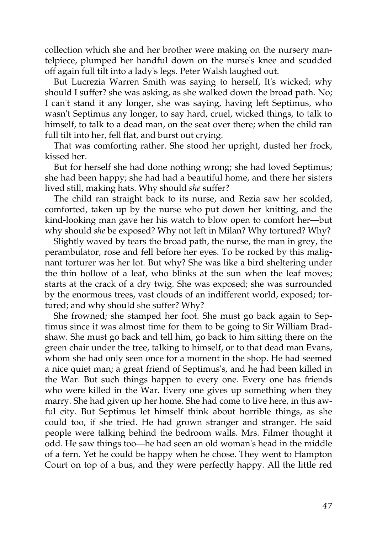collection which she and her brother were making on the nursery mantelpiece, plumped her handful down on the nurse's knee and scudded off again full tilt into a lady's legs. Peter Walsh laughed out.

But Lucrezia Warren Smith was saying to herself, It's wicked; why should I suffer? she was asking, as she walked down the broad path. No; I can't stand it any longer, she was saying, having left Septimus, who wasn't Septimus any longer, to say hard, cruel, wicked things, to talk to himself, to talk to a dead man, on the seat over there; when the child ran full tilt into her, fell flat, and burst out crying.

That was comforting rather. She stood her upright, dusted her frock, kissed her.

But for herself she had done nothing wrong; she had loved Septimus; she had been happy; she had had a beautiful home, and there her sisters lived still, making hats. Why should *she* suffer?

The child ran straight back to its nurse, and Rezia saw her scolded, comforted, taken up by the nurse who put down her knitting, and the kind-looking man gave her his watch to blow open to comfort her—but why should *she* be exposed? Why not left in Milan? Why tortured? Why?

Slightly waved by tears the broad path, the nurse, the man in grey, the perambulator, rose and fell before her eyes. To be rocked by this malignant torturer was her lot. But why? She was like a bird sheltering under the thin hollow of a leaf, who blinks at the sun when the leaf moves; starts at the crack of a dry twig. She was exposed; she was surrounded by the enormous trees, vast clouds of an indifferent world, exposed; tortured; and why should she suffer? Why?

She frowned; she stamped her foot. She must go back again to Septimus since it was almost time for them to be going to Sir William Bradshaw. She must go back and tell him, go back to him sitting there on the green chair under the tree, talking to himself, or to that dead man Evans, whom she had only seen once for a moment in the shop. He had seemed a nice quiet man; a great friend of Septimus's, and he had been killed in the War. But such things happen to every one. Every one has friends who were killed in the War. Every one gives up something when they marry. She had given up her home. She had come to live here, in this awful city. But Septimus let himself think about horrible things, as she could too, if she tried. He had grown stranger and stranger. He said people were talking behind the bedroom walls. Mrs. Filmer thought it odd. He saw things too—he had seen an old woman's head in the middle of a fern. Yet he could be happy when he chose. They went to Hampton Court on top of a bus, and they were perfectly happy. All the little red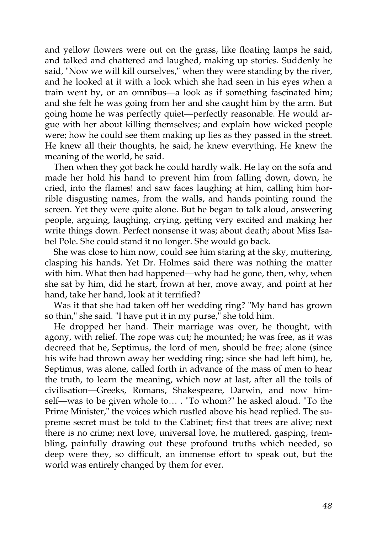and yellow flowers were out on the grass, like floating lamps he said, and talked and chattered and laughed, making up stories. Suddenly he said, "Now we will kill ourselves," when they were standing by the river, and he looked at it with a look which she had seen in his eyes when a train went by, or an omnibus—a look as if something fascinated him; and she felt he was going from her and she caught him by the arm. But going home he was perfectly quiet—perfectly reasonable. He would argue with her about killing themselves; and explain how wicked people were; how he could see them making up lies as they passed in the street. He knew all their thoughts, he said; he knew everything. He knew the meaning of the world, he said.

Then when they got back he could hardly walk. He lay on the sofa and made her hold his hand to prevent him from falling down, down, he cried, into the flames! and saw faces laughing at him, calling him horrible disgusting names, from the walls, and hands pointing round the screen. Yet they were quite alone. But he began to talk aloud, answering people, arguing, laughing, crying, getting very excited and making her write things down. Perfect nonsense it was; about death; about Miss Isabel Pole. She could stand it no longer. She would go back.

She was close to him now, could see him staring at the sky, muttering, clasping his hands. Yet Dr. Holmes said there was nothing the matter with him. What then had happened—why had he gone, then, why, when she sat by him, did he start, frown at her, move away, and point at her hand, take her hand, look at it terrified?

Was it that she had taken off her wedding ring? "My hand has grown so thin," she said. "I have put it in my purse," she told him.

He dropped her hand. Their marriage was over, he thought, with agony, with relief. The rope was cut; he mounted; he was free, as it was decreed that he, Septimus, the lord of men, should be free; alone (since his wife had thrown away her wedding ring; since she had left him), he, Septimus, was alone, called forth in advance of the mass of men to hear the truth, to learn the meaning, which now at last, after all the toils of civilisation—Greeks, Romans, Shakespeare, Darwin, and now himself—was to be given whole to… . "To whom?" he asked aloud. "To the Prime Minister," the voices which rustled above his head replied. The supreme secret must be told to the Cabinet; first that trees are alive; next there is no crime; next love, universal love, he muttered, gasping, trembling, painfully drawing out these profound truths which needed, so deep were they, so difficult, an immense effort to speak out, but the world was entirely changed by them for ever.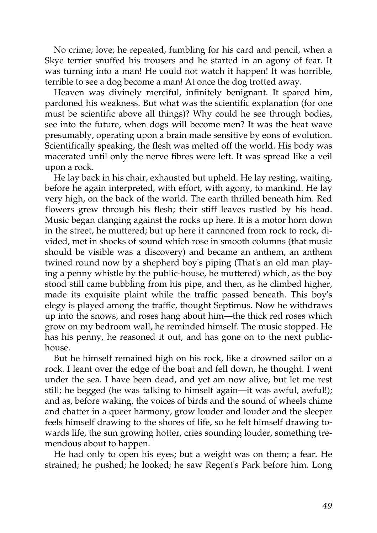No crime; love; he repeated, fumbling for his card and pencil, when a Skye terrier snuffed his trousers and he started in an agony of fear. It was turning into a man! He could not watch it happen! It was horrible, terrible to see a dog become a man! At once the dog trotted away.

Heaven was divinely merciful, infinitely benignant. It spared him, pardoned his weakness. But what was the scientific explanation (for one must be scientific above all things)? Why could he see through bodies, see into the future, when dogs will become men? It was the heat wave presumably, operating upon a brain made sensitive by eons of evolution. Scientifically speaking, the flesh was melted off the world. His body was macerated until only the nerve fibres were left. It was spread like a veil upon a rock.

He lay back in his chair, exhausted but upheld. He lay resting, waiting, before he again interpreted, with effort, with agony, to mankind. He lay very high, on the back of the world. The earth thrilled beneath him. Red flowers grew through his flesh; their stiff leaves rustled by his head. Music began clanging against the rocks up here. It is a motor horn down in the street, he muttered; but up here it cannoned from rock to rock, divided, met in shocks of sound which rose in smooth columns (that music should be visible was a discovery) and became an anthem, an anthem twined round now by a shepherd boy's piping (That's an old man playing a penny whistle by the public-house, he muttered) which, as the boy stood still came bubbling from his pipe, and then, as he climbed higher, made its exquisite plaint while the traffic passed beneath. This boy's elegy is played among the traffic, thought Septimus. Now he withdraws up into the snows, and roses hang about him—the thick red roses which grow on my bedroom wall, he reminded himself. The music stopped. He has his penny, he reasoned it out, and has gone on to the next publichouse.

But he himself remained high on his rock, like a drowned sailor on a rock. I leant over the edge of the boat and fell down, he thought. I went under the sea. I have been dead, and yet am now alive, but let me rest still; he begged (he was talking to himself again—it was awful, awful!); and as, before waking, the voices of birds and the sound of wheels chime and chatter in a queer harmony, grow louder and louder and the sleeper feels himself drawing to the shores of life, so he felt himself drawing towards life, the sun growing hotter, cries sounding louder, something tremendous about to happen.

He had only to open his eyes; but a weight was on them; a fear. He strained; he pushed; he looked; he saw Regent's Park before him. Long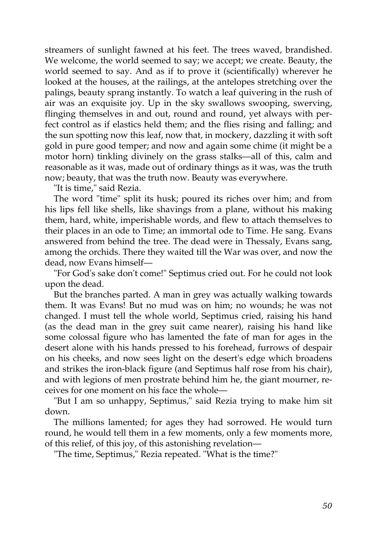streamers of sunlight fawned at his feet. The trees waved, brandished. We welcome, the world seemed to say; we accept; we create. Beauty, the world seemed to say. And as if to prove it (scientifically) wherever he looked at the houses, at the railings, at the antelopes stretching over the palings, beauty sprang instantly. To watch a leaf quivering in the rush of air was an exquisite joy. Up in the sky swallows swooping, swerving, flinging themselves in and out, round and round, yet always with perfect control as if elastics held them; and the flies rising and falling; and the sun spotting now this leaf, now that, in mockery, dazzling it with soft gold in pure good temper; and now and again some chime (it might be a motor horn) tinkling divinely on the grass stalks—all of this, calm and reasonable as it was, made out of ordinary things as it was, was the truth now; beauty, that was the truth now. Beauty was everywhere.

"It is time," said Rezia.

The word "time" split its husk; poured its riches over him; and from his lips fell like shells, like shavings from a plane, without his making them, hard, white, imperishable words, and flew to attach themselves to their places in an ode to Time; an immortal ode to Time. He sang. Evans answered from behind the tree. The dead were in Thessaly, Evans sang, among the orchids. There they waited till the War was over, and now the dead, now Evans himself—

"For God's sake don't come!" Septimus cried out. For he could not look upon the dead.

But the branches parted. A man in grey was actually walking towards them. It was Evans! But no mud was on him; no wounds; he was not changed. I must tell the whole world, Septimus cried, raising his hand (as the dead man in the grey suit came nearer), raising his hand like some colossal figure who has lamented the fate of man for ages in the desert alone with his hands pressed to his forehead, furrows of despair on his cheeks, and now sees light on the desert's edge which broadens and strikes the iron-black figure (and Septimus half rose from his chair), and with legions of men prostrate behind him he, the giant mourner, receives for one moment on his face the whole—

"But I am so unhappy, Septimus," said Rezia trying to make him sit down.

The millions lamented; for ages they had sorrowed. He would turn round, he would tell them in a few moments, only a few moments more, of this relief, of this joy, of this astonishing revelation—

"The time, Septimus," Rezia repeated. "What is the time?"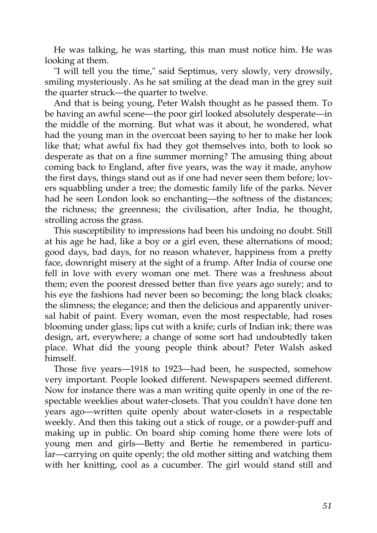He was talking, he was starting, this man must notice him. He was looking at them.

"I will tell you the time," said Septimus, very slowly, very drowsily, smiling mysteriously. As he sat smiling at the dead man in the grey suit the quarter struck—the quarter to twelve.

And that is being young, Peter Walsh thought as he passed them. To be having an awful scene—the poor girl looked absolutely desperate—in the middle of the morning. But what was it about, he wondered, what had the young man in the overcoat been saying to her to make her look like that; what awful fix had they got themselves into, both to look so desperate as that on a fine summer morning? The amusing thing about coming back to England, after five years, was the way it made, anyhow the first days, things stand out as if one had never seen them before; lovers squabbling under a tree; the domestic family life of the parks. Never had he seen London look so enchanting—the softness of the distances; the richness; the greenness; the civilisation, after India, he thought, strolling across the grass.

This susceptibility to impressions had been his undoing no doubt. Still at his age he had, like a boy or a girl even, these alternations of mood; good days, bad days, for no reason whatever, happiness from a pretty face, downright misery at the sight of a frump. After India of course one fell in love with every woman one met. There was a freshness about them; even the poorest dressed better than five years ago surely; and to his eye the fashions had never been so becoming; the long black cloaks; the slimness; the elegance; and then the delicious and apparently universal habit of paint. Every woman, even the most respectable, had roses blooming under glass; lips cut with a knife; curls of Indian ink; there was design, art, everywhere; a change of some sort had undoubtedly taken place. What did the young people think about? Peter Walsh asked himself.

Those five years—1918 to 1923—had been, he suspected, somehow very important. People looked different. Newspapers seemed different. Now for instance there was a man writing quite openly in one of the respectable weeklies about water-closets. That you couldn't have done ten years ago—written quite openly about water-closets in a respectable weekly. And then this taking out a stick of rouge, or a powder-puff and making up in public. On board ship coming home there were lots of young men and girls—Betty and Bertie he remembered in particular—carrying on quite openly; the old mother sitting and watching them with her knitting, cool as a cucumber. The girl would stand still and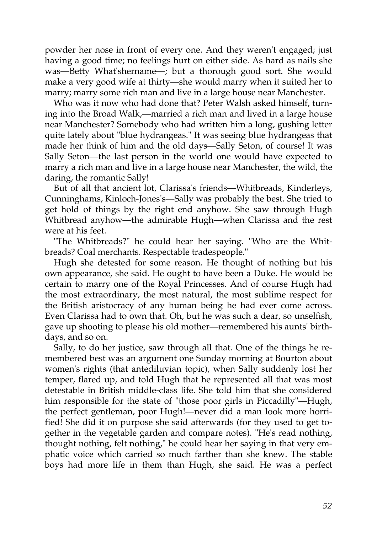powder her nose in front of every one. And they weren't engaged; just having a good time; no feelings hurt on either side. As hard as nails she was—Betty What'shername—; but a thorough good sort. She would make a very good wife at thirty—she would marry when it suited her to marry; marry some rich man and live in a large house near Manchester.

Who was it now who had done that? Peter Walsh asked himself, turning into the Broad Walk,—married a rich man and lived in a large house near Manchester? Somebody who had written him a long, gushing letter quite lately about "blue hydrangeas." It was seeing blue hydrangeas that made her think of him and the old days—Sally Seton, of course! It was Sally Seton—the last person in the world one would have expected to marry a rich man and live in a large house near Manchester, the wild, the daring, the romantic Sally!

But of all that ancient lot, Clarissa's friends—Whitbreads, Kinderleys, Cunninghams, Kinloch-Jones's—Sally was probably the best. She tried to get hold of things by the right end anyhow. She saw through Hugh Whitbread anyhow—the admirable Hugh—when Clarissa and the rest were at his feet.

"The Whitbreads?" he could hear her saying. "Who are the Whitbreads? Coal merchants. Respectable tradespeople."

Hugh she detested for some reason. He thought of nothing but his own appearance, she said. He ought to have been a Duke. He would be certain to marry one of the Royal Princesses. And of course Hugh had the most extraordinary, the most natural, the most sublime respect for the British aristocracy of any human being he had ever come across. Even Clarissa had to own that. Oh, but he was such a dear, so unselfish, gave up shooting to please his old mother—remembered his aunts' birthdays, and so on.

Sally, to do her justice, saw through all that. One of the things he remembered best was an argument one Sunday morning at Bourton about women's rights (that antediluvian topic), when Sally suddenly lost her temper, flared up, and told Hugh that he represented all that was most detestable in British middle-class life. She told him that she considered him responsible for the state of "those poor girls in Piccadilly"—Hugh, the perfect gentleman, poor Hugh!—never did a man look more horrified! She did it on purpose she said afterwards (for they used to get together in the vegetable garden and compare notes). "He's read nothing, thought nothing, felt nothing," he could hear her saying in that very emphatic voice which carried so much farther than she knew. The stable boys had more life in them than Hugh, she said. He was a perfect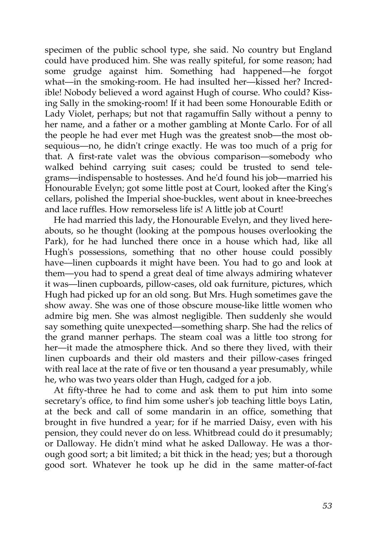specimen of the public school type, she said. No country but England could have produced him. She was really spiteful, for some reason; had some grudge against him. Something had happened—he forgot what—in the smoking-room. He had insulted her—kissed her? Incredible! Nobody believed a word against Hugh of course. Who could? Kissing Sally in the smoking-room! If it had been some Honourable Edith or Lady Violet, perhaps; but not that ragamuffin Sally without a penny to her name, and a father or a mother gambling at Monte Carlo. For of all the people he had ever met Hugh was the greatest snob—the most obsequious—no, he didn't cringe exactly. He was too much of a prig for that. A first-rate valet was the obvious comparison—somebody who walked behind carrying suit cases; could be trusted to send telegrams—indispensable to hostesses. And he'd found his job—married his Honourable Evelyn; got some little post at Court, looked after the King's cellars, polished the Imperial shoe-buckles, went about in knee-breeches and lace ruffles. How remorseless life is! A little job at Court!

He had married this lady, the Honourable Evelyn, and they lived hereabouts, so he thought (looking at the pompous houses overlooking the Park), for he had lunched there once in a house which had, like all Hugh's possessions, something that no other house could possibly have—linen cupboards it might have been. You had to go and look at them—you had to spend a great deal of time always admiring whatever it was—linen cupboards, pillow-cases, old oak furniture, pictures, which Hugh had picked up for an old song. But Mrs. Hugh sometimes gave the show away. She was one of those obscure mouse-like little women who admire big men. She was almost negligible. Then suddenly she would say something quite unexpected—something sharp. She had the relics of the grand manner perhaps. The steam coal was a little too strong for her—it made the atmosphere thick. And so there they lived, with their linen cupboards and their old masters and their pillow-cases fringed with real lace at the rate of five or ten thousand a year presumably, while he, who was two years older than Hugh, cadged for a job.

At fifty-three he had to come and ask them to put him into some secretary's office, to find him some usher's job teaching little boys Latin, at the beck and call of some mandarin in an office, something that brought in five hundred a year; for if he married Daisy, even with his pension, they could never do on less. Whitbread could do it presumably; or Dalloway. He didn't mind what he asked Dalloway. He was a thorough good sort; a bit limited; a bit thick in the head; yes; but a thorough good sort. Whatever he took up he did in the same matter-of-fact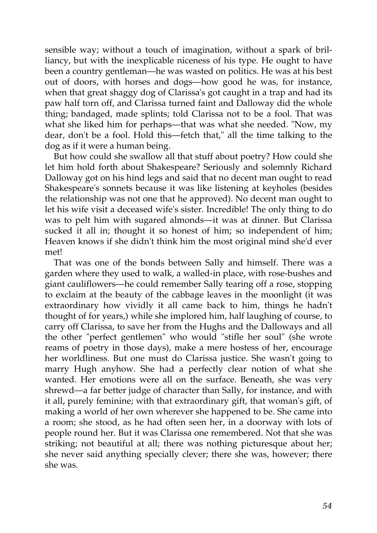sensible way; without a touch of imagination, without a spark of brilliancy, but with the inexplicable niceness of his type. He ought to have been a country gentleman—he was wasted on politics. He was at his best out of doors, with horses and dogs—how good he was, for instance, when that great shaggy dog of Clarissa's got caught in a trap and had its paw half torn off, and Clarissa turned faint and Dalloway did the whole thing; bandaged, made splints; told Clarissa not to be a fool. That was what she liked him for perhaps—that was what she needed. "Now, my dear, don't be a fool. Hold this—fetch that," all the time talking to the dog as if it were a human being.

But how could she swallow all that stuff about poetry? How could she let him hold forth about Shakespeare? Seriously and solemnly Richard Dalloway got on his hind legs and said that no decent man ought to read Shakespeare's sonnets because it was like listening at keyholes (besides the relationship was not one that he approved). No decent man ought to let his wife visit a deceased wife's sister. Incredible! The only thing to do was to pelt him with sugared almonds—it was at dinner. But Clarissa sucked it all in; thought it so honest of him; so independent of him; Heaven knows if she didn't think him the most original mind she'd ever met!

That was one of the bonds between Sally and himself. There was a garden where they used to walk, a walled-in place, with rose-bushes and giant cauliflowers—he could remember Sally tearing off a rose, stopping to exclaim at the beauty of the cabbage leaves in the moonlight (it was extraordinary how vividly it all came back to him, things he hadn't thought of for years,) while she implored him, half laughing of course, to carry off Clarissa, to save her from the Hughs and the Dalloways and all the other "perfect gentlemen" who would "stifle her soul" (she wrote reams of poetry in those days), make a mere hostess of her, encourage her worldliness. But one must do Clarissa justice. She wasn't going to marry Hugh anyhow. She had a perfectly clear notion of what she wanted. Her emotions were all on the surface. Beneath, she was very shrewd—a far better judge of character than Sally, for instance, and with it all, purely feminine; with that extraordinary gift, that woman's gift, of making a world of her own wherever she happened to be. She came into a room; she stood, as he had often seen her, in a doorway with lots of people round her. But it was Clarissa one remembered. Not that she was striking; not beautiful at all; there was nothing picturesque about her; she never said anything specially clever; there she was, however; there she was.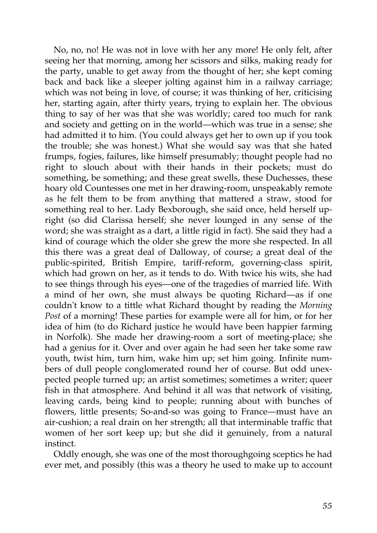No, no, no! He was not in love with her any more! He only felt, after seeing her that morning, among her scissors and silks, making ready for the party, unable to get away from the thought of her; she kept coming back and back like a sleeper jolting against him in a railway carriage; which was not being in love, of course; it was thinking of her, criticising her, starting again, after thirty years, trying to explain her. The obvious thing to say of her was that she was worldly; cared too much for rank and society and getting on in the world—which was true in a sense; she had admitted it to him. (You could always get her to own up if you took the trouble; she was honest.) What she would say was that she hated frumps, fogies, failures, like himself presumably; thought people had no right to slouch about with their hands in their pockets; must do something, be something; and these great swells, these Duchesses, these hoary old Countesses one met in her drawing-room, unspeakably remote as he felt them to be from anything that mattered a straw, stood for something real to her. Lady Bexborough, she said once, held herself upright (so did Clarissa herself; she never lounged in any sense of the word; she was straight as a dart, a little rigid in fact). She said they had a kind of courage which the older she grew the more she respected. In all this there was a great deal of Dalloway, of course; a great deal of the public-spirited, British Empire, tariff-reform, governing-class spirit, which had grown on her, as it tends to do. With twice his wits, she had to see things through his eyes—one of the tragedies of married life. With a mind of her own, she must always be quoting Richard—as if one couldn't know to a tittle what Richard thought by reading the *Morning Post* of a morning! These parties for example were all for him, or for her idea of him (to do Richard justice he would have been happier farming in Norfolk). She made her drawing-room a sort of meeting-place; she had a genius for it. Over and over again he had seen her take some raw youth, twist him, turn him, wake him up; set him going. Infinite numbers of dull people conglomerated round her of course. But odd unexpected people turned up; an artist sometimes; sometimes a writer; queer fish in that atmosphere. And behind it all was that network of visiting, leaving cards, being kind to people; running about with bunches of flowers, little presents; So-and-so was going to France—must have an air-cushion; a real drain on her strength; all that interminable traffic that women of her sort keep up; but she did it genuinely, from a natural instinct.

Oddly enough, she was one of the most thoroughgoing sceptics he had ever met, and possibly (this was a theory he used to make up to account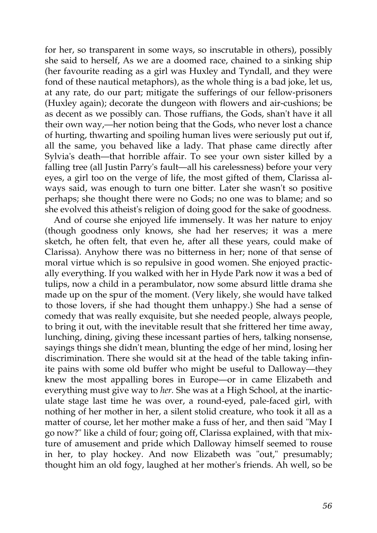for her, so transparent in some ways, so inscrutable in others), possibly she said to herself, As we are a doomed race, chained to a sinking ship (her favourite reading as a girl was Huxley and Tyndall, and they were fond of these nautical metaphors), as the whole thing is a bad joke, let us, at any rate, do our part; mitigate the sufferings of our fellow-prisoners (Huxley again); decorate the dungeon with flowers and air-cushions; be as decent as we possibly can. Those ruffians, the Gods, shan't have it all their own way,—her notion being that the Gods, who never lost a chance of hurting, thwarting and spoiling human lives were seriously put out if, all the same, you behaved like a lady. That phase came directly after Sylvia's death—that horrible affair. To see your own sister killed by a falling tree (all Justin Parry's fault—all his carelessness) before your very eyes, a girl too on the verge of life, the most gifted of them, Clarissa always said, was enough to turn one bitter. Later she wasn't so positive perhaps; she thought there were no Gods; no one was to blame; and so she evolved this atheist's religion of doing good for the sake of goodness.

And of course she enjoyed life immensely. It was her nature to enjoy (though goodness only knows, she had her reserves; it was a mere sketch, he often felt, that even he, after all these years, could make of Clarissa). Anyhow there was no bitterness in her; none of that sense of moral virtue which is so repulsive in good women. She enjoyed practically everything. If you walked with her in Hyde Park now it was a bed of tulips, now a child in a perambulator, now some absurd little drama she made up on the spur of the moment. (Very likely, she would have talked to those lovers, if she had thought them unhappy.) She had a sense of comedy that was really exquisite, but she needed people, always people, to bring it out, with the inevitable result that she frittered her time away, lunching, dining, giving these incessant parties of hers, talking nonsense, sayings things she didn't mean, blunting the edge of her mind, losing her discrimination. There she would sit at the head of the table taking infinite pains with some old buffer who might be useful to Dalloway—they knew the most appalling bores in Europe—or in came Elizabeth and everything must give way to *her.* She was at a High School, at the inarticulate stage last time he was over, a round-eyed, pale-faced girl, with nothing of her mother in her, a silent stolid creature, who took it all as a matter of course, let her mother make a fuss of her, and then said "May I go now?" like a child of four; going off, Clarissa explained, with that mixture of amusement and pride which Dalloway himself seemed to rouse in her, to play hockey. And now Elizabeth was "out," presumably; thought him an old fogy, laughed at her mother's friends. Ah well, so be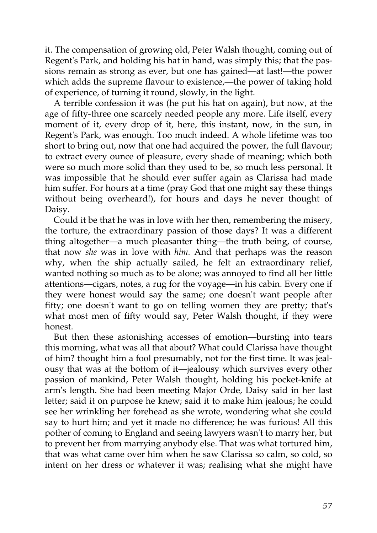it. The compensation of growing old, Peter Walsh thought, coming out of Regent's Park, and holding his hat in hand, was simply this; that the passions remain as strong as ever, but one has gained—at last!—the power which adds the supreme flavour to existence,—the power of taking hold of experience, of turning it round, slowly, in the light.

A terrible confession it was (he put his hat on again), but now, at the age of fifty-three one scarcely needed people any more. Life itself, every moment of it, every drop of it, here, this instant, now, in the sun, in Regent's Park, was enough. Too much indeed. A whole lifetime was too short to bring out, now that one had acquired the power, the full flavour; to extract every ounce of pleasure, every shade of meaning; which both were so much more solid than they used to be, so much less personal. It was impossible that he should ever suffer again as Clarissa had made him suffer. For hours at a time (pray God that one might say these things without being overheard!), for hours and days he never thought of Daisy.

Could it be that he was in love with her then, remembering the misery, the torture, the extraordinary passion of those days? It was a different thing altogether—a much pleasanter thing—the truth being, of course, that now *she* was in love with *him.* And that perhaps was the reason why, when the ship actually sailed, he felt an extraordinary relief, wanted nothing so much as to be alone; was annoyed to find all her little attentions—cigars, notes, a rug for the voyage—in his cabin. Every one if they were honest would say the same; one doesn't want people after fifty; one doesn't want to go on telling women they are pretty; that's what most men of fifty would say, Peter Walsh thought, if they were honest.

But then these astonishing accesses of emotion—bursting into tears this morning, what was all that about? What could Clarissa have thought of him? thought him a fool presumably, not for the first time. It was jealousy that was at the bottom of it—jealousy which survives every other passion of mankind, Peter Walsh thought, holding his pocket-knife at arm's length. She had been meeting Major Orde, Daisy said in her last letter; said it on purpose he knew; said it to make him jealous; he could see her wrinkling her forehead as she wrote, wondering what she could say to hurt him; and yet it made no difference; he was furious! All this pother of coming to England and seeing lawyers wasn't to marry her, but to prevent her from marrying anybody else. That was what tortured him, that was what came over him when he saw Clarissa so calm, so cold, so intent on her dress or whatever it was; realising what she might have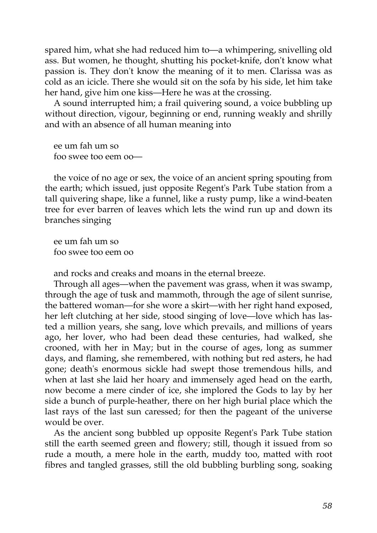spared him, what she had reduced him to—a whimpering, snivelling old ass. But women, he thought, shutting his pocket-knife, don't know what passion is. They don't know the meaning of it to men. Clarissa was as cold as an icicle. There she would sit on the sofa by his side, let him take her hand, give him one kiss—Here he was at the crossing.

A sound interrupted him; a frail quivering sound, a voice bubbling up without direction, vigour, beginning or end, running weakly and shrilly and with an absence of all human meaning into

ee um fah um so foo swee too eem oo—

the voice of no age or sex, the voice of an ancient spring spouting from the earth; which issued, just opposite Regent's Park Tube station from a tall quivering shape, like a funnel, like a rusty pump, like a wind-beaten tree for ever barren of leaves which lets the wind run up and down its branches singing

ee um fah um so foo swee too eem oo

and rocks and creaks and moans in the eternal breeze.

Through all ages—when the pavement was grass, when it was swamp, through the age of tusk and mammoth, through the age of silent sunrise, the battered woman—for she wore a skirt—with her right hand exposed, her left clutching at her side, stood singing of love—love which has lasted a million years, she sang, love which prevails, and millions of years ago, her lover, who had been dead these centuries, had walked, she crooned, with her in May; but in the course of ages, long as summer days, and flaming, she remembered, with nothing but red asters, he had gone; death's enormous sickle had swept those tremendous hills, and when at last she laid her hoary and immensely aged head on the earth, now become a mere cinder of ice, she implored the Gods to lay by her side a bunch of purple-heather, there on her high burial place which the last rays of the last sun caressed; for then the pageant of the universe would be over.

As the ancient song bubbled up opposite Regent's Park Tube station still the earth seemed green and flowery; still, though it issued from so rude a mouth, a mere hole in the earth, muddy too, matted with root fibres and tangled grasses, still the old bubbling burbling song, soaking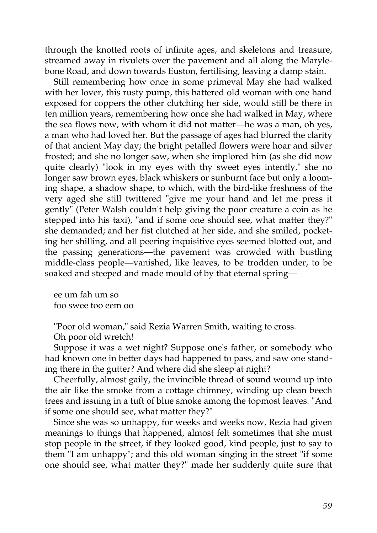through the knotted roots of infinite ages, and skeletons and treasure, streamed away in rivulets over the pavement and all along the Marylebone Road, and down towards Euston, fertilising, leaving a damp stain.

Still remembering how once in some primeval May she had walked with her lover, this rusty pump, this battered old woman with one hand exposed for coppers the other clutching her side, would still be there in ten million years, remembering how once she had walked in May, where the sea flows now, with whom it did not matter—he was a man, oh yes, a man who had loved her. But the passage of ages had blurred the clarity of that ancient May day; the bright petalled flowers were hoar and silver frosted; and she no longer saw, when she implored him (as she did now quite clearly) "look in my eyes with thy sweet eyes intently," she no longer saw brown eyes, black whiskers or sunburnt face but only a looming shape, a shadow shape, to which, with the bird-like freshness of the very aged she still twittered "give me your hand and let me press it gently" (Peter Walsh couldn't help giving the poor creature a coin as he stepped into his taxi), "and if some one should see, what matter they?" she demanded; and her fist clutched at her side, and she smiled, pocketing her shilling, and all peering inquisitive eyes seemed blotted out, and the passing generations—the pavement was crowded with bustling middle-class people—vanished, like leaves, to be trodden under, to be soaked and steeped and made mould of by that eternal spring—

ee um fah um so foo swee too eem oo

"Poor old woman," said Rezia Warren Smith, waiting to cross.

Oh poor old wretch!

Suppose it was a wet night? Suppose one's father, or somebody who had known one in better days had happened to pass, and saw one standing there in the gutter? And where did she sleep at night?

Cheerfully, almost gaily, the invincible thread of sound wound up into the air like the smoke from a cottage chimney, winding up clean beech trees and issuing in a tuft of blue smoke among the topmost leaves. "And if some one should see, what matter they?"

Since she was so unhappy, for weeks and weeks now, Rezia had given meanings to things that happened, almost felt sometimes that she must stop people in the street, if they looked good, kind people, just to say to them "I am unhappy"; and this old woman singing in the street "if some one should see, what matter they?" made her suddenly quite sure that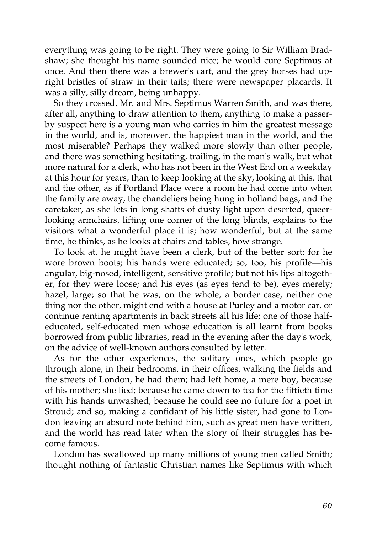everything was going to be right. They were going to Sir William Bradshaw; she thought his name sounded nice; he would cure Septimus at once. And then there was a brewer's cart, and the grey horses had upright bristles of straw in their tails; there were newspaper placards. It was a silly, silly dream, being unhappy.

So they crossed, Mr. and Mrs. Septimus Warren Smith, and was there, after all, anything to draw attention to them, anything to make a passerby suspect here is a young man who carries in him the greatest message in the world, and is, moreover, the happiest man in the world, and the most miserable? Perhaps they walked more slowly than other people, and there was something hesitating, trailing, in the man's walk, but what more natural for a clerk, who has not been in the West End on a weekday at this hour for years, than to keep looking at the sky, looking at this, that and the other, as if Portland Place were a room he had come into when the family are away, the chandeliers being hung in holland bags, and the caretaker, as she lets in long shafts of dusty light upon deserted, queerlooking armchairs, lifting one corner of the long blinds, explains to the visitors what a wonderful place it is; how wonderful, but at the same time, he thinks, as he looks at chairs and tables, how strange.

To look at, he might have been a clerk, but of the better sort; for he wore brown boots; his hands were educated; so, too, his profile—his angular, big-nosed, intelligent, sensitive profile; but not his lips altogether, for they were loose; and his eyes (as eyes tend to be), eyes merely; hazel, large; so that he was, on the whole, a border case, neither one thing nor the other, might end with a house at Purley and a motor car, or continue renting apartments in back streets all his life; one of those halfeducated, self-educated men whose education is all learnt from books borrowed from public libraries, read in the evening after the day's work, on the advice of well-known authors consulted by letter.

As for the other experiences, the solitary ones, which people go through alone, in their bedrooms, in their offices, walking the fields and the streets of London, he had them; had left home, a mere boy, because of his mother; she lied; because he came down to tea for the fiftieth time with his hands unwashed; because he could see no future for a poet in Stroud; and so, making a confidant of his little sister, had gone to London leaving an absurd note behind him, such as great men have written, and the world has read later when the story of their struggles has become famous.

London has swallowed up many millions of young men called Smith; thought nothing of fantastic Christian names like Septimus with which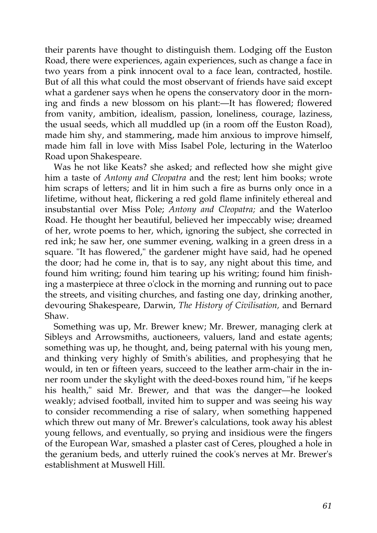their parents have thought to distinguish them. Lodging off the Euston Road, there were experiences, again experiences, such as change a face in two years from a pink innocent oval to a face lean, contracted, hostile. But of all this what could the most observant of friends have said except what a gardener says when he opens the conservatory door in the morning and finds a new blossom on his plant:—It has flowered; flowered from vanity, ambition, idealism, passion, loneliness, courage, laziness, the usual seeds, which all muddled up (in a room off the Euston Road), made him shy, and stammering, made him anxious to improve himself, made him fall in love with Miss Isabel Pole, lecturing in the Waterloo Road upon Shakespeare.

Was he not like Keats? she asked; and reflected how she might give him a taste of *Antony and Cleopatra* and the rest; lent him books; wrote him scraps of letters; and lit in him such a fire as burns only once in a lifetime, without heat, flickering a red gold flame infinitely ethereal and insubstantial over Miss Pole; *Antony and Cleopatra;* and the Waterloo Road. He thought her beautiful, believed her impeccably wise; dreamed of her, wrote poems to her, which, ignoring the subject, she corrected in red ink; he saw her, one summer evening, walking in a green dress in a square. "It has flowered," the gardener might have said, had he opened the door; had he come in, that is to say, any night about this time, and found him writing; found him tearing up his writing; found him finishing a masterpiece at three o'clock in the morning and running out to pace the streets, and visiting churches, and fasting one day, drinking another, devouring Shakespeare, Darwin, *The History of Civilisation,* and Bernard Shaw.

Something was up, Mr. Brewer knew; Mr. Brewer, managing clerk at Sibleys and Arrowsmiths, auctioneers, valuers, land and estate agents; something was up, he thought, and, being paternal with his young men, and thinking very highly of Smith's abilities, and prophesying that he would, in ten or fifteen years, succeed to the leather arm-chair in the inner room under the skylight with the deed-boxes round him, "if he keeps his health," said Mr. Brewer, and that was the danger—he looked weakly; advised football, invited him to supper and was seeing his way to consider recommending a rise of salary, when something happened which threw out many of Mr. Brewer's calculations, took away his ablest young fellows, and eventually, so prying and insidious were the fingers of the European War, smashed a plaster cast of Ceres, ploughed a hole in the geranium beds, and utterly ruined the cook's nerves at Mr. Brewer's establishment at Muswell Hill.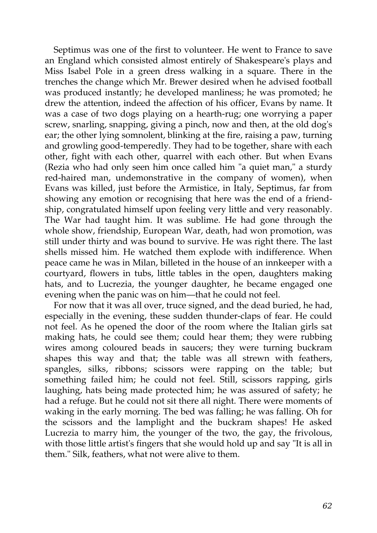Septimus was one of the first to volunteer. He went to France to save an England which consisted almost entirely of Shakespeare's plays and Miss Isabel Pole in a green dress walking in a square. There in the trenches the change which Mr. Brewer desired when he advised football was produced instantly; he developed manliness; he was promoted; he drew the attention, indeed the affection of his officer, Evans by name. It was a case of two dogs playing on a hearth-rug; one worrying a paper screw, snarling, snapping, giving a pinch, now and then, at the old dog's ear; the other lying somnolent, blinking at the fire, raising a paw, turning and growling good-temperedly. They had to be together, share with each other, fight with each other, quarrel with each other. But when Evans (Rezia who had only seen him once called him "a quiet man," a sturdy red-haired man, undemonstrative in the company of women), when Evans was killed, just before the Armistice, in Italy, Septimus, far from showing any emotion or recognising that here was the end of a friendship, congratulated himself upon feeling very little and very reasonably. The War had taught him. It was sublime. He had gone through the whole show, friendship, European War, death, had won promotion, was still under thirty and was bound to survive. He was right there. The last shells missed him. He watched them explode with indifference. When peace came he was in Milan, billeted in the house of an innkeeper with a courtyard, flowers in tubs, little tables in the open, daughters making hats, and to Lucrezia, the younger daughter, he became engaged one evening when the panic was on him—that he could not feel.

For now that it was all over, truce signed, and the dead buried, he had, especially in the evening, these sudden thunder-claps of fear. He could not feel. As he opened the door of the room where the Italian girls sat making hats, he could see them; could hear them; they were rubbing wires among coloured beads in saucers; they were turning buckram shapes this way and that; the table was all strewn with feathers, spangles, silks, ribbons; scissors were rapping on the table; but something failed him; he could not feel. Still, scissors rapping, girls laughing, hats being made protected him; he was assured of safety; he had a refuge. But he could not sit there all night. There were moments of waking in the early morning. The bed was falling; he was falling. Oh for the scissors and the lamplight and the buckram shapes! He asked Lucrezia to marry him, the younger of the two, the gay, the frivolous, with those little artist's fingers that she would hold up and say "It is all in them." Silk, feathers, what not were alive to them.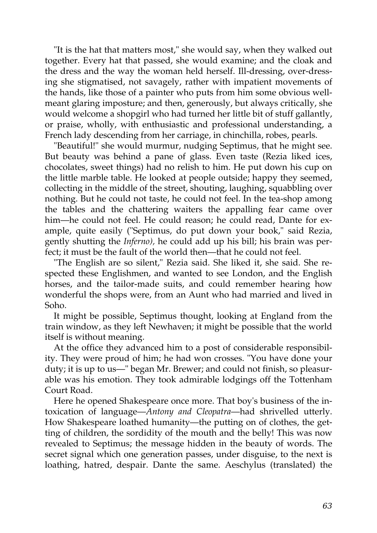"It is the hat that matters most," she would say, when they walked out together. Every hat that passed, she would examine; and the cloak and the dress and the way the woman held herself. Ill-dressing, over-dressing she stigmatised, not savagely, rather with impatient movements of the hands, like those of a painter who puts from him some obvious wellmeant glaring imposture; and then, generously, but always critically, she would welcome a shopgirl who had turned her little bit of stuff gallantly, or praise, wholly, with enthusiastic and professional understanding, a French lady descending from her carriage, in chinchilla, robes, pearls.

"Beautiful!" she would murmur, nudging Septimus, that he might see. But beauty was behind a pane of glass. Even taste (Rezia liked ices, chocolates, sweet things) had no relish to him. He put down his cup on the little marble table. He looked at people outside; happy they seemed, collecting in the middle of the street, shouting, laughing, squabbling over nothing. But he could not taste, he could not feel. In the tea-shop among the tables and the chattering waiters the appalling fear came over him—he could not feel. He could reason; he could read, Dante for example, quite easily ("Septimus, do put down your book," said Rezia, gently shutting the *Inferno),* he could add up his bill; his brain was perfect; it must be the fault of the world then—that he could not feel.

"The English are so silent," Rezia said. She liked it, she said. She respected these Englishmen, and wanted to see London, and the English horses, and the tailor-made suits, and could remember hearing how wonderful the shops were, from an Aunt who had married and lived in Soho.

It might be possible, Septimus thought, looking at England from the train window, as they left Newhaven; it might be possible that the world itself is without meaning.

At the office they advanced him to a post of considerable responsibility. They were proud of him; he had won crosses. "You have done your duty; it is up to us—" began Mr. Brewer; and could not finish, so pleasurable was his emotion. They took admirable lodgings off the Tottenham Court Road.

Here he opened Shakespeare once more. That boy's business of the intoxication of language—*Antony and Cleopatra*—had shrivelled utterly. How Shakespeare loathed humanity—the putting on of clothes, the getting of children, the sordidity of the mouth and the belly! This was now revealed to Septimus; the message hidden in the beauty of words. The secret signal which one generation passes, under disguise, to the next is loathing, hatred, despair. Dante the same. Aeschylus (translated) the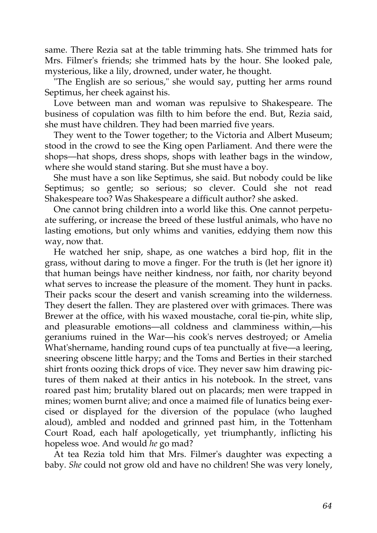same. There Rezia sat at the table trimming hats. She trimmed hats for Mrs. Filmer's friends; she trimmed hats by the hour. She looked pale, mysterious, like a lily, drowned, under water, he thought.

"The English are so serious," she would say, putting her arms round Septimus, her cheek against his.

Love between man and woman was repulsive to Shakespeare. The business of copulation was filth to him before the end. But, Rezia said, she must have children. They had been married five years.

They went to the Tower together; to the Victoria and Albert Museum; stood in the crowd to see the King open Parliament. And there were the shops—hat shops, dress shops, shops with leather bags in the window, where she would stand staring. But she must have a boy.

She must have a son like Septimus, she said. But nobody could be like Septimus; so gentle; so serious; so clever. Could she not read Shakespeare too? Was Shakespeare a difficult author? she asked.

One cannot bring children into a world like this. One cannot perpetuate suffering, or increase the breed of these lustful animals, who have no lasting emotions, but only whims and vanities, eddying them now this way, now that.

He watched her snip, shape, as one watches a bird hop, flit in the grass, without daring to move a finger. For the truth is (let her ignore it) that human beings have neither kindness, nor faith, nor charity beyond what serves to increase the pleasure of the moment. They hunt in packs. Their packs scour the desert and vanish screaming into the wilderness. They desert the fallen. They are plastered over with grimaces. There was Brewer at the office, with his waxed moustache, coral tie-pin, white slip, and pleasurable emotions—all coldness and clamminess within,—his geraniums ruined in the War—his cook's nerves destroyed; or Amelia What'shername, handing round cups of tea punctually at five—a leering, sneering obscene little harpy; and the Toms and Berties in their starched shirt fronts oozing thick drops of vice. They never saw him drawing pictures of them naked at their antics in his notebook. In the street, vans roared past him; brutality blared out on placards; men were trapped in mines; women burnt alive; and once a maimed file of lunatics being exercised or displayed for the diversion of the populace (who laughed aloud), ambled and nodded and grinned past him, in the Tottenham Court Road, each half apologetically, yet triumphantly, inflicting his hopeless woe. And would *he* go mad?

At tea Rezia told him that Mrs. Filmer's daughter was expecting a baby. *She* could not grow old and have no children! She was very lonely,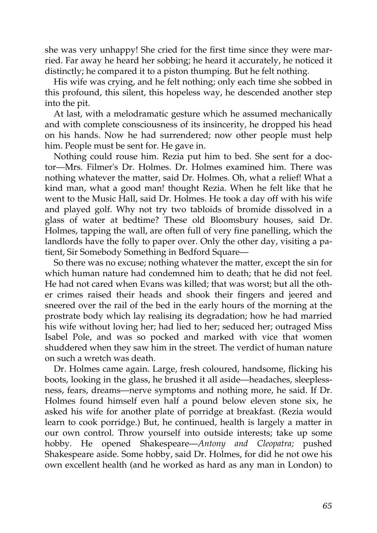she was very unhappy! She cried for the first time since they were married. Far away he heard her sobbing; he heard it accurately, he noticed it distinctly; he compared it to a piston thumping. But he felt nothing.

His wife was crying, and he felt nothing; only each time she sobbed in this profound, this silent, this hopeless way, he descended another step into the pit.

At last, with a melodramatic gesture which he assumed mechanically and with complete consciousness of its insincerity, he dropped his head on his hands. Now he had surrendered; now other people must help him. People must be sent for. He gave in.

Nothing could rouse him. Rezia put him to bed. She sent for a doctor—Mrs. Filmer's Dr. Holmes. Dr. Holmes examined him. There was nothing whatever the matter, said Dr. Holmes. Oh, what a relief! What a kind man, what a good man! thought Rezia. When he felt like that he went to the Music Hall, said Dr. Holmes. He took a day off with his wife and played golf. Why not try two tabloids of bromide dissolved in a glass of water at bedtime? These old Bloomsbury houses, said Dr. Holmes, tapping the wall, are often full of very fine panelling, which the landlords have the folly to paper over. Only the other day, visiting a patient, Sir Somebody Something in Bedford Square—

So there was no excuse; nothing whatever the matter, except the sin for which human nature had condemned him to death; that he did not feel. He had not cared when Evans was killed; that was worst; but all the other crimes raised their heads and shook their fingers and jeered and sneered over the rail of the bed in the early hours of the morning at the prostrate body which lay realising its degradation; how he had married his wife without loving her; had lied to her; seduced her; outraged Miss Isabel Pole, and was so pocked and marked with vice that women shuddered when they saw him in the street. The verdict of human nature on such a wretch was death.

Dr. Holmes came again. Large, fresh coloured, handsome, flicking his boots, looking in the glass, he brushed it all aside—headaches, sleeplessness, fears, dreams—nerve symptoms and nothing more, he said. If Dr. Holmes found himself even half a pound below eleven stone six, he asked his wife for another plate of porridge at breakfast. (Rezia would learn to cook porridge.) But, he continued, health is largely a matter in our own control. Throw yourself into outside interests; take up some hobby. He opened Shakespeare—*Antony and Cleopatra;* pushed Shakespeare aside. Some hobby, said Dr. Holmes, for did he not owe his own excellent health (and he worked as hard as any man in London) to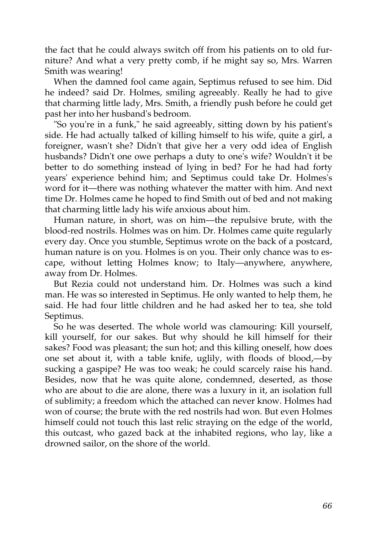the fact that he could always switch off from his patients on to old furniture? And what a very pretty comb, if he might say so, Mrs. Warren Smith was wearing!

When the damned fool came again, Septimus refused to see him. Did he indeed? said Dr. Holmes, smiling agreeably. Really he had to give that charming little lady, Mrs. Smith, a friendly push before he could get past her into her husband's bedroom.

"So you're in a funk," he said agreeably, sitting down by his patient's side. He had actually talked of killing himself to his wife, quite a girl, a foreigner, wasn't she? Didn't that give her a very odd idea of English husbands? Didn't one owe perhaps a duty to one's wife? Wouldn't it be better to do something instead of lying in bed? For he had had forty years' experience behind him; and Septimus could take Dr. Holmes's word for it—there was nothing whatever the matter with him. And next time Dr. Holmes came he hoped to find Smith out of bed and not making that charming little lady his wife anxious about him.

Human nature, in short, was on him—the repulsive brute, with the blood-red nostrils. Holmes was on him. Dr. Holmes came quite regularly every day. Once you stumble, Septimus wrote on the back of a postcard, human nature is on you. Holmes is on you. Their only chance was to escape, without letting Holmes know; to Italy—anywhere, anywhere, away from Dr. Holmes.

But Rezia could not understand him. Dr. Holmes was such a kind man. He was so interested in Septimus. He only wanted to help them, he said. He had four little children and he had asked her to tea, she told Septimus.

So he was deserted. The whole world was clamouring: Kill yourself, kill yourself, for our sakes. But why should he kill himself for their sakes? Food was pleasant; the sun hot; and this killing oneself, how does one set about it, with a table knife, uglily, with floods of blood,—by sucking a gaspipe? He was too weak; he could scarcely raise his hand. Besides, now that he was quite alone, condemned, deserted, as those who are about to die are alone, there was a luxury in it, an isolation full of sublimity; a freedom which the attached can never know. Holmes had won of course; the brute with the red nostrils had won. But even Holmes himself could not touch this last relic straying on the edge of the world, this outcast, who gazed back at the inhabited regions, who lay, like a drowned sailor, on the shore of the world.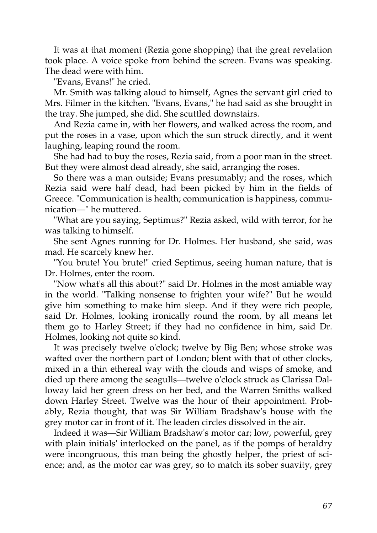It was at that moment (Rezia gone shopping) that the great revelation took place. A voice spoke from behind the screen. Evans was speaking. The dead were with him.

"Evans, Evans!" he cried.

Mr. Smith was talking aloud to himself, Agnes the servant girl cried to Mrs. Filmer in the kitchen. "Evans, Evans," he had said as she brought in the tray. She jumped, she did. She scuttled downstairs.

And Rezia came in, with her flowers, and walked across the room, and put the roses in a vase, upon which the sun struck directly, and it went laughing, leaping round the room.

She had had to buy the roses, Rezia said, from a poor man in the street. But they were almost dead already, she said, arranging the roses.

So there was a man outside; Evans presumably; and the roses, which Rezia said were half dead, had been picked by him in the fields of Greece. "Communication is health; communication is happiness, communication—" he muttered.

"What are you saying, Septimus?" Rezia asked, wild with terror, for he was talking to himself.

She sent Agnes running for Dr. Holmes. Her husband, she said, was mad. He scarcely knew her.

"You brute! You brute!" cried Septimus, seeing human nature, that is Dr. Holmes, enter the room.

"Now what's all this about?" said Dr. Holmes in the most amiable way in the world. "Talking nonsense to frighten your wife?" But he would give him something to make him sleep. And if they were rich people, said Dr. Holmes, looking ironically round the room, by all means let them go to Harley Street; if they had no confidence in him, said Dr. Holmes, looking not quite so kind.

It was precisely twelve o'clock; twelve by Big Ben; whose stroke was wafted over the northern part of London; blent with that of other clocks, mixed in a thin ethereal way with the clouds and wisps of smoke, and died up there among the seagulls—twelve o'clock struck as Clarissa Dalloway laid her green dress on her bed, and the Warren Smiths walked down Harley Street. Twelve was the hour of their appointment. Probably, Rezia thought, that was Sir William Bradshaw's house with the grey motor car in front of it. The leaden circles dissolved in the air.

Indeed it was—Sir William Bradshaw's motor car; low, powerful, grey with plain initials' interlocked on the panel, as if the pomps of heraldry were incongruous, this man being the ghostly helper, the priest of science; and, as the motor car was grey, so to match its sober suavity, grey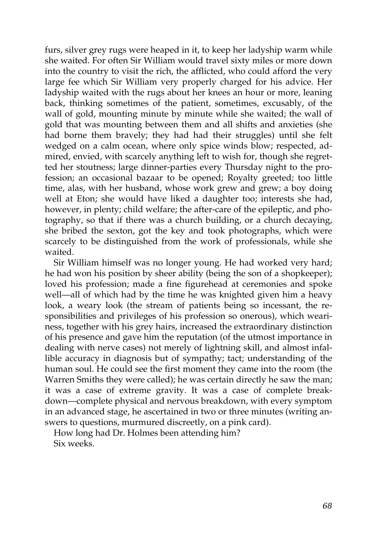furs, silver grey rugs were heaped in it, to keep her ladyship warm while she waited. For often Sir William would travel sixty miles or more down into the country to visit the rich, the afflicted, who could afford the very large fee which Sir William very properly charged for his advice. Her ladyship waited with the rugs about her knees an hour or more, leaning back, thinking sometimes of the patient, sometimes, excusably, of the wall of gold, mounting minute by minute while she waited; the wall of gold that was mounting between them and all shifts and anxieties (she had borne them bravely; they had had their struggles) until she felt wedged on a calm ocean, where only spice winds blow; respected, admired, envied, with scarcely anything left to wish for, though she regretted her stoutness; large dinner-parties every Thursday night to the profession; an occasional bazaar to be opened; Royalty greeted; too little time, alas, with her husband, whose work grew and grew; a boy doing well at Eton; she would have liked a daughter too; interests she had, however, in plenty; child welfare; the after-care of the epileptic, and photography, so that if there was a church building, or a church decaying, she bribed the sexton, got the key and took photographs, which were scarcely to be distinguished from the work of professionals, while she waited.

Sir William himself was no longer young. He had worked very hard; he had won his position by sheer ability (being the son of a shopkeeper); loved his profession; made a fine figurehead at ceremonies and spoke well—all of which had by the time he was knighted given him a heavy look, a weary look (the stream of patients being so incessant, the responsibilities and privileges of his profession so onerous), which weariness, together with his grey hairs, increased the extraordinary distinction of his presence and gave him the reputation (of the utmost importance in dealing with nerve cases) not merely of lightning skill, and almost infallible accuracy in diagnosis but of sympathy; tact; understanding of the human soul. He could see the first moment they came into the room (the Warren Smiths they were called); he was certain directly he saw the man; it was a case of extreme gravity. It was a case of complete breakdown—complete physical and nervous breakdown, with every symptom in an advanced stage, he ascertained in two or three minutes (writing answers to questions, murmured discreetly, on a pink card).

How long had Dr. Holmes been attending him? Six weeks.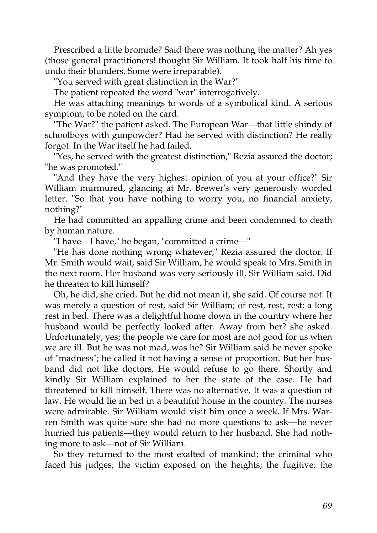Prescribed a little bromide? Said there was nothing the matter? Ah yes (those general practitioners! thought Sir William. It took half his time to undo their blunders. Some were irreparable).

"You served with great distinction in the War?"

The patient repeated the word "war" interrogatively.

He was attaching meanings to words of a symbolical kind. A serious symptom, to be noted on the card.

"The War?" the patient asked. The European War—that little shindy of schoolboys with gunpowder? Had he served with distinction? He really forgot. In the War itself he had failed.

"Yes, he served with the greatest distinction," Rezia assured the doctor; "he was promoted."

"And they have the very highest opinion of you at your office?" Sir William murmured, glancing at Mr. Brewer's very generously worded letter. "So that you have nothing to worry you, no financial anxiety, nothing?"

He had committed an appalling crime and been condemned to death by human nature.

"I have—I have," he began, "committed a crime—"

"He has done nothing wrong whatever," Rezia assured the doctor. If Mr. Smith would wait, said Sir William, he would speak to Mrs. Smith in the next room. Her husband was very seriously ill, Sir William said. Did he threaten to kill himself?

Oh, he did, she cried. But he did not mean it, she said. Of course not. It was merely a question of rest, said Sir William; of rest, rest, rest; a long rest in bed. There was a delightful home down in the country where her husband would be perfectly looked after. Away from her? she asked. Unfortunately, yes; the people we care for most are not good for us when we are ill. But he was not mad, was he? Sir William said he never spoke of "madness"; he called it not having a sense of proportion. But her husband did not like doctors. He would refuse to go there. Shortly and kindly Sir William explained to her the state of the case. He had threatened to kill himself. There was no alternative. It was a question of law. He would lie in bed in a beautiful house in the country. The nurses were admirable. Sir William would visit him once a week. If Mrs. Warren Smith was quite sure she had no more questions to ask—he never hurried his patients—they would return to her husband. She had nothing more to ask—not of Sir William.

So they returned to the most exalted of mankind; the criminal who faced his judges; the victim exposed on the heights; the fugitive; the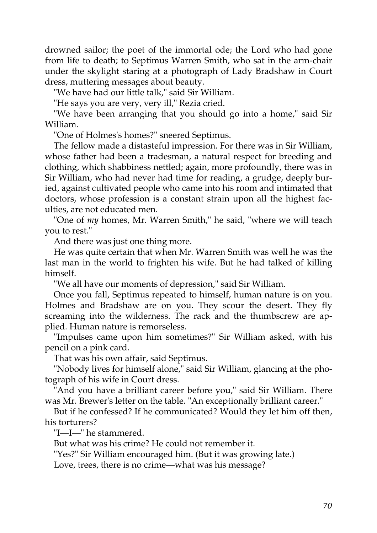drowned sailor; the poet of the immortal ode; the Lord who had gone from life to death; to Septimus Warren Smith, who sat in the arm-chair under the skylight staring at a photograph of Lady Bradshaw in Court dress, muttering messages about beauty.

"We have had our little talk," said Sir William.

"He says you are very, very ill," Rezia cried.

"We have been arranging that you should go into a home," said Sir William.

"One of Holmes's homes?" sneered Septimus.

The fellow made a distasteful impression. For there was in Sir William, whose father had been a tradesman, a natural respect for breeding and clothing, which shabbiness nettled; again, more profoundly, there was in Sir William, who had never had time for reading, a grudge, deeply buried, against cultivated people who came into his room and intimated that doctors, whose profession is a constant strain upon all the highest faculties, are not educated men.

"One of *my* homes, Mr. Warren Smith," he said, "where we will teach you to rest."

And there was just one thing more.

He was quite certain that when Mr. Warren Smith was well he was the last man in the world to frighten his wife. But he had talked of killing himself.

"We all have our moments of depression," said Sir William.

Once you fall, Septimus repeated to himself, human nature is on you. Holmes and Bradshaw are on you. They scour the desert. They fly screaming into the wilderness. The rack and the thumbscrew are applied. Human nature is remorseless.

"Impulses came upon him sometimes?" Sir William asked, with his pencil on a pink card.

That was his own affair, said Septimus.

"Nobody lives for himself alone," said Sir William, glancing at the photograph of his wife in Court dress.

"And you have a brilliant career before you," said Sir William. There was Mr. Brewer's letter on the table. "An exceptionally brilliant career."

But if he confessed? If he communicated? Would they let him off then, his torturers?

"I—I—" he stammered.

But what was his crime? He could not remember it.

"Yes?" Sir William encouraged him. (But it was growing late.)

Love, trees, there is no crime—what was his message?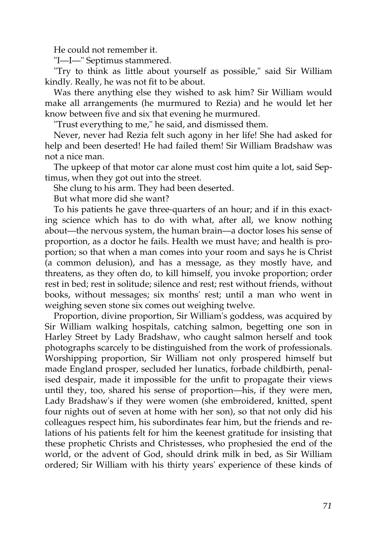He could not remember it.

"I—I—" Septimus stammered.

"Try to think as little about yourself as possible," said Sir William kindly. Really, he was not fit to be about.

Was there anything else they wished to ask him? Sir William would make all arrangements (he murmured to Rezia) and he would let her know between five and six that evening he murmured.

"Trust everything to me," he said, and dismissed them.

Never, never had Rezia felt such agony in her life! She had asked for help and been deserted! He had failed them! Sir William Bradshaw was not a nice man.

The upkeep of that motor car alone must cost him quite a lot, said Septimus, when they got out into the street.

She clung to his arm. They had been deserted.

But what more did she want?

To his patients he gave three-quarters of an hour; and if in this exacting science which has to do with what, after all, we know nothing about—the nervous system, the human brain—a doctor loses his sense of proportion, as a doctor he fails. Health we must have; and health is proportion; so that when a man comes into your room and says he is Christ (a common delusion), and has a message, as they mostly have, and threatens, as they often do, to kill himself, you invoke proportion; order rest in bed; rest in solitude; silence and rest; rest without friends, without books, without messages; six months' rest; until a man who went in weighing seven stone six comes out weighing twelve.

Proportion, divine proportion, Sir William's goddess, was acquired by Sir William walking hospitals, catching salmon, begetting one son in Harley Street by Lady Bradshaw, who caught salmon herself and took photographs scarcely to be distinguished from the work of professionals. Worshipping proportion, Sir William not only prospered himself but made England prosper, secluded her lunatics, forbade childbirth, penalised despair, made it impossible for the unfit to propagate their views until they, too, shared his sense of proportion—his, if they were men, Lady Bradshaw's if they were women (she embroidered, knitted, spent four nights out of seven at home with her son), so that not only did his colleagues respect him, his subordinates fear him, but the friends and relations of his patients felt for him the keenest gratitude for insisting that these prophetic Christs and Christesses, who prophesied the end of the world, or the advent of God, should drink milk in bed, as Sir William ordered; Sir William with his thirty years' experience of these kinds of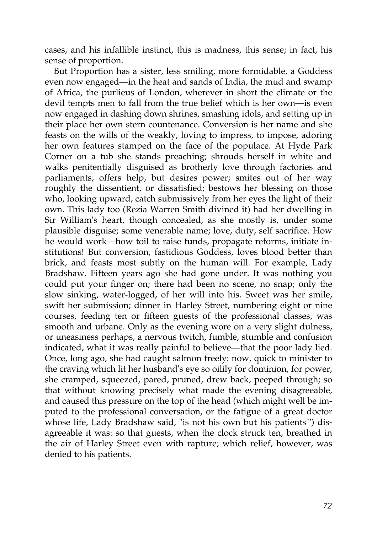cases, and his infallible instinct, this is madness, this sense; in fact, his sense of proportion.

But Proportion has a sister, less smiling, more formidable, a Goddess even now engaged—in the heat and sands of India, the mud and swamp of Africa, the purlieus of London, wherever in short the climate or the devil tempts men to fall from the true belief which is her own—is even now engaged in dashing down shrines, smashing idols, and setting up in their place her own stern countenance. Conversion is her name and she feasts on the wills of the weakly, loving to impress, to impose, adoring her own features stamped on the face of the populace. At Hyde Park Corner on a tub she stands preaching; shrouds herself in white and walks penitentially disguised as brotherly love through factories and parliaments; offers help, but desires power; smites out of her way roughly the dissentient, or dissatisfied; bestows her blessing on those who, looking upward, catch submissively from her eyes the light of their own. This lady too (Rezia Warren Smith divined it) had her dwelling in Sir William's heart, though concealed, as she mostly is, under some plausible disguise; some venerable name; love, duty, self sacrifice. How he would work—how toil to raise funds, propagate reforms, initiate institutions! But conversion, fastidious Goddess, loves blood better than brick, and feasts most subtly on the human will. For example, Lady Bradshaw. Fifteen years ago she had gone under. It was nothing you could put your finger on; there had been no scene, no snap; only the slow sinking, water-logged, of her will into his. Sweet was her smile, swift her submission; dinner in Harley Street, numbering eight or nine courses, feeding ten or fifteen guests of the professional classes, was smooth and urbane. Only as the evening wore on a very slight dulness, or uneasiness perhaps, a nervous twitch, fumble, stumble and confusion indicated, what it was really painful to believe—that the poor lady lied. Once, long ago, she had caught salmon freely: now, quick to minister to the craving which lit her husband's eye so oilily for dominion, for power, she cramped, squeezed, pared, pruned, drew back, peeped through; so that without knowing precisely what made the evening disagreeable, and caused this pressure on the top of the head (which might well be imputed to the professional conversation, or the fatigue of a great doctor whose life, Lady Bradshaw said, "is not his own but his patients'") disagreeable it was: so that guests, when the clock struck ten, breathed in the air of Harley Street even with rapture; which relief, however, was denied to his patients.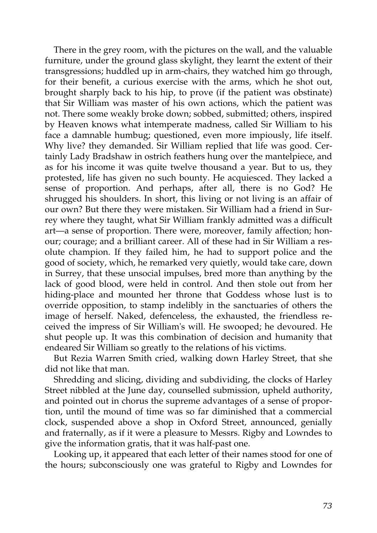There in the grey room, with the pictures on the wall, and the valuable furniture, under the ground glass skylight, they learnt the extent of their transgressions; huddled up in arm-chairs, they watched him go through, for their benefit, a curious exercise with the arms, which he shot out, brought sharply back to his hip, to prove (if the patient was obstinate) that Sir William was master of his own actions, which the patient was not. There some weakly broke down; sobbed, submitted; others, inspired by Heaven knows what intemperate madness, called Sir William to his face a damnable humbug; questioned, even more impiously, life itself. Why live? they demanded. Sir William replied that life was good. Certainly Lady Bradshaw in ostrich feathers hung over the mantelpiece, and as for his income it was quite twelve thousand a year. But to us, they protested, life has given no such bounty. He acquiesced. They lacked a sense of proportion. And perhaps, after all, there is no God? He shrugged his shoulders. In short, this living or not living is an affair of our own? But there they were mistaken. Sir William had a friend in Surrey where they taught, what Sir William frankly admitted was a difficult art—a sense of proportion. There were, moreover, family affection; honour; courage; and a brilliant career. All of these had in Sir William a resolute champion. If they failed him, he had to support police and the good of society, which, he remarked very quietly, would take care, down in Surrey, that these unsocial impulses, bred more than anything by the lack of good blood, were held in control. And then stole out from her hiding-place and mounted her throne that Goddess whose lust is to override opposition, to stamp indelibly in the sanctuaries of others the image of herself. Naked, defenceless, the exhausted, the friendless received the impress of Sir William's will. He swooped; he devoured. He shut people up. It was this combination of decision and humanity that endeared Sir William so greatly to the relations of his victims.

But Rezia Warren Smith cried, walking down Harley Street, that she did not like that man.

Shredding and slicing, dividing and subdividing, the clocks of Harley Street nibbled at the June day, counselled submission, upheld authority, and pointed out in chorus the supreme advantages of a sense of proportion, until the mound of time was so far diminished that a commercial clock, suspended above a shop in Oxford Street, announced, genially and fraternally, as if it were a pleasure to Messrs. Rigby and Lowndes to give the information gratis, that it was half-past one.

Looking up, it appeared that each letter of their names stood for one of the hours; subconsciously one was grateful to Rigby and Lowndes for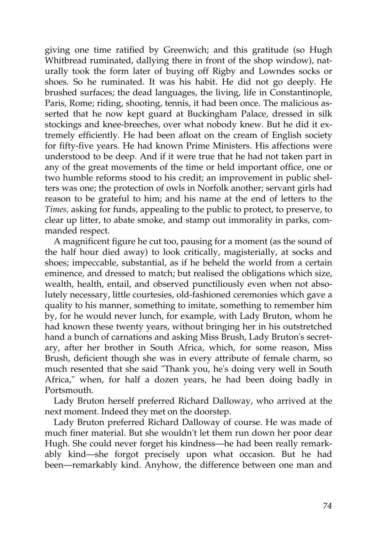giving one time ratified by Greenwich; and this gratitude (so Hugh Whitbread ruminated, dallying there in front of the shop window), naturally took the form later of buying off Rigby and Lowndes socks or shoes. So he ruminated. It was his habit. He did not go deeply. He brushed surfaces; the dead languages, the living, life in Constantinople, Paris, Rome; riding, shooting, tennis, it had been once. The malicious asserted that he now kept guard at Buckingham Palace, dressed in silk stockings and knee-breeches, over what nobody knew. But he did it extremely efficiently. He had been afloat on the cream of English society for fifty-five years. He had known Prime Ministers. His affections were understood to be deep. And if it were true that he had not taken part in any of the great movements of the time or held important office, one or two humble reforms stood to his credit; an improvement in public shelters was one; the protection of owls in Norfolk another; servant girls had reason to be grateful to him; and his name at the end of letters to the *Times,* asking for funds, appealing to the public to protect, to preserve, to clear up litter, to abate smoke, and stamp out immorality in parks, commanded respect.

A magnificent figure he cut too, pausing for a moment (as the sound of the half hour died away) to look critically, magisterially, at socks and shoes; impeccable, substantial, as if he beheld the world from a certain eminence, and dressed to match; but realised the obligations which size, wealth, health, entail, and observed punctiliously even when not absolutely necessary, little courtesies, old-fashioned ceremonies which gave a quality to his manner, something to imitate, something to remember him by, for he would never lunch, for example, with Lady Bruton, whom he had known these twenty years, without bringing her in his outstretched hand a bunch of carnations and asking Miss Brush, Lady Bruton's secretary, after her brother in South Africa, which, for some reason, Miss Brush, deficient though she was in every attribute of female charm, so much resented that she said "Thank you, he's doing very well in South Africa," when, for half a dozen years, he had been doing badly in Portsmouth.

Lady Bruton herself preferred Richard Dalloway, who arrived at the next moment. Indeed they met on the doorstep.

Lady Bruton preferred Richard Dalloway of course. He was made of much finer material. But she wouldn't let them run down her poor dear Hugh. She could never forget his kindness—he had been really remarkably kind—she forgot precisely upon what occasion. But he had been—remarkably kind. Anyhow, the difference between one man and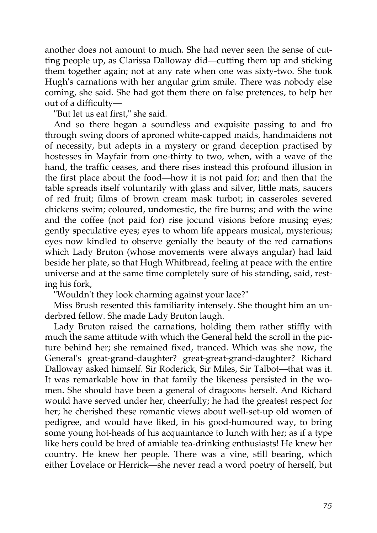another does not amount to much. She had never seen the sense of cutting people up, as Clarissa Dalloway did—cutting them up and sticking them together again; not at any rate when one was sixty-two. She took Hugh's carnations with her angular grim smile. There was nobody else coming, she said. She had got them there on false pretences, to help her out of a difficulty—

"But let us eat first," she said.

And so there began a soundless and exquisite passing to and fro through swing doors of aproned white-capped maids, handmaidens not of necessity, but adepts in a mystery or grand deception practised by hostesses in Mayfair from one-thirty to two, when, with a wave of the hand, the traffic ceases, and there rises instead this profound illusion in the first place about the food—how it is not paid for; and then that the table spreads itself voluntarily with glass and silver, little mats, saucers of red fruit; films of brown cream mask turbot; in casseroles severed chickens swim; coloured, undomestic, the fire burns; and with the wine and the coffee (not paid for) rise jocund visions before musing eyes; gently speculative eyes; eyes to whom life appears musical, mysterious; eyes now kindled to observe genially the beauty of the red carnations which Lady Bruton (whose movements were always angular) had laid beside her plate, so that Hugh Whitbread, feeling at peace with the entire universe and at the same time completely sure of his standing, said, resting his fork,

"Wouldn't they look charming against your lace?"

Miss Brush resented this familiarity intensely. She thought him an underbred fellow. She made Lady Bruton laugh.

Lady Bruton raised the carnations, holding them rather stiffly with much the same attitude with which the General held the scroll in the picture behind her; she remained fixed, tranced. Which was she now, the General's great-grand-daughter? great-great-grand-daughter? Richard Dalloway asked himself. Sir Roderick, Sir Miles, Sir Talbot—that was it. It was remarkable how in that family the likeness persisted in the women. She should have been a general of dragoons herself. And Richard would have served under her, cheerfully; he had the greatest respect for her; he cherished these romantic views about well-set-up old women of pedigree, and would have liked, in his good-humoured way, to bring some young hot-heads of his acquaintance to lunch with her; as if a type like hers could be bred of amiable tea-drinking enthusiasts! He knew her country. He knew her people. There was a vine, still bearing, which either Lovelace or Herrick—she never read a word poetry of herself, but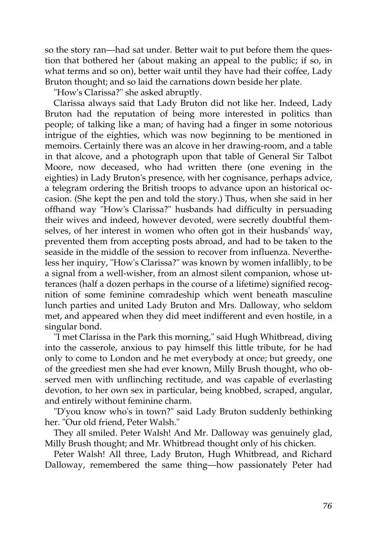so the story ran—had sat under. Better wait to put before them the question that bothered her (about making an appeal to the public; if so, in what terms and so on), better wait until they have had their coffee, Lady Bruton thought; and so laid the carnations down beside her plate.

"How's Clarissa?" she asked abruptly.

Clarissa always said that Lady Bruton did not like her. Indeed, Lady Bruton had the reputation of being more interested in politics than people; of talking like a man; of having had a finger in some notorious intrigue of the eighties, which was now beginning to be mentioned in memoirs. Certainly there was an alcove in her drawing-room, and a table in that alcove, and a photograph upon that table of General Sir Talbot Moore, now deceased, who had written there (one evening in the eighties) in Lady Bruton's presence, with her cognisance, perhaps advice, a telegram ordering the British troops to advance upon an historical occasion. (She kept the pen and told the story.) Thus, when she said in her offhand way "How's Clarissa?" husbands had difficulty in persuading their wives and indeed, however devoted, were secretly doubtful themselves, of her interest in women who often got in their husbands' way, prevented them from accepting posts abroad, and had to be taken to the seaside in the middle of the session to recover from influenza. Nevertheless her inquiry, "How's Clarissa?" was known by women infallibly, to be a signal from a well-wisher, from an almost silent companion, whose utterances (half a dozen perhaps in the course of a lifetime) signified recognition of some feminine comradeship which went beneath masculine lunch parties and united Lady Bruton and Mrs. Dalloway, who seldom met, and appeared when they did meet indifferent and even hostile, in a singular bond.

"I met Clarissa in the Park this morning," said Hugh Whitbread, diving into the casserole, anxious to pay himself this little tribute, for he had only to come to London and he met everybody at once; but greedy, one of the greediest men she had ever known, Milly Brush thought, who observed men with unflinching rectitude, and was capable of everlasting devotion, to her own sex in particular, being knobbed, scraped, angular, and entirely without feminine charm.

"D'you know who's in town?" said Lady Bruton suddenly bethinking her. "Our old friend, Peter Walsh."

They all smiled. Peter Walsh! And Mr. Dalloway was genuinely glad, Milly Brush thought; and Mr. Whitbread thought only of his chicken.

Peter Walsh! All three, Lady Bruton, Hugh Whitbread, and Richard Dalloway, remembered the same thing—how passionately Peter had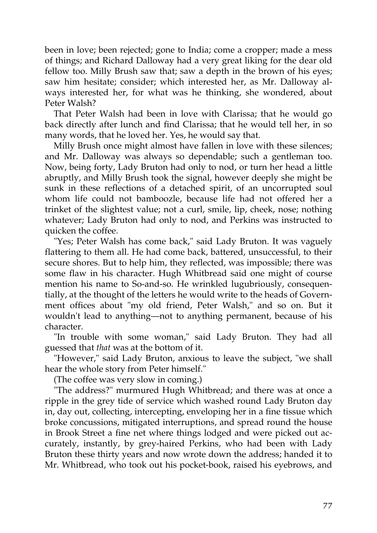been in love; been rejected; gone to India; come a cropper; made a mess of things; and Richard Dalloway had a very great liking for the dear old fellow too. Milly Brush saw that; saw a depth in the brown of his eyes; saw him hesitate; consider; which interested her, as Mr. Dalloway always interested her, for what was he thinking, she wondered, about Peter Walsh?

That Peter Walsh had been in love with Clarissa; that he would go back directly after lunch and find Clarissa; that he would tell her, in so many words, that he loved her. Yes, he would say that.

Milly Brush once might almost have fallen in love with these silences; and Mr. Dalloway was always so dependable; such a gentleman too. Now, being forty, Lady Bruton had only to nod, or turn her head a little abruptly, and Milly Brush took the signal, however deeply she might be sunk in these reflections of a detached spirit, of an uncorrupted soul whom life could not bamboozle, because life had not offered her a trinket of the slightest value; not a curl, smile, lip, cheek, nose; nothing whatever; Lady Bruton had only to nod, and Perkins was instructed to quicken the coffee.

"Yes; Peter Walsh has come back," said Lady Bruton. It was vaguely flattering to them all. He had come back, battered, unsuccessful, to their secure shores. But to help him, they reflected, was impossible; there was some flaw in his character. Hugh Whitbread said one might of course mention his name to So-and-so. He wrinkled lugubriously, consequentially, at the thought of the letters he would write to the heads of Government offices about "my old friend, Peter Walsh," and so on. But it wouldn't lead to anything—not to anything permanent, because of his character.

"In trouble with some woman," said Lady Bruton. They had all guessed that *that* was at the bottom of it.

"However," said Lady Bruton, anxious to leave the subject, "we shall hear the whole story from Peter himself."

(The coffee was very slow in coming.)

"The address?" murmured Hugh Whitbread; and there was at once a ripple in the grey tide of service which washed round Lady Bruton day in, day out, collecting, intercepting, enveloping her in a fine tissue which broke concussions, mitigated interruptions, and spread round the house in Brook Street a fine net where things lodged and were picked out accurately, instantly, by grey-haired Perkins, who had been with Lady Bruton these thirty years and now wrote down the address; handed it to Mr. Whitbread, who took out his pocket-book, raised his eyebrows, and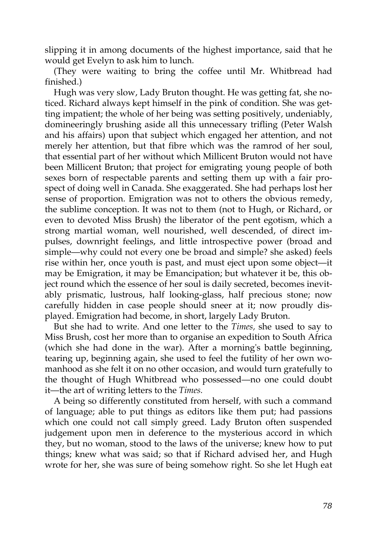slipping it in among documents of the highest importance, said that he would get Evelyn to ask him to lunch.

(They were waiting to bring the coffee until Mr. Whitbread had finished.)

Hugh was very slow, Lady Bruton thought. He was getting fat, she noticed. Richard always kept himself in the pink of condition. She was getting impatient; the whole of her being was setting positively, undeniably, domineeringly brushing aside all this unnecessary trifling (Peter Walsh and his affairs) upon that subject which engaged her attention, and not merely her attention, but that fibre which was the ramrod of her soul, that essential part of her without which Millicent Bruton would not have been Millicent Bruton; that project for emigrating young people of both sexes born of respectable parents and setting them up with a fair prospect of doing well in Canada. She exaggerated. She had perhaps lost her sense of proportion. Emigration was not to others the obvious remedy, the sublime conception. It was not to them (not to Hugh, or Richard, or even to devoted Miss Brush) the liberator of the pent egotism, which a strong martial woman, well nourished, well descended, of direct impulses, downright feelings, and little introspective power (broad and simple—why could not every one be broad and simple? she asked) feels rise within her, once youth is past, and must eject upon some object—it may be Emigration, it may be Emancipation; but whatever it be, this object round which the essence of her soul is daily secreted, becomes inevitably prismatic, lustrous, half looking-glass, half precious stone; now carefully hidden in case people should sneer at it; now proudly displayed. Emigration had become, in short, largely Lady Bruton.

But she had to write. And one letter to the *Times,* she used to say to Miss Brush, cost her more than to organise an expedition to South Africa (which she had done in the war). After a morning's battle beginning, tearing up, beginning again, she used to feel the futility of her own womanhood as she felt it on no other occasion, and would turn gratefully to the thought of Hugh Whitbread who possessed—no one could doubt it—the art of writing letters to the *Times.*

A being so differently constituted from herself, with such a command of language; able to put things as editors like them put; had passions which one could not call simply greed. Lady Bruton often suspended judgement upon men in deference to the mysterious accord in which they, but no woman, stood to the laws of the universe; knew how to put things; knew what was said; so that if Richard advised her, and Hugh wrote for her, she was sure of being somehow right. So she let Hugh eat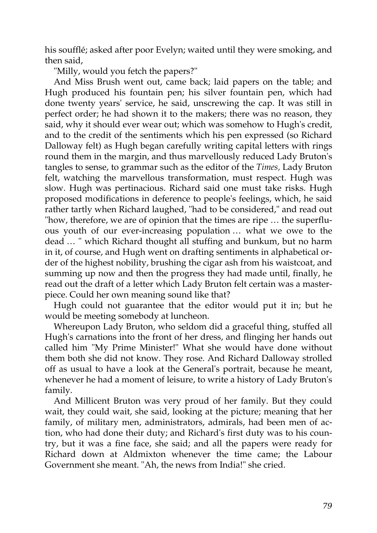his soufflé; asked after poor Evelyn; waited until they were smoking, and then said,

"Milly, would you fetch the papers?"

And Miss Brush went out, came back; laid papers on the table; and Hugh produced his fountain pen; his silver fountain pen, which had done twenty years' service, he said, unscrewing the cap. It was still in perfect order; he had shown it to the makers; there was no reason, they said, why it should ever wear out; which was somehow to Hugh's credit, and to the credit of the sentiments which his pen expressed (so Richard Dalloway felt) as Hugh began carefully writing capital letters with rings round them in the margin, and thus marvellously reduced Lady Bruton's tangles to sense, to grammar such as the editor of the *Times,* Lady Bruton felt, watching the marvellous transformation, must respect. Hugh was slow. Hugh was pertinacious. Richard said one must take risks. Hugh proposed modifications in deference to people's feelings, which, he said rather tartly when Richard laughed, "had to be considered," and read out "how, therefore, we are of opinion that the times are ripe … the superfluous youth of our ever-increasing population … what we owe to the dead … " which Richard thought all stuffing and bunkum, but no harm in it, of course, and Hugh went on drafting sentiments in alphabetical order of the highest nobility, brushing the cigar ash from his waistcoat, and summing up now and then the progress they had made until, finally, he read out the draft of a letter which Lady Bruton felt certain was a masterpiece. Could her own meaning sound like that?

Hugh could not guarantee that the editor would put it in; but he would be meeting somebody at luncheon.

Whereupon Lady Bruton, who seldom did a graceful thing, stuffed all Hugh's carnations into the front of her dress, and flinging her hands out called him "My Prime Minister!" What she would have done without them both she did not know. They rose. And Richard Dalloway strolled off as usual to have a look at the General's portrait, because he meant, whenever he had a moment of leisure, to write a history of Lady Bruton's family.

And Millicent Bruton was very proud of her family. But they could wait, they could wait, she said, looking at the picture; meaning that her family, of military men, administrators, admirals, had been men of action, who had done their duty; and Richard's first duty was to his country, but it was a fine face, she said; and all the papers were ready for Richard down at Aldmixton whenever the time came; the Labour Government she meant. "Ah, the news from India!" she cried.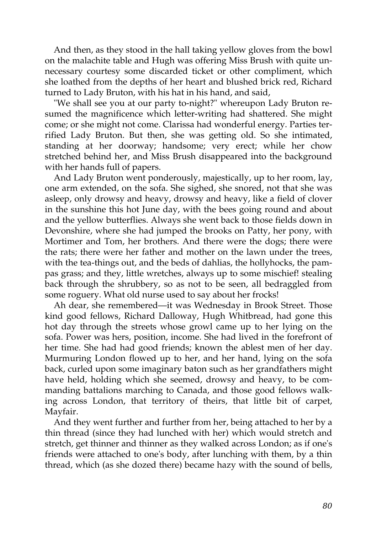And then, as they stood in the hall taking yellow gloves from the bowl on the malachite table and Hugh was offering Miss Brush with quite unnecessary courtesy some discarded ticket or other compliment, which she loathed from the depths of her heart and blushed brick red, Richard turned to Lady Bruton, with his hat in his hand, and said,

"We shall see you at our party to-night?" whereupon Lady Bruton resumed the magnificence which letter-writing had shattered. She might come; or she might not come. Clarissa had wonderful energy. Parties terrified Lady Bruton. But then, she was getting old. So she intimated, standing at her doorway; handsome; very erect; while her chow stretched behind her, and Miss Brush disappeared into the background with her hands full of papers.

And Lady Bruton went ponderously, majestically, up to her room, lay, one arm extended, on the sofa. She sighed, she snored, not that she was asleep, only drowsy and heavy, drowsy and heavy, like a field of clover in the sunshine this hot June day, with the bees going round and about and the yellow butterflies. Always she went back to those fields down in Devonshire, where she had jumped the brooks on Patty, her pony, with Mortimer and Tom, her brothers. And there were the dogs; there were the rats; there were her father and mother on the lawn under the trees, with the tea-things out, and the beds of dahlias, the hollyhocks, the pampas grass; and they, little wretches, always up to some mischief! stealing back through the shrubbery, so as not to be seen, all bedraggled from some roguery. What old nurse used to say about her frocks!

Ah dear, she remembered—it was Wednesday in Brook Street. Those kind good fellows, Richard Dalloway, Hugh Whitbread, had gone this hot day through the streets whose growl came up to her lying on the sofa. Power was hers, position, income. She had lived in the forefront of her time. She had had good friends; known the ablest men of her day. Murmuring London flowed up to her, and her hand, lying on the sofa back, curled upon some imaginary baton such as her grandfathers might have held, holding which she seemed, drowsy and heavy, to be commanding battalions marching to Canada, and those good fellows walking across London, that territory of theirs, that little bit of carpet, Mayfair.

And they went further and further from her, being attached to her by a thin thread (since they had lunched with her) which would stretch and stretch, get thinner and thinner as they walked across London; as if one's friends were attached to one's body, after lunching with them, by a thin thread, which (as she dozed there) became hazy with the sound of bells,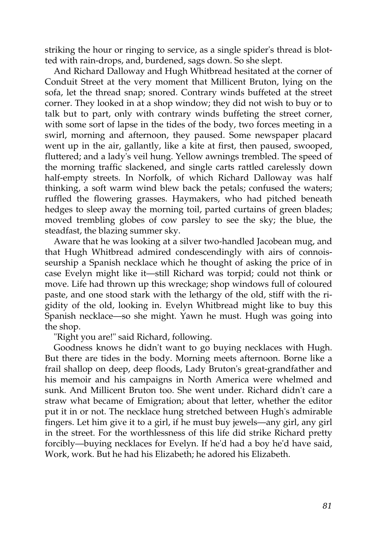striking the hour or ringing to service, as a single spider's thread is blotted with rain-drops, and, burdened, sags down. So she slept.

And Richard Dalloway and Hugh Whitbread hesitated at the corner of Conduit Street at the very moment that Millicent Bruton, lying on the sofa, let the thread snap; snored. Contrary winds buffeted at the street corner. They looked in at a shop window; they did not wish to buy or to talk but to part, only with contrary winds buffeting the street corner, with some sort of lapse in the tides of the body, two forces meeting in a swirl, morning and afternoon, they paused. Some newspaper placard went up in the air, gallantly, like a kite at first, then paused, swooped, fluttered; and a lady's veil hung. Yellow awnings trembled. The speed of the morning traffic slackened, and single carts rattled carelessly down half-empty streets. In Norfolk, of which Richard Dalloway was half thinking, a soft warm wind blew back the petals; confused the waters; ruffled the flowering grasses. Haymakers, who had pitched beneath hedges to sleep away the morning toil, parted curtains of green blades; moved trembling globes of cow parsley to see the sky; the blue, the steadfast, the blazing summer sky.

Aware that he was looking at a silver two-handled Jacobean mug, and that Hugh Whitbread admired condescendingly with airs of connoisseurship a Spanish necklace which he thought of asking the price of in case Evelyn might like it—still Richard was torpid; could not think or move. Life had thrown up this wreckage; shop windows full of coloured paste, and one stood stark with the lethargy of the old, stiff with the rigidity of the old, looking in. Evelyn Whitbread might like to buy this Spanish necklace—so she might. Yawn he must. Hugh was going into the shop.

"Right you are!" said Richard, following.

Goodness knows he didn't want to go buying necklaces with Hugh. But there are tides in the body. Morning meets afternoon. Borne like a frail shallop on deep, deep floods, Lady Bruton's great-grandfather and his memoir and his campaigns in North America were whelmed and sunk. And Millicent Bruton too. She went under. Richard didn't care a straw what became of Emigration; about that letter, whether the editor put it in or not. The necklace hung stretched between Hugh's admirable fingers. Let him give it to a girl, if he must buy jewels—any girl, any girl in the street. For the worthlessness of this life did strike Richard pretty forcibly—buying necklaces for Evelyn. If he'd had a boy he'd have said, Work, work. But he had his Elizabeth; he adored his Elizabeth.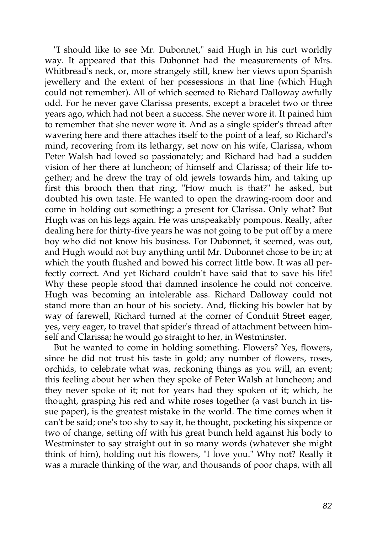"I should like to see Mr. Dubonnet," said Hugh in his curt worldly way. It appeared that this Dubonnet had the measurements of Mrs. Whitbread's neck, or, more strangely still, knew her views upon Spanish jewellery and the extent of her possessions in that line (which Hugh could not remember). All of which seemed to Richard Dalloway awfully odd. For he never gave Clarissa presents, except a bracelet two or three years ago, which had not been a success. She never wore it. It pained him to remember that she never wore it. And as a single spider's thread after wavering here and there attaches itself to the point of a leaf, so Richard's mind, recovering from its lethargy, set now on his wife, Clarissa, whom Peter Walsh had loved so passionately; and Richard had had a sudden vision of her there at luncheon; of himself and Clarissa; of their life together; and he drew the tray of old jewels towards him, and taking up first this brooch then that ring, "How much is that?" he asked, but doubted his own taste. He wanted to open the drawing-room door and come in holding out something; a present for Clarissa. Only what? But Hugh was on his legs again. He was unspeakably pompous. Really, after dealing here for thirty-five years he was not going to be put off by a mere boy who did not know his business. For Dubonnet, it seemed, was out, and Hugh would not buy anything until Mr. Dubonnet chose to be in; at which the youth flushed and bowed his correct little bow. It was all perfectly correct. And yet Richard couldn't have said that to save his life! Why these people stood that damned insolence he could not conceive. Hugh was becoming an intolerable ass. Richard Dalloway could not stand more than an hour of his society. And, flicking his bowler hat by way of farewell, Richard turned at the corner of Conduit Street eager, yes, very eager, to travel that spider's thread of attachment between himself and Clarissa; he would go straight to her, in Westminster.

But he wanted to come in holding something. Flowers? Yes, flowers, since he did not trust his taste in gold; any number of flowers, roses, orchids, to celebrate what was, reckoning things as you will, an event; this feeling about her when they spoke of Peter Walsh at luncheon; and they never spoke of it; not for years had they spoken of it; which, he thought, grasping his red and white roses together (a vast bunch in tissue paper), is the greatest mistake in the world. The time comes when it can't be said; one's too shy to say it, he thought, pocketing his sixpence or two of change, setting off with his great bunch held against his body to Westminster to say straight out in so many words (whatever she might think of him), holding out his flowers, "I love you." Why not? Really it was a miracle thinking of the war, and thousands of poor chaps, with all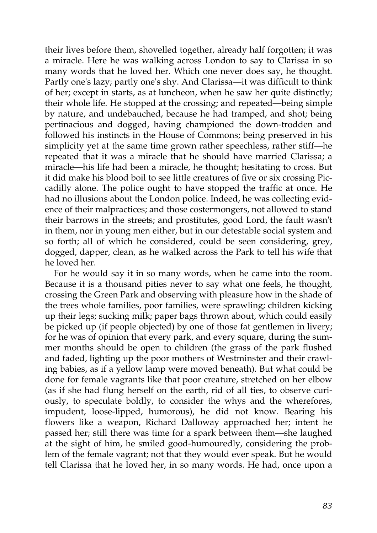their lives before them, shovelled together, already half forgotten; it was a miracle. Here he was walking across London to say to Clarissa in so many words that he loved her. Which one never does say, he thought. Partly one's lazy; partly one's shy. And Clarissa—it was difficult to think of her; except in starts, as at luncheon, when he saw her quite distinctly; their whole life. He stopped at the crossing; and repeated—being simple by nature, and undebauched, because he had tramped, and shot; being pertinacious and dogged, having championed the down-trodden and followed his instincts in the House of Commons; being preserved in his simplicity yet at the same time grown rather speechless, rather stiff—he repeated that it was a miracle that he should have married Clarissa; a miracle—his life had been a miracle, he thought; hesitating to cross. But it did make his blood boil to see little creatures of five or six crossing Piccadilly alone. The police ought to have stopped the traffic at once. He had no illusions about the London police. Indeed, he was collecting evidence of their malpractices; and those costermongers, not allowed to stand their barrows in the streets; and prostitutes, good Lord, the fault wasn't in them, nor in young men either, but in our detestable social system and so forth; all of which he considered, could be seen considering, grey, dogged, dapper, clean, as he walked across the Park to tell his wife that he loved her.

For he would say it in so many words, when he came into the room. Because it is a thousand pities never to say what one feels, he thought, crossing the Green Park and observing with pleasure how in the shade of the trees whole families, poor families, were sprawling; children kicking up their legs; sucking milk; paper bags thrown about, which could easily be picked up (if people objected) by one of those fat gentlemen in livery; for he was of opinion that every park, and every square, during the summer months should be open to children (the grass of the park flushed and faded, lighting up the poor mothers of Westminster and their crawling babies, as if a yellow lamp were moved beneath). But what could be done for female vagrants like that poor creature, stretched on her elbow (as if she had flung herself on the earth, rid of all ties, to observe curiously, to speculate boldly, to consider the whys and the wherefores, impudent, loose-lipped, humorous), he did not know. Bearing his flowers like a weapon, Richard Dalloway approached her; intent he passed her; still there was time for a spark between them—she laughed at the sight of him, he smiled good-humouredly, considering the problem of the female vagrant; not that they would ever speak. But he would tell Clarissa that he loved her, in so many words. He had, once upon a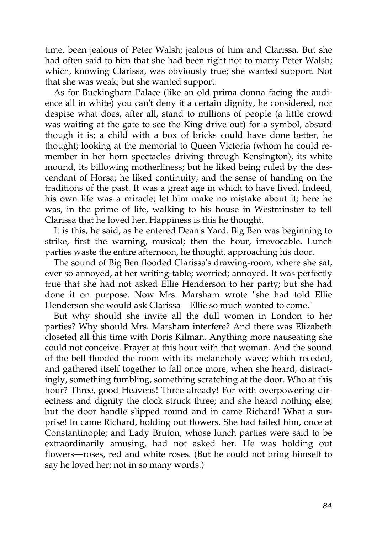time, been jealous of Peter Walsh; jealous of him and Clarissa. But she had often said to him that she had been right not to marry Peter Walsh; which, knowing Clarissa, was obviously true; she wanted support. Not that she was weak; but she wanted support.

As for Buckingham Palace (like an old prima donna facing the audience all in white) you can't deny it a certain dignity, he considered, nor despise what does, after all, stand to millions of people (a little crowd was waiting at the gate to see the King drive out) for a symbol, absurd though it is; a child with a box of bricks could have done better, he thought; looking at the memorial to Queen Victoria (whom he could remember in her horn spectacles driving through Kensington), its white mound, its billowing motherliness; but he liked being ruled by the descendant of Horsa; he liked continuity; and the sense of handing on the traditions of the past. It was a great age in which to have lived. Indeed, his own life was a miracle; let him make no mistake about it; here he was, in the prime of life, walking to his house in Westminster to tell Clarissa that he loved her. Happiness is this he thought.

It is this, he said, as he entered Dean's Yard. Big Ben was beginning to strike, first the warning, musical; then the hour, irrevocable. Lunch parties waste the entire afternoon, he thought, approaching his door.

The sound of Big Ben flooded Clarissa's drawing-room, where she sat, ever so annoyed, at her writing-table; worried; annoyed. It was perfectly true that she had not asked Ellie Henderson to her party; but she had done it on purpose. Now Mrs. Marsham wrote "she had told Ellie Henderson she would ask Clarissa—Ellie so much wanted to come."

But why should she invite all the dull women in London to her parties? Why should Mrs. Marsham interfere? And there was Elizabeth closeted all this time with Doris Kilman. Anything more nauseating she could not conceive. Prayer at this hour with that woman. And the sound of the bell flooded the room with its melancholy wave; which receded, and gathered itself together to fall once more, when she heard, distractingly, something fumbling, something scratching at the door. Who at this hour? Three, good Heavens! Three already! For with overpowering directness and dignity the clock struck three; and she heard nothing else; but the door handle slipped round and in came Richard! What a surprise! In came Richard, holding out flowers. She had failed him, once at Constantinople; and Lady Bruton, whose lunch parties were said to be extraordinarily amusing, had not asked her. He was holding out flowers—roses, red and white roses. (But he could not bring himself to say he loved her; not in so many words.)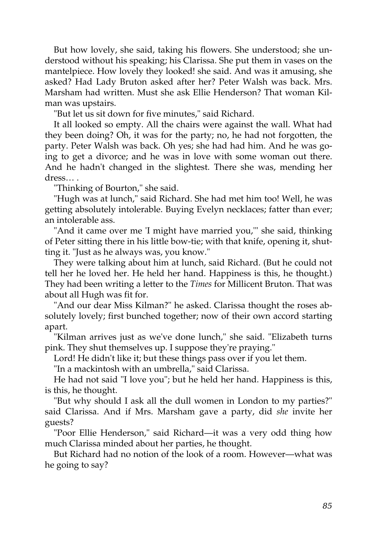But how lovely, she said, taking his flowers. She understood; she understood without his speaking; his Clarissa. She put them in vases on the mantelpiece. How lovely they looked! she said. And was it amusing, she asked? Had Lady Bruton asked after her? Peter Walsh was back. Mrs. Marsham had written. Must she ask Ellie Henderson? That woman Kilman was upstairs.

"But let us sit down for five minutes," said Richard.

It all looked so empty. All the chairs were against the wall. What had they been doing? Oh, it was for the party; no, he had not forgotten, the party. Peter Walsh was back. Oh yes; she had had him. And he was going to get a divorce; and he was in love with some woman out there. And he hadn't changed in the slightest. There she was, mending her dress… .

"Thinking of Bourton," she said.

"Hugh was at lunch," said Richard. She had met him too! Well, he was getting absolutely intolerable. Buying Evelyn necklaces; fatter than ever; an intolerable ass.

"And it came over me 'I might have married you,'" she said, thinking of Peter sitting there in his little bow-tie; with that knife, opening it, shutting it. "Just as he always was, you know."

They were talking about him at lunch, said Richard. (But he could not tell her he loved her. He held her hand. Happiness is this, he thought.) They had been writing a letter to the *Times* for Millicent Bruton. That was about all Hugh was fit for.

"And our dear Miss Kilman?" he asked. Clarissa thought the roses absolutely lovely; first bunched together; now of their own accord starting apart.

"Kilman arrives just as we've done lunch," she said. "Elizabeth turns pink. They shut themselves up. I suppose they're praying."

Lord! He didn't like it; but these things pass over if you let them.

"In a mackintosh with an umbrella," said Clarissa.

He had not said "I love you"; but he held her hand. Happiness is this, is this, he thought.

"But why should I ask all the dull women in London to my parties?" said Clarissa. And if Mrs. Marsham gave a party, did *she* invite her guests?

"Poor Ellie Henderson," said Richard—it was a very odd thing how much Clarissa minded about her parties, he thought.

But Richard had no notion of the look of a room. However—what was he going to say?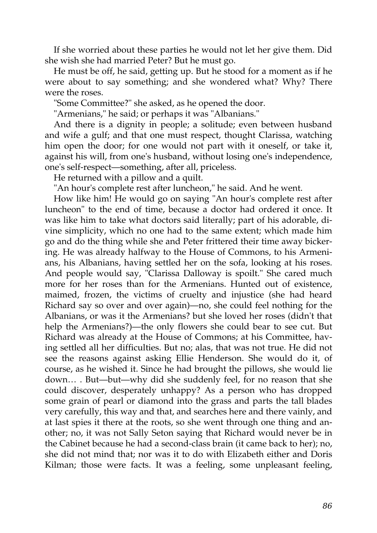If she worried about these parties he would not let her give them. Did she wish she had married Peter? But he must go.

He must be off, he said, getting up. But he stood for a moment as if he were about to say something; and she wondered what? Why? There were the roses.

"Some Committee?" she asked, as he opened the door.

"Armenians," he said; or perhaps it was "Albanians."

And there is a dignity in people; a solitude; even between husband and wife a gulf; and that one must respect, thought Clarissa, watching him open the door; for one would not part with it oneself, or take it, against his will, from one's husband, without losing one's independence, one's self-respect—something, after all, priceless.

He returned with a pillow and a quilt.

"An hour's complete rest after luncheon," he said. And he went.

How like him! He would go on saying "An hour's complete rest after luncheon" to the end of time, because a doctor had ordered it once. It was like him to take what doctors said literally; part of his adorable, divine simplicity, which no one had to the same extent; which made him go and do the thing while she and Peter frittered their time away bickering. He was already halfway to the House of Commons, to his Armenians, his Albanians, having settled her on the sofa, looking at his roses. And people would say, "Clarissa Dalloway is spoilt." She cared much more for her roses than for the Armenians. Hunted out of existence, maimed, frozen, the victims of cruelty and injustice (she had heard Richard say so over and over again)—no, she could feel nothing for the Albanians, or was it the Armenians? but she loved her roses (didn't that help the Armenians?)—the only flowers she could bear to see cut. But Richard was already at the House of Commons; at his Committee, having settled all her difficulties. But no; alas, that was not true. He did not see the reasons against asking Ellie Henderson. She would do it, of course, as he wished it. Since he had brought the pillows, she would lie down… . But—but—why did she suddenly feel, for no reason that she could discover, desperately unhappy? As a person who has dropped some grain of pearl or diamond into the grass and parts the tall blades very carefully, this way and that, and searches here and there vainly, and at last spies it there at the roots, so she went through one thing and another; no, it was not Sally Seton saying that Richard would never be in the Cabinet because he had a second-class brain (it came back to her); no, she did not mind that; nor was it to do with Elizabeth either and Doris Kilman; those were facts. It was a feeling, some unpleasant feeling,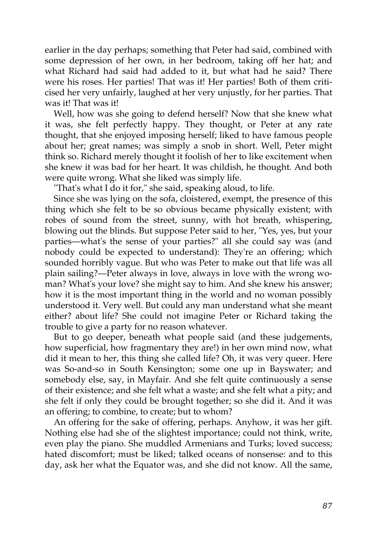earlier in the day perhaps; something that Peter had said, combined with some depression of her own, in her bedroom, taking off her hat; and what Richard had said had added to it, but what had he said? There were his roses. Her parties! That was it! Her parties! Both of them criticised her very unfairly, laughed at her very unjustly, for her parties. That was it! That was it!

Well, how was she going to defend herself? Now that she knew what it was, she felt perfectly happy. They thought, or Peter at any rate thought, that she enjoyed imposing herself; liked to have famous people about her; great names; was simply a snob in short. Well, Peter might think so. Richard merely thought it foolish of her to like excitement when she knew it was bad for her heart. It was childish, he thought. And both were quite wrong. What she liked was simply life.

"That's what I do it for," she said, speaking aloud, to life.

Since she was lying on the sofa, cloistered, exempt, the presence of this thing which she felt to be so obvious became physically existent; with robes of sound from the street, sunny, with hot breath, whispering, blowing out the blinds. But suppose Peter said to her, "Yes, yes, but your parties—what's the sense of your parties?" all she could say was (and nobody could be expected to understand): They're an offering; which sounded horribly vague. But who was Peter to make out that life was all plain sailing?—Peter always in love, always in love with the wrong woman? What's your love? she might say to him. And she knew his answer; how it is the most important thing in the world and no woman possibly understood it. Very well. But could any man understand what she meant either? about life? She could not imagine Peter or Richard taking the trouble to give a party for no reason whatever.

But to go deeper, beneath what people said (and these judgements, how superficial, how fragmentary they are!) in her own mind now, what did it mean to her, this thing she called life? Oh, it was very queer. Here was So-and-so in South Kensington; some one up in Bayswater; and somebody else, say, in Mayfair. And she felt quite continuously a sense of their existence; and she felt what a waste; and she felt what a pity; and she felt if only they could be brought together; so she did it. And it was an offering; to combine, to create; but to whom?

An offering for the sake of offering, perhaps. Anyhow, it was her gift. Nothing else had she of the slightest importance; could not think, write, even play the piano. She muddled Armenians and Turks; loved success; hated discomfort; must be liked; talked oceans of nonsense: and to this day, ask her what the Equator was, and she did not know. All the same,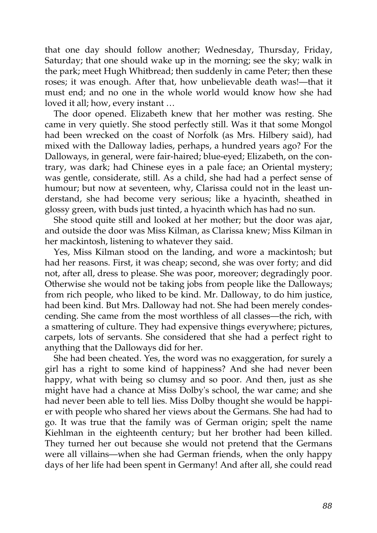that one day should follow another; Wednesday, Thursday, Friday, Saturday; that one should wake up in the morning; see the sky; walk in the park; meet Hugh Whitbread; then suddenly in came Peter; then these roses; it was enough. After that, how unbelievable death was!—that it must end; and no one in the whole world would know how she had loved it all; how, every instant …

The door opened. Elizabeth knew that her mother was resting. She came in very quietly. She stood perfectly still. Was it that some Mongol had been wrecked on the coast of Norfolk (as Mrs. Hilbery said), had mixed with the Dalloway ladies, perhaps, a hundred years ago? For the Dalloways, in general, were fair-haired; blue-eyed; Elizabeth, on the contrary, was dark; had Chinese eyes in a pale face; an Oriental mystery; was gentle, considerate, still. As a child, she had had a perfect sense of humour; but now at seventeen, why, Clarissa could not in the least understand, she had become very serious; like a hyacinth, sheathed in glossy green, with buds just tinted, a hyacinth which has had no sun.

She stood quite still and looked at her mother; but the door was ajar, and outside the door was Miss Kilman, as Clarissa knew; Miss Kilman in her mackintosh, listening to whatever they said.

Yes, Miss Kilman stood on the landing, and wore a mackintosh; but had her reasons. First, it was cheap; second, she was over forty; and did not, after all, dress to please. She was poor, moreover; degradingly poor. Otherwise she would not be taking jobs from people like the Dalloways; from rich people, who liked to be kind. Mr. Dalloway, to do him justice, had been kind. But Mrs. Dalloway had not. She had been merely condescending. She came from the most worthless of all classes—the rich, with a smattering of culture. They had expensive things everywhere; pictures, carpets, lots of servants. She considered that she had a perfect right to anything that the Dalloways did for her.

She had been cheated. Yes, the word was no exaggeration, for surely a girl has a right to some kind of happiness? And she had never been happy, what with being so clumsy and so poor. And then, just as she might have had a chance at Miss Dolby's school, the war came; and she had never been able to tell lies. Miss Dolby thought she would be happier with people who shared her views about the Germans. She had had to go. It was true that the family was of German origin; spelt the name Kiehlman in the eighteenth century; but her brother had been killed. They turned her out because she would not pretend that the Germans were all villains—when she had German friends, when the only happy days of her life had been spent in Germany! And after all, she could read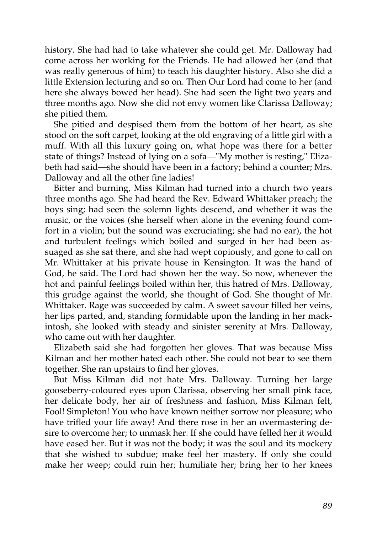history. She had had to take whatever she could get. Mr. Dalloway had come across her working for the Friends. He had allowed her (and that was really generous of him) to teach his daughter history. Also she did a little Extension lecturing and so on. Then Our Lord had come to her (and here she always bowed her head). She had seen the light two years and three months ago. Now she did not envy women like Clarissa Dalloway; she pitied them.

She pitied and despised them from the bottom of her heart, as she stood on the soft carpet, looking at the old engraving of a little girl with a muff. With all this luxury going on, what hope was there for a better state of things? Instead of lying on a sofa—"My mother is resting," Elizabeth had said—she should have been in a factory; behind a counter; Mrs. Dalloway and all the other fine ladies!

Bitter and burning, Miss Kilman had turned into a church two years three months ago. She had heard the Rev. Edward Whittaker preach; the boys sing; had seen the solemn lights descend, and whether it was the music, or the voices (she herself when alone in the evening found comfort in a violin; but the sound was excruciating; she had no ear), the hot and turbulent feelings which boiled and surged in her had been assuaged as she sat there, and she had wept copiously, and gone to call on Mr. Whittaker at his private house in Kensington. It was the hand of God, he said. The Lord had shown her the way. So now, whenever the hot and painful feelings boiled within her, this hatred of Mrs. Dalloway, this grudge against the world, she thought of God. She thought of Mr. Whittaker. Rage was succeeded by calm. A sweet savour filled her veins, her lips parted, and, standing formidable upon the landing in her mackintosh, she looked with steady and sinister serenity at Mrs. Dalloway, who came out with her daughter.

Elizabeth said she had forgotten her gloves. That was because Miss Kilman and her mother hated each other. She could not bear to see them together. She ran upstairs to find her gloves.

But Miss Kilman did not hate Mrs. Dalloway. Turning her large gooseberry-coloured eyes upon Clarissa, observing her small pink face, her delicate body, her air of freshness and fashion, Miss Kilman felt, Fool! Simpleton! You who have known neither sorrow nor pleasure; who have trifled your life away! And there rose in her an overmastering desire to overcome her; to unmask her. If she could have felled her it would have eased her. But it was not the body; it was the soul and its mockery that she wished to subdue; make feel her mastery. If only she could make her weep; could ruin her; humiliate her; bring her to her knees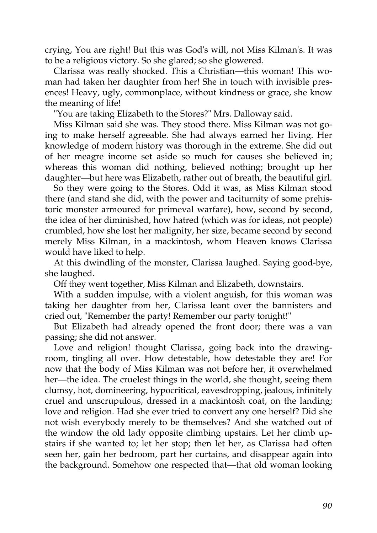crying, You are right! But this was God's will, not Miss Kilman's. It was to be a religious victory. So she glared; so she glowered.

Clarissa was really shocked. This a Christian—this woman! This woman had taken her daughter from her! She in touch with invisible presences! Heavy, ugly, commonplace, without kindness or grace, she know the meaning of life!

"You are taking Elizabeth to the Stores?" Mrs. Dalloway said.

Miss Kilman said she was. They stood there. Miss Kilman was not going to make herself agreeable. She had always earned her living. Her knowledge of modern history was thorough in the extreme. She did out of her meagre income set aside so much for causes she believed in; whereas this woman did nothing, believed nothing; brought up her daughter—but here was Elizabeth, rather out of breath, the beautiful girl.

So they were going to the Stores. Odd it was, as Miss Kilman stood there (and stand she did, with the power and taciturnity of some prehistoric monster armoured for primeval warfare), how, second by second, the idea of her diminished, how hatred (which was for ideas, not people) crumbled, how she lost her malignity, her size, became second by second merely Miss Kilman, in a mackintosh, whom Heaven knows Clarissa would have liked to help.

At this dwindling of the monster, Clarissa laughed. Saying good-bye, she laughed.

Off they went together, Miss Kilman and Elizabeth, downstairs.

With a sudden impulse, with a violent anguish, for this woman was taking her daughter from her, Clarissa leant over the bannisters and cried out, "Remember the party! Remember our party tonight!"

But Elizabeth had already opened the front door; there was a van passing; she did not answer.

Love and religion! thought Clarissa, going back into the drawingroom, tingling all over. How detestable, how detestable they are! For now that the body of Miss Kilman was not before her, it overwhelmed her—the idea. The cruelest things in the world, she thought, seeing them clumsy, hot, domineering, hypocritical, eavesdropping, jealous, infinitely cruel and unscrupulous, dressed in a mackintosh coat, on the landing; love and religion. Had she ever tried to convert any one herself? Did she not wish everybody merely to be themselves? And she watched out of the window the old lady opposite climbing upstairs. Let her climb upstairs if she wanted to; let her stop; then let her, as Clarissa had often seen her, gain her bedroom, part her curtains, and disappear again into the background. Somehow one respected that—that old woman looking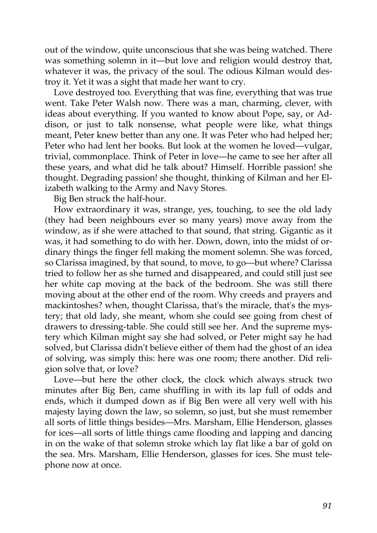out of the window, quite unconscious that she was being watched. There was something solemn in it—but love and religion would destroy that, whatever it was, the privacy of the soul. The odious Kilman would destroy it. Yet it was a sight that made her want to cry.

Love destroyed too. Everything that was fine, everything that was true went. Take Peter Walsh now. There was a man, charming, clever, with ideas about everything. If you wanted to know about Pope, say, or Addison, or just to talk nonsense, what people were like, what things meant, Peter knew better than any one. It was Peter who had helped her; Peter who had lent her books. But look at the women he loved—vulgar, trivial, commonplace. Think of Peter in love—he came to see her after all these years, and what did he talk about? Himself. Horrible passion! she thought. Degrading passion! she thought, thinking of Kilman and her Elizabeth walking to the Army and Navy Stores.

Big Ben struck the half-hour.

How extraordinary it was, strange, yes, touching, to see the old lady (they had been neighbours ever so many years) move away from the window, as if she were attached to that sound, that string. Gigantic as it was, it had something to do with her. Down, down, into the midst of ordinary things the finger fell making the moment solemn. She was forced, so Clarissa imagined, by that sound, to move, to go—but where? Clarissa tried to follow her as she turned and disappeared, and could still just see her white cap moving at the back of the bedroom. She was still there moving about at the other end of the room. Why creeds and prayers and mackintoshes? when, thought Clarissa, that's the miracle, that's the mystery; that old lady, she meant, whom she could see going from chest of drawers to dressing-table. She could still see her. And the supreme mystery which Kilman might say she had solved, or Peter might say he had solved, but Clarissa didn't believe either of them had the ghost of an idea of solving, was simply this: here was one room; there another. Did religion solve that, or love?

Love—but here the other clock, the clock which always struck two minutes after Big Ben, came shuffling in with its lap full of odds and ends, which it dumped down as if Big Ben were all very well with his majesty laying down the law, so solemn, so just, but she must remember all sorts of little things besides—Mrs. Marsham, Ellie Henderson, glasses for ices—all sorts of little things came flooding and lapping and dancing in on the wake of that solemn stroke which lay flat like a bar of gold on the sea. Mrs. Marsham, Ellie Henderson, glasses for ices. She must telephone now at once.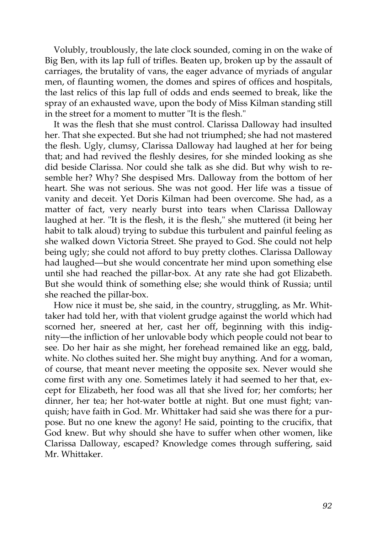Volubly, troublously, the late clock sounded, coming in on the wake of Big Ben, with its lap full of trifles. Beaten up, broken up by the assault of carriages, the brutality of vans, the eager advance of myriads of angular men, of flaunting women, the domes and spires of offices and hospitals, the last relics of this lap full of odds and ends seemed to break, like the spray of an exhausted wave, upon the body of Miss Kilman standing still in the street for a moment to mutter "It is the flesh."

It was the flesh that she must control. Clarissa Dalloway had insulted her. That she expected. But she had not triumphed; she had not mastered the flesh. Ugly, clumsy, Clarissa Dalloway had laughed at her for being that; and had revived the fleshly desires, for she minded looking as she did beside Clarissa. Nor could she talk as she did. But why wish to resemble her? Why? She despised Mrs. Dalloway from the bottom of her heart. She was not serious. She was not good. Her life was a tissue of vanity and deceit. Yet Doris Kilman had been overcome. She had, as a matter of fact, very nearly burst into tears when Clarissa Dalloway laughed at her. "It is the flesh, it is the flesh," she muttered (it being her habit to talk aloud) trying to subdue this turbulent and painful feeling as she walked down Victoria Street. She prayed to God. She could not help being ugly; she could not afford to buy pretty clothes. Clarissa Dalloway had laughed—but she would concentrate her mind upon something else until she had reached the pillar-box. At any rate she had got Elizabeth. But she would think of something else; she would think of Russia; until she reached the pillar-box.

How nice it must be, she said, in the country, struggling, as Mr. Whittaker had told her, with that violent grudge against the world which had scorned her, sneered at her, cast her off, beginning with this indignity—the infliction of her unlovable body which people could not bear to see. Do her hair as she might, her forehead remained like an egg, bald, white. No clothes suited her. She might buy anything. And for a woman, of course, that meant never meeting the opposite sex. Never would she come first with any one. Sometimes lately it had seemed to her that, except for Elizabeth, her food was all that she lived for; her comforts; her dinner, her tea; her hot-water bottle at night. But one must fight; vanquish; have faith in God. Mr. Whittaker had said she was there for a purpose. But no one knew the agony! He said, pointing to the crucifix, that God knew. But why should she have to suffer when other women, like Clarissa Dalloway, escaped? Knowledge comes through suffering, said Mr. Whittaker.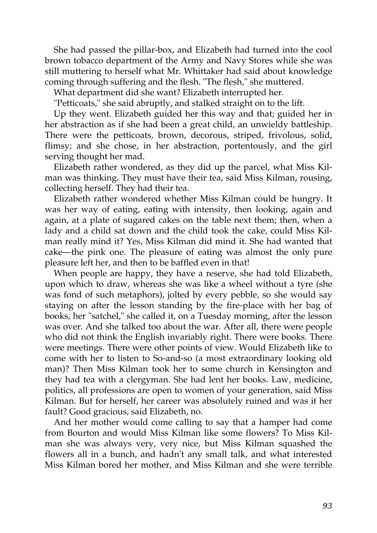She had passed the pillar-box, and Elizabeth had turned into the cool brown tobacco department of the Army and Navy Stores while she was still muttering to herself what Mr. Whittaker had said about knowledge coming through suffering and the flesh. "The flesh," she muttered.

What department did she want? Elizabeth interrupted her.

"Petticoats," she said abruptly, and stalked straight on to the lift.

Up they went. Elizabeth guided her this way and that; guided her in her abstraction as if she had been a great child, an unwieldy battleship. There were the petticoats, brown, decorous, striped, frivolous, solid, flimsy; and she chose, in her abstraction, portentously, and the girl serving thought her mad.

Elizabeth rather wondered, as they did up the parcel, what Miss Kilman was thinking. They must have their tea, said Miss Kilman, rousing, collecting herself. They had their tea.

Elizabeth rather wondered whether Miss Kilman could be hungry. It was her way of eating, eating with intensity, then looking, again and again, at a plate of sugared cakes on the table next them; then, when a lady and a child sat down and the child took the cake, could Miss Kilman really mind it? Yes, Miss Kilman did mind it. She had wanted that cake—the pink one. The pleasure of eating was almost the only pure pleasure left her, and then to be baffled even in that!

When people are happy, they have a reserve, she had told Elizabeth, upon which to draw, whereas she was like a wheel without a tyre (she was fond of such metaphors), jolted by every pebble, so she would say staying on after the lesson standing by the fire-place with her bag of books, her "satchel," she called it, on a Tuesday morning, after the lesson was over. And she talked too about the war. After all, there were people who did not think the English invariably right. There were books. There were meetings. There were other points of view. Would Elizabeth like to come with her to listen to So-and-so (a most extraordinary looking old man)? Then Miss Kilman took her to some church in Kensington and they had tea with a clergyman. She had lent her books. Law, medicine, politics, all professions are open to women of your generation, said Miss Kilman. But for herself, her career was absolutely ruined and was it her fault? Good gracious, said Elizabeth, no.

And her mother would come calling to say that a hamper had come from Bourton and would Miss Kilman like some flowers? To Miss Kilman she was always very, very nice, but Miss Kilman squashed the flowers all in a bunch, and hadn't any small talk, and what interested Miss Kilman bored her mother, and Miss Kilman and she were terrible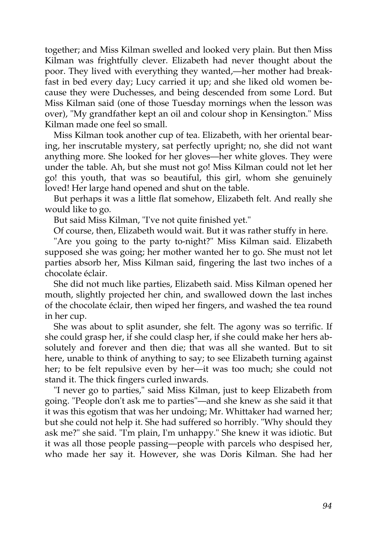together; and Miss Kilman swelled and looked very plain. But then Miss Kilman was frightfully clever. Elizabeth had never thought about the poor. They lived with everything they wanted,—her mother had breakfast in bed every day; Lucy carried it up; and she liked old women because they were Duchesses, and being descended from some Lord. But Miss Kilman said (one of those Tuesday mornings when the lesson was over), "My grandfather kept an oil and colour shop in Kensington." Miss Kilman made one feel so small.

Miss Kilman took another cup of tea. Elizabeth, with her oriental bearing, her inscrutable mystery, sat perfectly upright; no, she did not want anything more. She looked for her gloves—her white gloves. They were under the table. Ah, but she must not go! Miss Kilman could not let her go! this youth, that was so beautiful, this girl, whom she genuinely loved! Her large hand opened and shut on the table.

But perhaps it was a little flat somehow, Elizabeth felt. And really she would like to go.

But said Miss Kilman, "I've not quite finished yet."

Of course, then, Elizabeth would wait. But it was rather stuffy in here.

"Are you going to the party to-night?" Miss Kilman said. Elizabeth supposed she was going; her mother wanted her to go. She must not let parties absorb her, Miss Kilman said, fingering the last two inches of a chocolate éclair.

She did not much like parties, Elizabeth said. Miss Kilman opened her mouth, slightly projected her chin, and swallowed down the last inches of the chocolate éclair, then wiped her fingers, and washed the tea round in her cup.

She was about to split asunder, she felt. The agony was so terrific. If she could grasp her, if she could clasp her, if she could make her hers absolutely and forever and then die; that was all she wanted. But to sit here, unable to think of anything to say; to see Elizabeth turning against her; to be felt repulsive even by her—it was too much; she could not stand it. The thick fingers curled inwards.

"I never go to parties," said Miss Kilman, just to keep Elizabeth from going. "People don't ask me to parties"—and she knew as she said it that it was this egotism that was her undoing; Mr. Whittaker had warned her; but she could not help it. She had suffered so horribly. "Why should they ask me?" she said. "I'm plain, I'm unhappy." She knew it was idiotic. But it was all those people passing—people with parcels who despised her, who made her say it. However, she was Doris Kilman. She had her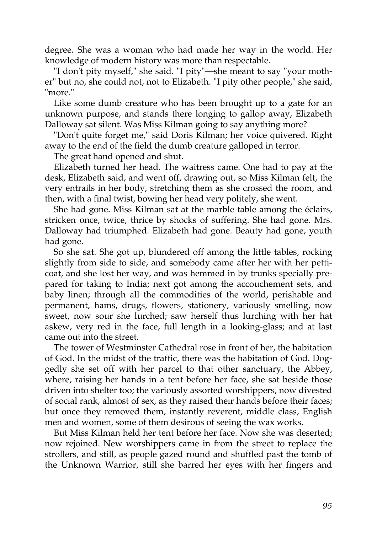degree. She was a woman who had made her way in the world. Her knowledge of modern history was more than respectable.

"I don't pity myself," she said. "I pity"—she meant to say "your mother" but no, she could not, not to Elizabeth. "I pity other people," she said, "more."

Like some dumb creature who has been brought up to a gate for an unknown purpose, and stands there longing to gallop away, Elizabeth Dalloway sat silent. Was Miss Kilman going to say anything more?

"Don't quite forget me," said Doris Kilman; her voice quivered. Right away to the end of the field the dumb creature galloped in terror.

The great hand opened and shut.

Elizabeth turned her head. The waitress came. One had to pay at the desk, Elizabeth said, and went off, drawing out, so Miss Kilman felt, the very entrails in her body, stretching them as she crossed the room, and then, with a final twist, bowing her head very politely, she went.

She had gone. Miss Kilman sat at the marble table among the éclairs, stricken once, twice, thrice by shocks of suffering. She had gone. Mrs. Dalloway had triumphed. Elizabeth had gone. Beauty had gone, youth had gone.

So she sat. She got up, blundered off among the little tables, rocking slightly from side to side, and somebody came after her with her petticoat, and she lost her way, and was hemmed in by trunks specially prepared for taking to India; next got among the accouchement sets, and baby linen; through all the commodities of the world, perishable and permanent, hams, drugs, flowers, stationery, variously smelling, now sweet, now sour she lurched; saw herself thus lurching with her hat askew, very red in the face, full length in a looking-glass; and at last came out into the street.

The tower of Westminster Cathedral rose in front of her, the habitation of God. In the midst of the traffic, there was the habitation of God. Doggedly she set off with her parcel to that other sanctuary, the Abbey, where, raising her hands in a tent before her face, she sat beside those driven into shelter too; the variously assorted worshippers, now divested of social rank, almost of sex, as they raised their hands before their faces; but once they removed them, instantly reverent, middle class, English men and women, some of them desirous of seeing the wax works.

But Miss Kilman held her tent before her face. Now she was deserted; now rejoined. New worshippers came in from the street to replace the strollers, and still, as people gazed round and shuffled past the tomb of the Unknown Warrior, still she barred her eyes with her fingers and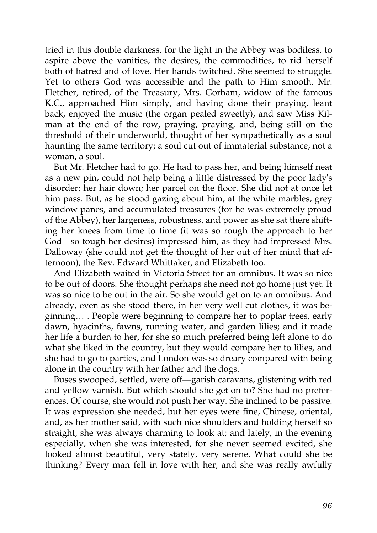tried in this double darkness, for the light in the Abbey was bodiless, to aspire above the vanities, the desires, the commodities, to rid herself both of hatred and of love. Her hands twitched. She seemed to struggle. Yet to others God was accessible and the path to Him smooth. Mr. Fletcher, retired, of the Treasury, Mrs. Gorham, widow of the famous K.C., approached Him simply, and having done their praying, leant back, enjoyed the music (the organ pealed sweetly), and saw Miss Kilman at the end of the row, praying, praying, and, being still on the threshold of their underworld, thought of her sympathetically as a soul haunting the same territory; a soul cut out of immaterial substance; not a woman, a soul.

But Mr. Fletcher had to go. He had to pass her, and being himself neat as a new pin, could not help being a little distressed by the poor lady's disorder; her hair down; her parcel on the floor. She did not at once let him pass. But, as he stood gazing about him, at the white marbles, grey window panes, and accumulated treasures (for he was extremely proud of the Abbey), her largeness, robustness, and power as she sat there shifting her knees from time to time (it was so rough the approach to her God—so tough her desires) impressed him, as they had impressed Mrs. Dalloway (she could not get the thought of her out of her mind that afternoon), the Rev. Edward Whittaker, and Elizabeth too.

And Elizabeth waited in Victoria Street for an omnibus. It was so nice to be out of doors. She thought perhaps she need not go home just yet. It was so nice to be out in the air. So she would get on to an omnibus. And already, even as she stood there, in her very well cut clothes, it was beginning… . People were beginning to compare her to poplar trees, early dawn, hyacinths, fawns, running water, and garden lilies; and it made her life a burden to her, for she so much preferred being left alone to do what she liked in the country, but they would compare her to lilies, and she had to go to parties, and London was so dreary compared with being alone in the country with her father and the dogs.

Buses swooped, settled, were off—garish caravans, glistening with red and yellow varnish. But which should she get on to? She had no preferences. Of course, she would not push her way. She inclined to be passive. It was expression she needed, but her eyes were fine, Chinese, oriental, and, as her mother said, with such nice shoulders and holding herself so straight, she was always charming to look at; and lately, in the evening especially, when she was interested, for she never seemed excited, she looked almost beautiful, very stately, very serene. What could she be thinking? Every man fell in love with her, and she was really awfully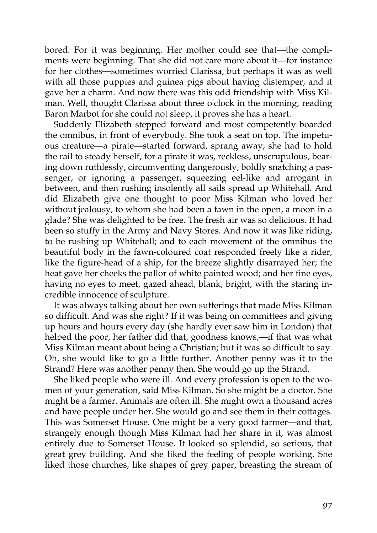bored. For it was beginning. Her mother could see that—the compliments were beginning. That she did not care more about it—for instance for her clothes—sometimes worried Clarissa, but perhaps it was as well with all those puppies and guinea pigs about having distemper, and it gave her a charm. And now there was this odd friendship with Miss Kilman. Well, thought Clarissa about three o'clock in the morning, reading Baron Marbot for she could not sleep, it proves she has a heart.

Suddenly Elizabeth stepped forward and most competently boarded the omnibus, in front of everybody. She took a seat on top. The impetuous creature—a pirate—started forward, sprang away; she had to hold the rail to steady herself, for a pirate it was, reckless, unscrupulous, bearing down ruthlessly, circumventing dangerously, boldly snatching a passenger, or ignoring a passenger, squeezing eel-like and arrogant in between, and then rushing insolently all sails spread up Whitehall. And did Elizabeth give one thought to poor Miss Kilman who loved her without jealousy, to whom she had been a fawn in the open, a moon in a glade? She was delighted to be free. The fresh air was so delicious. It had been so stuffy in the Army and Navy Stores. And now it was like riding, to be rushing up Whitehall; and to each movement of the omnibus the beautiful body in the fawn-coloured coat responded freely like a rider, like the figure-head of a ship, for the breeze slightly disarrayed her; the heat gave her cheeks the pallor of white painted wood; and her fine eyes, having no eyes to meet, gazed ahead, blank, bright, with the staring incredible innocence of sculpture.

It was always talking about her own sufferings that made Miss Kilman so difficult. And was she right? If it was being on committees and giving up hours and hours every day (she hardly ever saw him in London) that helped the poor, her father did that, goodness knows,—if that was what Miss Kilman meant about being a Christian; but it was so difficult to say. Oh, she would like to go a little further. Another penny was it to the Strand? Here was another penny then. She would go up the Strand.

She liked people who were ill. And every profession is open to the women of your generation, said Miss Kilman. So she might be a doctor. She might be a farmer. Animals are often ill. She might own a thousand acres and have people under her. She would go and see them in their cottages. This was Somerset House. One might be a very good farmer—and that, strangely enough though Miss Kilman had her share in it, was almost entirely due to Somerset House. It looked so splendid, so serious, that great grey building. And she liked the feeling of people working. She liked those churches, like shapes of grey paper, breasting the stream of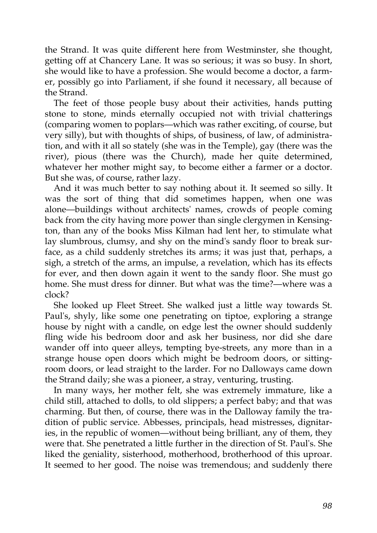the Strand. It was quite different here from Westminster, she thought, getting off at Chancery Lane. It was so serious; it was so busy. In short, she would like to have a profession. She would become a doctor, a farmer, possibly go into Parliament, if she found it necessary, all because of the Strand.

The feet of those people busy about their activities, hands putting stone to stone, minds eternally occupied not with trivial chatterings (comparing women to poplars—which was rather exciting, of course, but very silly), but with thoughts of ships, of business, of law, of administration, and with it all so stately (she was in the Temple), gay (there was the river), pious (there was the Church), made her quite determined, whatever her mother might say, to become either a farmer or a doctor. But she was, of course, rather lazy.

And it was much better to say nothing about it. It seemed so silly. It was the sort of thing that did sometimes happen, when one was alone—buildings without architects' names, crowds of people coming back from the city having more power than single clergymen in Kensington, than any of the books Miss Kilman had lent her, to stimulate what lay slumbrous, clumsy, and shy on the mind's sandy floor to break surface, as a child suddenly stretches its arms; it was just that, perhaps, a sigh, a stretch of the arms, an impulse, a revelation, which has its effects for ever, and then down again it went to the sandy floor. She must go home. She must dress for dinner. But what was the time?—where was a clock?

She looked up Fleet Street. She walked just a little way towards St. Paul's, shyly, like some one penetrating on tiptoe, exploring a strange house by night with a candle, on edge lest the owner should suddenly fling wide his bedroom door and ask her business, nor did she dare wander off into queer alleys, tempting bye-streets, any more than in a strange house open doors which might be bedroom doors, or sittingroom doors, or lead straight to the larder. For no Dalloways came down the Strand daily; she was a pioneer, a stray, venturing, trusting.

In many ways, her mother felt, she was extremely immature, like a child still, attached to dolls, to old slippers; a perfect baby; and that was charming. But then, of course, there was in the Dalloway family the tradition of public service. Abbesses, principals, head mistresses, dignitaries, in the republic of women—without being brilliant, any of them, they were that. She penetrated a little further in the direction of St. Paul's. She liked the geniality, sisterhood, motherhood, brotherhood of this uproar. It seemed to her good. The noise was tremendous; and suddenly there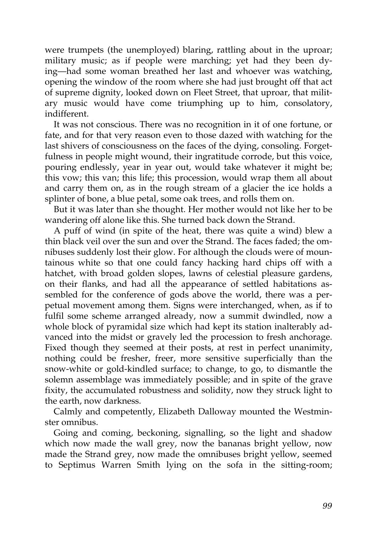were trumpets (the unemployed) blaring, rattling about in the uproar; military music; as if people were marching; yet had they been dying—had some woman breathed her last and whoever was watching, opening the window of the room where she had just brought off that act of supreme dignity, looked down on Fleet Street, that uproar, that military music would have come triumphing up to him, consolatory, indifferent.

It was not conscious. There was no recognition in it of one fortune, or fate, and for that very reason even to those dazed with watching for the last shivers of consciousness on the faces of the dying, consoling. Forgetfulness in people might wound, their ingratitude corrode, but this voice, pouring endlessly, year in year out, would take whatever it might be; this vow; this van; this life; this procession, would wrap them all about and carry them on, as in the rough stream of a glacier the ice holds a splinter of bone, a blue petal, some oak trees, and rolls them on.

But it was later than she thought. Her mother would not like her to be wandering off alone like this. She turned back down the Strand.

A puff of wind (in spite of the heat, there was quite a wind) blew a thin black veil over the sun and over the Strand. The faces faded; the omnibuses suddenly lost their glow. For although the clouds were of mountainous white so that one could fancy hacking hard chips off with a hatchet, with broad golden slopes, lawns of celestial pleasure gardens, on their flanks, and had all the appearance of settled habitations assembled for the conference of gods above the world, there was a perpetual movement among them. Signs were interchanged, when, as if to fulfil some scheme arranged already, now a summit dwindled, now a whole block of pyramidal size which had kept its station inalterably advanced into the midst or gravely led the procession to fresh anchorage. Fixed though they seemed at their posts, at rest in perfect unanimity, nothing could be fresher, freer, more sensitive superficially than the snow-white or gold-kindled surface; to change, to go, to dismantle the solemn assemblage was immediately possible; and in spite of the grave fixity, the accumulated robustness and solidity, now they struck light to the earth, now darkness.

Calmly and competently, Elizabeth Dalloway mounted the Westminster omnibus.

Going and coming, beckoning, signalling, so the light and shadow which now made the wall grey, now the bananas bright yellow, now made the Strand grey, now made the omnibuses bright yellow, seemed to Septimus Warren Smith lying on the sofa in the sitting-room;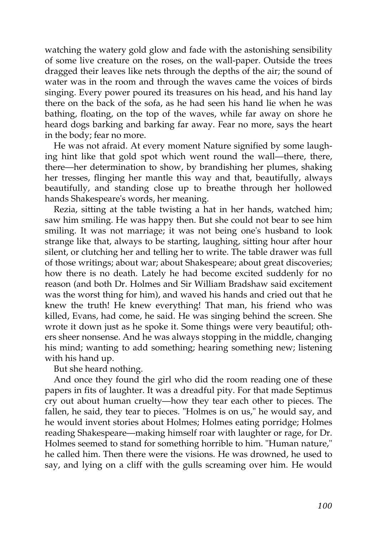watching the watery gold glow and fade with the astonishing sensibility of some live creature on the roses, on the wall-paper. Outside the trees dragged their leaves like nets through the depths of the air; the sound of water was in the room and through the waves came the voices of birds singing. Every power poured its treasures on his head, and his hand lay there on the back of the sofa, as he had seen his hand lie when he was bathing, floating, on the top of the waves, while far away on shore he heard dogs barking and barking far away. Fear no more, says the heart in the body; fear no more.

He was not afraid. At every moment Nature signified by some laughing hint like that gold spot which went round the wall—there, there, there—her determination to show, by brandishing her plumes, shaking her tresses, flinging her mantle this way and that, beautifully, always beautifully, and standing close up to breathe through her hollowed hands Shakespeare's words, her meaning.

Rezia, sitting at the table twisting a hat in her hands, watched him; saw him smiling. He was happy then. But she could not bear to see him smiling. It was not marriage; it was not being one's husband to look strange like that, always to be starting, laughing, sitting hour after hour silent, or clutching her and telling her to write. The table drawer was full of those writings; about war; about Shakespeare; about great discoveries; how there is no death. Lately he had become excited suddenly for no reason (and both Dr. Holmes and Sir William Bradshaw said excitement was the worst thing for him), and waved his hands and cried out that he knew the truth! He knew everything! That man, his friend who was killed, Evans, had come, he said. He was singing behind the screen. She wrote it down just as he spoke it. Some things were very beautiful; others sheer nonsense. And he was always stopping in the middle, changing his mind; wanting to add something; hearing something new; listening with his hand up.

But she heard nothing.

And once they found the girl who did the room reading one of these papers in fits of laughter. It was a dreadful pity. For that made Septimus cry out about human cruelty—how they tear each other to pieces. The fallen, he said, they tear to pieces. "Holmes is on us," he would say, and he would invent stories about Holmes; Holmes eating porridge; Holmes reading Shakespeare—making himself roar with laughter or rage, for Dr. Holmes seemed to stand for something horrible to him. "Human nature," he called him. Then there were the visions. He was drowned, he used to say, and lying on a cliff with the gulls screaming over him. He would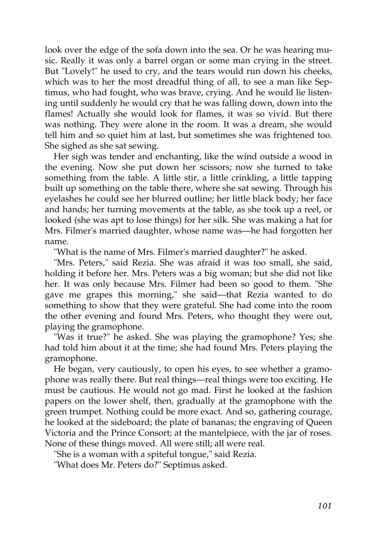look over the edge of the sofa down into the sea. Or he was hearing music. Really it was only a barrel organ or some man crying in the street. But "Lovely!" he used to cry, and the tears would run down his cheeks, which was to her the most dreadful thing of all, to see a man like Septimus, who had fought, who was brave, crying. And he would lie listening until suddenly he would cry that he was falling down, down into the flames! Actually she would look for flames, it was so vivid. But there was nothing. They were alone in the room. It was a dream, she would tell him and so quiet him at last, but sometimes she was frightened too. She sighed as she sat sewing.

Her sigh was tender and enchanting, like the wind outside a wood in the evening. Now she put down her scissors; now she turned to take something from the table. A little stir, a little crinkling, a little tapping built up something on the table there, where she sat sewing. Through his eyelashes he could see her blurred outline; her little black body; her face and hands; her turning movements at the table, as she took up a reel, or looked (she was apt to lose things) for her silk. She was making a hat for Mrs. Filmer's married daughter, whose name was—he had forgotten her name.

"What is the name of Mrs. Filmer's married daughter?" he asked.

"Mrs. Peters," said Rezia. She was afraid it was too small, she said, holding it before her. Mrs. Peters was a big woman; but she did not like her. It was only because Mrs. Filmer had been so good to them. "She gave me grapes this morning," she said—that Rezia wanted to do something to show that they were grateful. She had come into the room the other evening and found Mrs. Peters, who thought they were out, playing the gramophone.

"Was it true?" he asked. She was playing the gramophone? Yes; she had told him about it at the time; she had found Mrs. Peters playing the gramophone.

He began, very cautiously, to open his eyes, to see whether a gramophone was really there. But real things—real things were too exciting. He must be cautious. He would not go mad. First he looked at the fashion papers on the lower shelf, then, gradually at the gramophone with the green trumpet. Nothing could be more exact. And so, gathering courage, he looked at the sideboard; the plate of bananas; the engraving of Queen Victoria and the Prince Consort; at the mantelpiece, with the jar of roses. None of these things moved. All were still; all were real.

"She is a woman with a spiteful tongue," said Rezia.

"What does Mr. Peters do?" Septimus asked.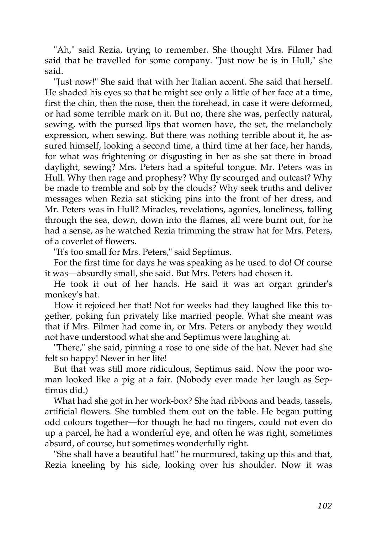"Ah," said Rezia, trying to remember. She thought Mrs. Filmer had said that he travelled for some company. "Just now he is in Hull," she said.

"Just now!" She said that with her Italian accent. She said that herself. He shaded his eyes so that he might see only a little of her face at a time, first the chin, then the nose, then the forehead, in case it were deformed, or had some terrible mark on it. But no, there she was, perfectly natural, sewing, with the pursed lips that women have, the set, the melancholy expression, when sewing. But there was nothing terrible about it, he assured himself, looking a second time, a third time at her face, her hands, for what was frightening or disgusting in her as she sat there in broad daylight, sewing? Mrs. Peters had a spiteful tongue. Mr. Peters was in Hull. Why then rage and prophesy? Why fly scourged and outcast? Why be made to tremble and sob by the clouds? Why seek truths and deliver messages when Rezia sat sticking pins into the front of her dress, and Mr. Peters was in Hull? Miracles, revelations, agonies, loneliness, falling through the sea, down, down into the flames, all were burnt out, for he had a sense, as he watched Rezia trimming the straw hat for Mrs. Peters, of a coverlet of flowers.

"It's too small for Mrs. Peters," said Septimus.

For the first time for days he was speaking as he used to do! Of course it was—absurdly small, she said. But Mrs. Peters had chosen it.

He took it out of her hands. He said it was an organ grinder's monkey's hat.

How it rejoiced her that! Not for weeks had they laughed like this together, poking fun privately like married people. What she meant was that if Mrs. Filmer had come in, or Mrs. Peters or anybody they would not have understood what she and Septimus were laughing at.

"There," she said, pinning a rose to one side of the hat. Never had she felt so happy! Never in her life!

But that was still more ridiculous, Septimus said. Now the poor woman looked like a pig at a fair. (Nobody ever made her laugh as Septimus did.)

What had she got in her work-box? She had ribbons and beads, tassels, artificial flowers. She tumbled them out on the table. He began putting odd colours together—for though he had no fingers, could not even do up a parcel, he had a wonderful eye, and often he was right, sometimes absurd, of course, but sometimes wonderfully right.

"She shall have a beautiful hat!" he murmured, taking up this and that, Rezia kneeling by his side, looking over his shoulder. Now it was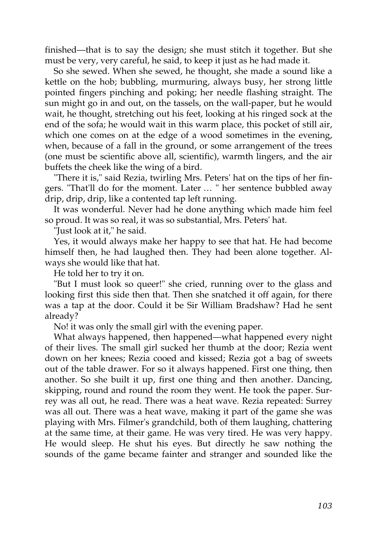finished—that is to say the design; she must stitch it together. But she must be very, very careful, he said, to keep it just as he had made it.

So she sewed. When she sewed, he thought, she made a sound like a kettle on the hob; bubbling, murmuring, always busy, her strong little pointed fingers pinching and poking; her needle flashing straight. The sun might go in and out, on the tassels, on the wall-paper, but he would wait, he thought, stretching out his feet, looking at his ringed sock at the end of the sofa; he would wait in this warm place, this pocket of still air, which one comes on at the edge of a wood sometimes in the evening, when, because of a fall in the ground, or some arrangement of the trees (one must be scientific above all, scientific), warmth lingers, and the air buffets the cheek like the wing of a bird.

"There it is," said Rezia, twirling Mrs. Peters' hat on the tips of her fingers. "That'll do for the moment. Later … " her sentence bubbled away drip, drip, drip, like a contented tap left running.

It was wonderful. Never had he done anything which made him feel so proud. It was so real, it was so substantial, Mrs. Peters' hat.

"Just look at it," he said.

Yes, it would always make her happy to see that hat. He had become himself then, he had laughed then. They had been alone together. Always she would like that hat.

He told her to try it on.

"But I must look so queer!" she cried, running over to the glass and looking first this side then that. Then she snatched it off again, for there was a tap at the door. Could it be Sir William Bradshaw? Had he sent already?

No! it was only the small girl with the evening paper.

What always happened, then happened—what happened every night of their lives. The small girl sucked her thumb at the door; Rezia went down on her knees; Rezia cooed and kissed; Rezia got a bag of sweets out of the table drawer. For so it always happened. First one thing, then another. So she built it up, first one thing and then another. Dancing, skipping, round and round the room they went. He took the paper. Surrey was all out, he read. There was a heat wave. Rezia repeated: Surrey was all out. There was a heat wave, making it part of the game she was playing with Mrs. Filmer's grandchild, both of them laughing, chattering at the same time, at their game. He was very tired. He was very happy. He would sleep. He shut his eyes. But directly he saw nothing the sounds of the game became fainter and stranger and sounded like the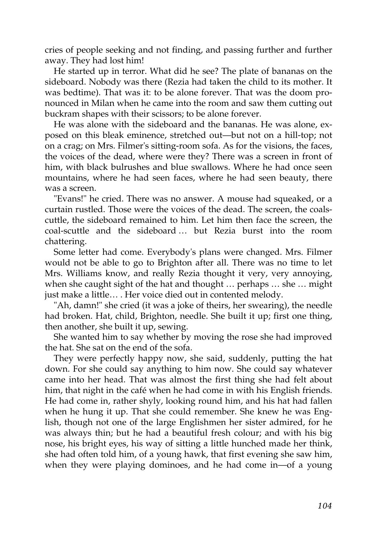cries of people seeking and not finding, and passing further and further away. They had lost him!

He started up in terror. What did he see? The plate of bananas on the sideboard. Nobody was there (Rezia had taken the child to its mother. It was bedtime). That was it: to be alone forever. That was the doom pronounced in Milan when he came into the room and saw them cutting out buckram shapes with their scissors; to be alone forever.

He was alone with the sideboard and the bananas. He was alone, exposed on this bleak eminence, stretched out—but not on a hill-top; not on a crag; on Mrs. Filmer's sitting-room sofa. As for the visions, the faces, the voices of the dead, where were they? There was a screen in front of him, with black bulrushes and blue swallows. Where he had once seen mountains, where he had seen faces, where he had seen beauty, there was a screen.

"Evans!" he cried. There was no answer. A mouse had squeaked, or a curtain rustled. Those were the voices of the dead. The screen, the coalscuttle, the sideboard remained to him. Let him then face the screen, the coal-scuttle and the sideboard … but Rezia burst into the room chattering.

Some letter had come. Everybody's plans were changed. Mrs. Filmer would not be able to go to Brighton after all. There was no time to let Mrs. Williams know, and really Rezia thought it very, very annoying, when she caught sight of the hat and thought … perhaps … she … might just make a little… . Her voice died out in contented melody.

"Ah, damn!" she cried (it was a joke of theirs, her swearing), the needle had broken. Hat, child, Brighton, needle. She built it up; first one thing, then another, she built it up, sewing.

She wanted him to say whether by moving the rose she had improved the hat. She sat on the end of the sofa.

They were perfectly happy now, she said, suddenly, putting the hat down. For she could say anything to him now. She could say whatever came into her head. That was almost the first thing she had felt about him, that night in the café when he had come in with his English friends. He had come in, rather shyly, looking round him, and his hat had fallen when he hung it up. That she could remember. She knew he was English, though not one of the large Englishmen her sister admired, for he was always thin; but he had a beautiful fresh colour; and with his big nose, his bright eyes, his way of sitting a little hunched made her think, she had often told him, of a young hawk, that first evening she saw him, when they were playing dominoes, and he had come in—of a young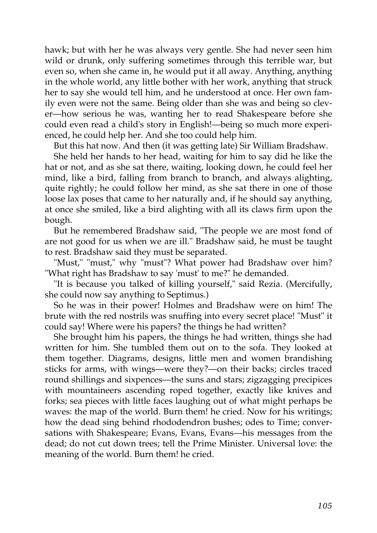hawk; but with her he was always very gentle. She had never seen him wild or drunk, only suffering sometimes through this terrible war, but even so, when she came in, he would put it all away. Anything, anything in the whole world, any little bother with her work, anything that struck her to say she would tell him, and he understood at once. Her own family even were not the same. Being older than she was and being so clever—how serious he was, wanting her to read Shakespeare before she could even read a child's story in English!—being so much more experienced, he could help her. And she too could help him.

But this hat now. And then (it was getting late) Sir William Bradshaw.

She held her hands to her head, waiting for him to say did he like the hat or not, and as she sat there, waiting, looking down, he could feel her mind, like a bird, falling from branch to branch, and always alighting, quite rightly; he could follow her mind, as she sat there in one of those loose lax poses that came to her naturally and, if he should say anything, at once she smiled, like a bird alighting with all its claws firm upon the bough.

But he remembered Bradshaw said, "The people we are most fond of are not good for us when we are ill." Bradshaw said, he must be taught to rest. Bradshaw said they must be separated.

"Must," "must," why "must"? What power had Bradshaw over him? "What right has Bradshaw to say 'must' to me?" he demanded.

"It is because you talked of killing yourself," said Rezia. (Mercifully, she could now say anything to Septimus.)

So he was in their power! Holmes and Bradshaw were on him! The brute with the red nostrils was snuffing into every secret place! "Must" it could say! Where were his papers? the things he had written?

She brought him his papers, the things he had written, things she had written for him. She tumbled them out on to the sofa. They looked at them together. Diagrams, designs, little men and women brandishing sticks for arms, with wings—were they?—on their backs; circles traced round shillings and sixpences—the suns and stars; zigzagging precipices with mountaineers ascending roped together, exactly like knives and forks; sea pieces with little faces laughing out of what might perhaps be waves: the map of the world. Burn them! he cried. Now for his writings; how the dead sing behind rhododendron bushes; odes to Time; conversations with Shakespeare; Evans, Evans, Evans—his messages from the dead; do not cut down trees; tell the Prime Minister. Universal love: the meaning of the world. Burn them! he cried.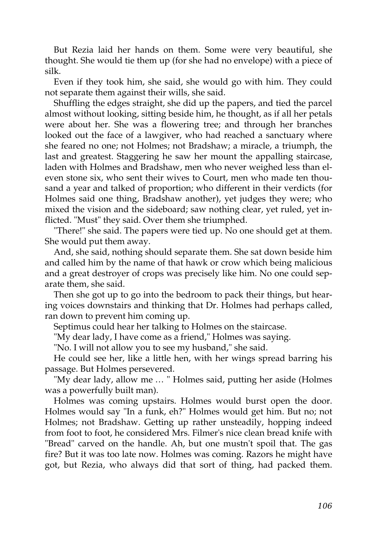But Rezia laid her hands on them. Some were very beautiful, she thought. She would tie them up (for she had no envelope) with a piece of silk.

Even if they took him, she said, she would go with him. They could not separate them against their wills, she said.

Shuffling the edges straight, she did up the papers, and tied the parcel almost without looking, sitting beside him, he thought, as if all her petals were about her. She was a flowering tree; and through her branches looked out the face of a lawgiver, who had reached a sanctuary where she feared no one; not Holmes; not Bradshaw; a miracle, a triumph, the last and greatest. Staggering he saw her mount the appalling staircase, laden with Holmes and Bradshaw, men who never weighed less than eleven stone six, who sent their wives to Court, men who made ten thousand a year and talked of proportion; who different in their verdicts (for Holmes said one thing, Bradshaw another), yet judges they were; who mixed the vision and the sideboard; saw nothing clear, yet ruled, yet inflicted. "Must" they said. Over them she triumphed.

"There!" she said. The papers were tied up. No one should get at them. She would put them away.

And, she said, nothing should separate them. She sat down beside him and called him by the name of that hawk or crow which being malicious and a great destroyer of crops was precisely like him. No one could separate them, she said.

Then she got up to go into the bedroom to pack their things, but hearing voices downstairs and thinking that Dr. Holmes had perhaps called, ran down to prevent him coming up.

Septimus could hear her talking to Holmes on the staircase.

"My dear lady, I have come as a friend," Holmes was saying.

"No. I will not allow you to see my husband," she said.

He could see her, like a little hen, with her wings spread barring his passage. But Holmes persevered.

"My dear lady, allow me … " Holmes said, putting her aside (Holmes was a powerfully built man).

Holmes was coming upstairs. Holmes would burst open the door. Holmes would say "In a funk, eh?" Holmes would get him. But no; not Holmes; not Bradshaw. Getting up rather unsteadily, hopping indeed from foot to foot, he considered Mrs. Filmer's nice clean bread knife with "Bread" carved on the handle. Ah, but one mustn't spoil that. The gas fire? But it was too late now. Holmes was coming. Razors he might have got, but Rezia, who always did that sort of thing, had packed them.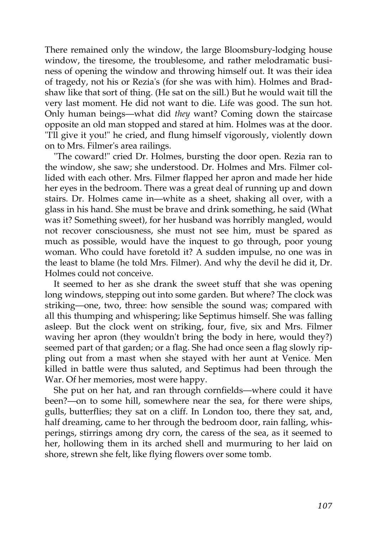There remained only the window, the large Bloomsbury-lodging house window, the tiresome, the troublesome, and rather melodramatic business of opening the window and throwing himself out. It was their idea of tragedy, not his or Rezia's (for she was with him). Holmes and Bradshaw like that sort of thing. (He sat on the sill.) But he would wait till the very last moment. He did not want to die. Life was good. The sun hot. Only human beings—what did *they* want? Coming down the staircase opposite an old man stopped and stared at him. Holmes was at the door. "I'll give it you!" he cried, and flung himself vigorously, violently down on to Mrs. Filmer's area railings.

"The coward!" cried Dr. Holmes, bursting the door open. Rezia ran to the window, she saw; she understood. Dr. Holmes and Mrs. Filmer collided with each other. Mrs. Filmer flapped her apron and made her hide her eyes in the bedroom. There was a great deal of running up and down stairs. Dr. Holmes came in—white as a sheet, shaking all over, with a glass in his hand. She must be brave and drink something, he said (What was it? Something sweet), for her husband was horribly mangled, would not recover consciousness, she must not see him, must be spared as much as possible, would have the inquest to go through, poor young woman. Who could have foretold it? A sudden impulse, no one was in the least to blame (he told Mrs. Filmer). And why the devil he did it, Dr. Holmes could not conceive.

It seemed to her as she drank the sweet stuff that she was opening long windows, stepping out into some garden. But where? The clock was striking—one, two, three: how sensible the sound was; compared with all this thumping and whispering; like Septimus himself. She was falling asleep. But the clock went on striking, four, five, six and Mrs. Filmer waving her apron (they wouldn't bring the body in here, would they?) seemed part of that garden; or a flag. She had once seen a flag slowly rippling out from a mast when she stayed with her aunt at Venice. Men killed in battle were thus saluted, and Septimus had been through the War. Of her memories, most were happy.

She put on her hat, and ran through cornfields—where could it have been?—on to some hill, somewhere near the sea, for there were ships, gulls, butterflies; they sat on a cliff. In London too, there they sat, and, half dreaming, came to her through the bedroom door, rain falling, whisperings, stirrings among dry corn, the caress of the sea, as it seemed to her, hollowing them in its arched shell and murmuring to her laid on shore, strewn she felt, like flying flowers over some tomb.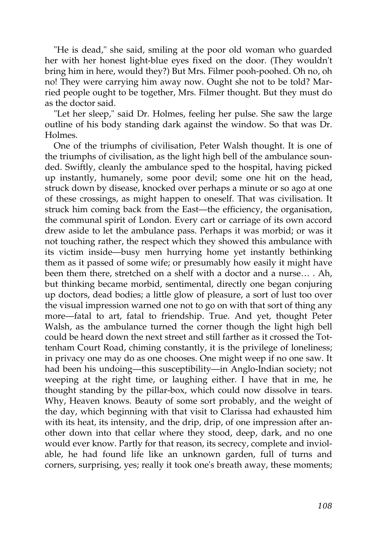"He is dead," she said, smiling at the poor old woman who guarded her with her honest light-blue eyes fixed on the door. (They wouldn't bring him in here, would they?) But Mrs. Filmer pooh-poohed. Oh no, oh no! They were carrying him away now. Ought she not to be told? Married people ought to be together, Mrs. Filmer thought. But they must do as the doctor said.

"Let her sleep," said Dr. Holmes, feeling her pulse. She saw the large outline of his body standing dark against the window. So that was Dr. Holmes.

One of the triumphs of civilisation, Peter Walsh thought. It is one of the triumphs of civilisation, as the light high bell of the ambulance sounded. Swiftly, cleanly the ambulance sped to the hospital, having picked up instantly, humanely, some poor devil; some one hit on the head, struck down by disease, knocked over perhaps a minute or so ago at one of these crossings, as might happen to oneself. That was civilisation. It struck him coming back from the East—the efficiency, the organisation, the communal spirit of London. Every cart or carriage of its own accord drew aside to let the ambulance pass. Perhaps it was morbid; or was it not touching rather, the respect which they showed this ambulance with its victim inside—busy men hurrying home yet instantly bethinking them as it passed of some wife; or presumably how easily it might have been them there, stretched on a shelf with a doctor and a nurse… . Ah, but thinking became morbid, sentimental, directly one began conjuring up doctors, dead bodies; a little glow of pleasure, a sort of lust too over the visual impression warned one not to go on with that sort of thing any more—fatal to art, fatal to friendship. True. And yet, thought Peter Walsh, as the ambulance turned the corner though the light high bell could be heard down the next street and still farther as it crossed the Tottenham Court Road, chiming constantly, it is the privilege of loneliness; in privacy one may do as one chooses. One might weep if no one saw. It had been his undoing—this susceptibility—in Anglo-Indian society; not weeping at the right time, or laughing either. I have that in me, he thought standing by the pillar-box, which could now dissolve in tears. Why, Heaven knows. Beauty of some sort probably, and the weight of the day, which beginning with that visit to Clarissa had exhausted him with its heat, its intensity, and the drip, drip, of one impression after another down into that cellar where they stood, deep, dark, and no one would ever know. Partly for that reason, its secrecy, complete and inviolable, he had found life like an unknown garden, full of turns and corners, surprising, yes; really it took one's breath away, these moments;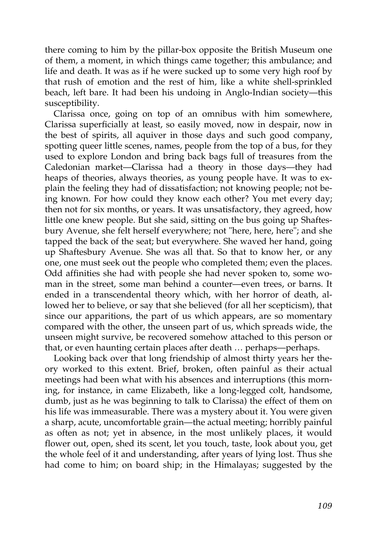there coming to him by the pillar-box opposite the British Museum one of them, a moment, in which things came together; this ambulance; and life and death. It was as if he were sucked up to some very high roof by that rush of emotion and the rest of him, like a white shell-sprinkled beach, left bare. It had been his undoing in Anglo-Indian society—this susceptibility.

Clarissa once, going on top of an omnibus with him somewhere, Clarissa superficially at least, so easily moved, now in despair, now in the best of spirits, all aquiver in those days and such good company, spotting queer little scenes, names, people from the top of a bus, for they used to explore London and bring back bags full of treasures from the Caledonian market—Clarissa had a theory in those days—they had heaps of theories, always theories, as young people have. It was to explain the feeling they had of dissatisfaction; not knowing people; not being known. For how could they know each other? You met every day; then not for six months, or years. It was unsatisfactory, they agreed, how little one knew people. But she said, sitting on the bus going up Shaftesbury Avenue, she felt herself everywhere; not "here, here, here"; and she tapped the back of the seat; but everywhere. She waved her hand, going up Shaftesbury Avenue. She was all that. So that to know her, or any one, one must seek out the people who completed them; even the places. Odd affinities she had with people she had never spoken to, some woman in the street, some man behind a counter—even trees, or barns. It ended in a transcendental theory which, with her horror of death, allowed her to believe, or say that she believed (for all her scepticism), that since our apparitions, the part of us which appears, are so momentary compared with the other, the unseen part of us, which spreads wide, the unseen might survive, be recovered somehow attached to this person or that, or even haunting certain places after death … perhaps—perhaps.

Looking back over that long friendship of almost thirty years her theory worked to this extent. Brief, broken, often painful as their actual meetings had been what with his absences and interruptions (this morning, for instance, in came Elizabeth, like a long-legged colt, handsome, dumb, just as he was beginning to talk to Clarissa) the effect of them on his life was immeasurable. There was a mystery about it. You were given a sharp, acute, uncomfortable grain—the actual meeting; horribly painful as often as not; yet in absence, in the most unlikely places, it would flower out, open, shed its scent, let you touch, taste, look about you, get the whole feel of it and understanding, after years of lying lost. Thus she had come to him; on board ship; in the Himalayas; suggested by the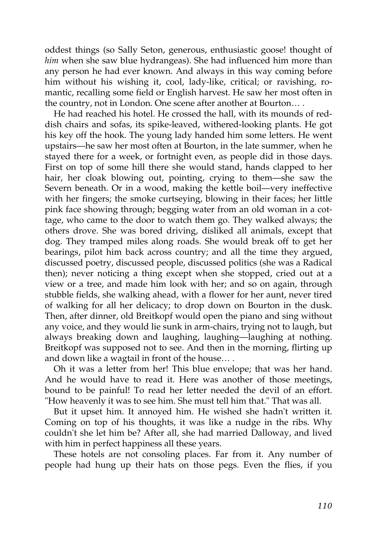oddest things (so Sally Seton, generous, enthusiastic goose! thought of *him* when she saw blue hydrangeas). She had influenced him more than any person he had ever known. And always in this way coming before him without his wishing it, cool, lady-like, critical; or ravishing, romantic, recalling some field or English harvest. He saw her most often in the country, not in London. One scene after another at Bourton… .

He had reached his hotel. He crossed the hall, with its mounds of reddish chairs and sofas, its spike-leaved, withered-looking plants. He got his key off the hook. The young lady handed him some letters. He went upstairs—he saw her most often at Bourton, in the late summer, when he stayed there for a week, or fortnight even, as people did in those days. First on top of some hill there she would stand, hands clapped to her hair, her cloak blowing out, pointing, crying to them—she saw the Severn beneath. Or in a wood, making the kettle boil—very ineffective with her fingers; the smoke curtseying, blowing in their faces; her little pink face showing through; begging water from an old woman in a cottage, who came to the door to watch them go. They walked always; the others drove. She was bored driving, disliked all animals, except that dog. They tramped miles along roads. She would break off to get her bearings, pilot him back across country; and all the time they argued, discussed poetry, discussed people, discussed politics (she was a Radical then); never noticing a thing except when she stopped, cried out at a view or a tree, and made him look with her; and so on again, through stubble fields, she walking ahead, with a flower for her aunt, never tired of walking for all her delicacy; to drop down on Bourton in the dusk. Then, after dinner, old Breitkopf would open the piano and sing without any voice, and they would lie sunk in arm-chairs, trying not to laugh, but always breaking down and laughing, laughing—laughing at nothing. Breitkopf was supposed not to see. And then in the morning, flirting up and down like a wagtail in front of the house… .

Oh it was a letter from her! This blue envelope; that was her hand. And he would have to read it. Here was another of those meetings, bound to be painful! To read her letter needed the devil of an effort. "How heavenly it was to see him. She must tell him that." That was all.

But it upset him. It annoyed him. He wished she hadn't written it. Coming on top of his thoughts, it was like a nudge in the ribs. Why couldn't she let him be? After all, she had married Dalloway, and lived with him in perfect happiness all these years.

These hotels are not consoling places. Far from it. Any number of people had hung up their hats on those pegs. Even the flies, if you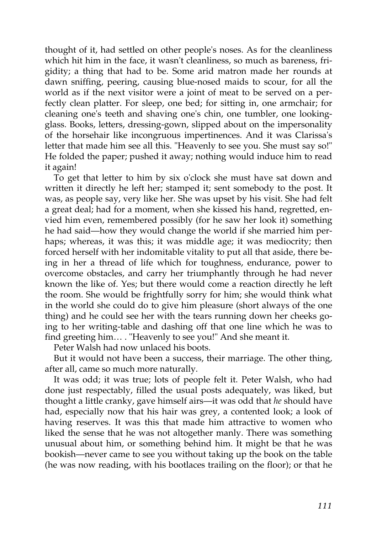thought of it, had settled on other people's noses. As for the cleanliness which hit him in the face, it wasn't cleanliness, so much as bareness, frigidity; a thing that had to be. Some arid matron made her rounds at dawn sniffing, peering, causing blue-nosed maids to scour, for all the world as if the next visitor were a joint of meat to be served on a perfectly clean platter. For sleep, one bed; for sitting in, one armchair; for cleaning one's teeth and shaving one's chin, one tumbler, one lookingglass. Books, letters, dressing-gown, slipped about on the impersonality of the horsehair like incongruous impertinences. And it was Clarissa's letter that made him see all this. "Heavenly to see you. She must say so!" He folded the paper; pushed it away; nothing would induce him to read it again!

To get that letter to him by six o'clock she must have sat down and written it directly he left her; stamped it; sent somebody to the post. It was, as people say, very like her. She was upset by his visit. She had felt a great deal; had for a moment, when she kissed his hand, regretted, envied him even, remembered possibly (for he saw her look it) something he had said—how they would change the world if she married him perhaps; whereas, it was this; it was middle age; it was mediocrity; then forced herself with her indomitable vitality to put all that aside, there being in her a thread of life which for toughness, endurance, power to overcome obstacles, and carry her triumphantly through he had never known the like of. Yes; but there would come a reaction directly he left the room. She would be frightfully sorry for him; she would think what in the world she could do to give him pleasure (short always of the one thing) and he could see her with the tears running down her cheeks going to her writing-table and dashing off that one line which he was to find greeting him… . "Heavenly to see you!" And she meant it.

Peter Walsh had now unlaced his boots.

But it would not have been a success, their marriage. The other thing, after all, came so much more naturally.

It was odd; it was true; lots of people felt it. Peter Walsh, who had done just respectably, filled the usual posts adequately, was liked, but thought a little cranky, gave himself airs—it was odd that *he* should have had, especially now that his hair was grey, a contented look; a look of having reserves. It was this that made him attractive to women who liked the sense that he was not altogether manly. There was something unusual about him, or something behind him. It might be that he was bookish—never came to see you without taking up the book on the table (he was now reading, with his bootlaces trailing on the floor); or that he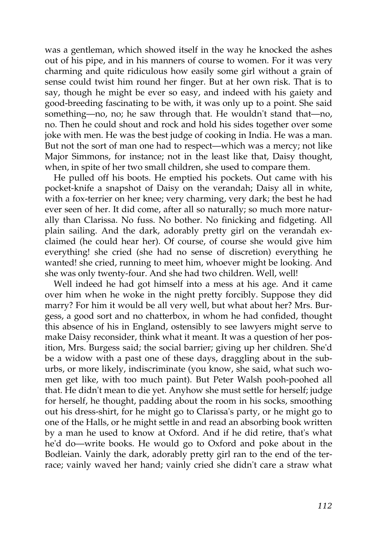was a gentleman, which showed itself in the way he knocked the ashes out of his pipe, and in his manners of course to women. For it was very charming and quite ridiculous how easily some girl without a grain of sense could twist him round her finger. But at her own risk. That is to say, though he might be ever so easy, and indeed with his gaiety and good-breeding fascinating to be with, it was only up to a point. She said something—no, no; he saw through that. He wouldn't stand that—no, no. Then he could shout and rock and hold his sides together over some joke with men. He was the best judge of cooking in India. He was a man. But not the sort of man one had to respect—which was a mercy; not like Major Simmons, for instance; not in the least like that, Daisy thought, when, in spite of her two small children, she used to compare them.

He pulled off his boots. He emptied his pockets. Out came with his pocket-knife a snapshot of Daisy on the verandah; Daisy all in white, with a fox-terrier on her knee; very charming, very dark; the best he had ever seen of her. It did come, after all so naturally; so much more naturally than Clarissa. No fuss. No bother. No finicking and fidgeting. All plain sailing. And the dark, adorably pretty girl on the verandah exclaimed (he could hear her). Of course, of course she would give him everything! she cried (she had no sense of discretion) everything he wanted! she cried, running to meet him, whoever might be looking. And she was only twenty-four. And she had two children. Well, well!

Well indeed he had got himself into a mess at his age. And it came over him when he woke in the night pretty forcibly. Suppose they did marry? For him it would be all very well, but what about her? Mrs. Burgess, a good sort and no chatterbox, in whom he had confided, thought this absence of his in England, ostensibly to see lawyers might serve to make Daisy reconsider, think what it meant. It was a question of her position, Mrs. Burgess said; the social barrier; giving up her children. She'd be a widow with a past one of these days, draggling about in the suburbs, or more likely, indiscriminate (you know, she said, what such women get like, with too much paint). But Peter Walsh pooh-poohed all that. He didn't mean to die yet. Anyhow she must settle for herself; judge for herself, he thought, padding about the room in his socks, smoothing out his dress-shirt, for he might go to Clarissa's party, or he might go to one of the Halls, or he might settle in and read an absorbing book written by a man he used to know at Oxford. And if he did retire, that's what he'd do—write books. He would go to Oxford and poke about in the Bodleian. Vainly the dark, adorably pretty girl ran to the end of the terrace; vainly waved her hand; vainly cried she didn't care a straw what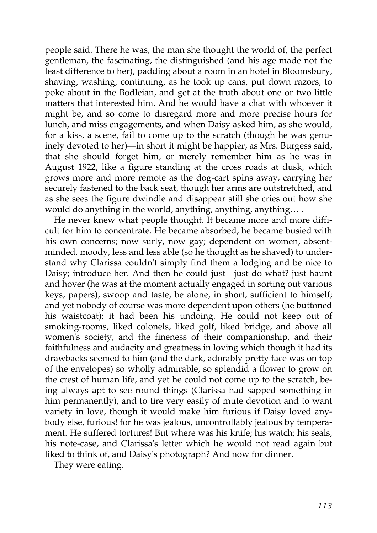people said. There he was, the man she thought the world of, the perfect gentleman, the fascinating, the distinguished (and his age made not the least difference to her), padding about a room in an hotel in Bloomsbury, shaving, washing, continuing, as he took up cans, put down razors, to poke about in the Bodleian, and get at the truth about one or two little matters that interested him. And he would have a chat with whoever it might be, and so come to disregard more and more precise hours for lunch, and miss engagements, and when Daisy asked him, as she would, for a kiss, a scene, fail to come up to the scratch (though he was genuinely devoted to her)—in short it might be happier, as Mrs. Burgess said, that she should forget him, or merely remember him as he was in August 1922, like a figure standing at the cross roads at dusk, which grows more and more remote as the dog-cart spins away, carrying her securely fastened to the back seat, though her arms are outstretched, and as she sees the figure dwindle and disappear still she cries out how she would do anything in the world, anything, anything, anything… .

He never knew what people thought. It became more and more difficult for him to concentrate. He became absorbed; he became busied with his own concerns; now surly, now gay; dependent on women, absentminded, moody, less and less able (so he thought as he shaved) to understand why Clarissa couldn't simply find them a lodging and be nice to Daisy; introduce her. And then he could just—just do what? just haunt and hover (he was at the moment actually engaged in sorting out various keys, papers), swoop and taste, be alone, in short, sufficient to himself; and yet nobody of course was more dependent upon others (he buttoned his waistcoat); it had been his undoing. He could not keep out of smoking-rooms, liked colonels, liked golf, liked bridge, and above all women's society, and the fineness of their companionship, and their faithfulness and audacity and greatness in loving which though it had its drawbacks seemed to him (and the dark, adorably pretty face was on top of the envelopes) so wholly admirable, so splendid a flower to grow on the crest of human life, and yet he could not come up to the scratch, being always apt to see round things (Clarissa had sapped something in him permanently), and to tire very easily of mute devotion and to want variety in love, though it would make him furious if Daisy loved anybody else, furious! for he was jealous, uncontrollably jealous by temperament. He suffered tortures! But where was his knife; his watch; his seals, his note-case, and Clarissa's letter which he would not read again but liked to think of, and Daisy's photograph? And now for dinner.

They were eating.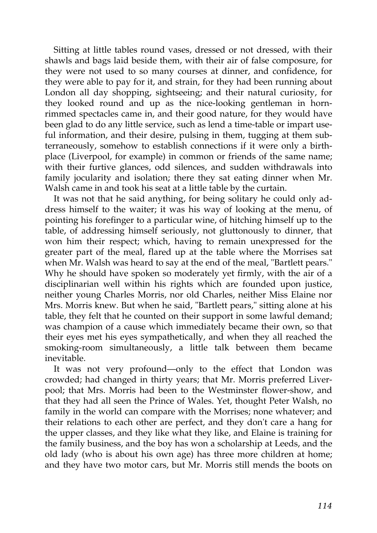Sitting at little tables round vases, dressed or not dressed, with their shawls and bags laid beside them, with their air of false composure, for they were not used to so many courses at dinner, and confidence, for they were able to pay for it, and strain, for they had been running about London all day shopping, sightseeing; and their natural curiosity, for they looked round and up as the nice-looking gentleman in hornrimmed spectacles came in, and their good nature, for they would have been glad to do any little service, such as lend a time-table or impart useful information, and their desire, pulsing in them, tugging at them subterraneously, somehow to establish connections if it were only a birthplace (Liverpool, for example) in common or friends of the same name; with their furtive glances, odd silences, and sudden withdrawals into family jocularity and isolation; there they sat eating dinner when Mr. Walsh came in and took his seat at a little table by the curtain.

It was not that he said anything, for being solitary he could only address himself to the waiter; it was his way of looking at the menu, of pointing his forefinger to a particular wine, of hitching himself up to the table, of addressing himself seriously, not gluttonously to dinner, that won him their respect; which, having to remain unexpressed for the greater part of the meal, flared up at the table where the Morrises sat when Mr. Walsh was heard to say at the end of the meal, "Bartlett pears." Why he should have spoken so moderately yet firmly, with the air of a disciplinarian well within his rights which are founded upon justice, neither young Charles Morris, nor old Charles, neither Miss Elaine nor Mrs. Morris knew. But when he said, "Bartlett pears," sitting alone at his table, they felt that he counted on their support in some lawful demand; was champion of a cause which immediately became their own, so that their eyes met his eyes sympathetically, and when they all reached the smoking-room simultaneously, a little talk between them became inevitable.

It was not very profound—only to the effect that London was crowded; had changed in thirty years; that Mr. Morris preferred Liverpool; that Mrs. Morris had been to the Westminster flower-show, and that they had all seen the Prince of Wales. Yet, thought Peter Walsh, no family in the world can compare with the Morrises; none whatever; and their relations to each other are perfect, and they don't care a hang for the upper classes, and they like what they like, and Elaine is training for the family business, and the boy has won a scholarship at Leeds, and the old lady (who is about his own age) has three more children at home; and they have two motor cars, but Mr. Morris still mends the boots on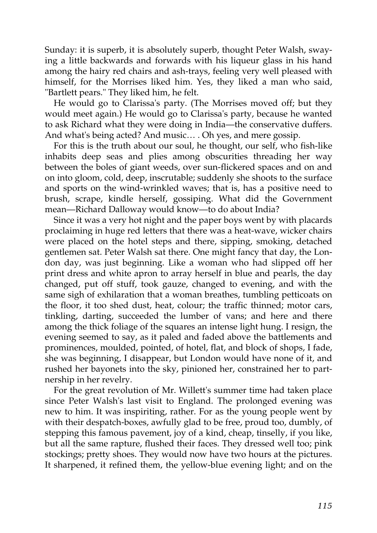Sunday: it is superb, it is absolutely superb, thought Peter Walsh, swaying a little backwards and forwards with his liqueur glass in his hand among the hairy red chairs and ash-trays, feeling very well pleased with himself, for the Morrises liked him. Yes, they liked a man who said, "Bartlett pears." They liked him, he felt.

He would go to Clarissa's party. (The Morrises moved off; but they would meet again.) He would go to Clarissa's party, because he wanted to ask Richard what they were doing in India—the conservative duffers. And what's being acted? And music… . Oh yes, and mere gossip.

For this is the truth about our soul, he thought, our self, who fish-like inhabits deep seas and plies among obscurities threading her way between the boles of giant weeds, over sun-flickered spaces and on and on into gloom, cold, deep, inscrutable; suddenly she shoots to the surface and sports on the wind-wrinkled waves; that is, has a positive need to brush, scrape, kindle herself, gossiping. What did the Government mean—Richard Dalloway would know—to do about India?

Since it was a very hot night and the paper boys went by with placards proclaiming in huge red letters that there was a heat-wave, wicker chairs were placed on the hotel steps and there, sipping, smoking, detached gentlemen sat. Peter Walsh sat there. One might fancy that day, the London day, was just beginning. Like a woman who had slipped off her print dress and white apron to array herself in blue and pearls, the day changed, put off stuff, took gauze, changed to evening, and with the same sigh of exhilaration that a woman breathes, tumbling petticoats on the floor, it too shed dust, heat, colour; the traffic thinned; motor cars, tinkling, darting, succeeded the lumber of vans; and here and there among the thick foliage of the squares an intense light hung. I resign, the evening seemed to say, as it paled and faded above the battlements and prominences, moulded, pointed, of hotel, flat, and block of shops, I fade, she was beginning, I disappear, but London would have none of it, and rushed her bayonets into the sky, pinioned her, constrained her to partnership in her revelry.

For the great revolution of Mr. Willett's summer time had taken place since Peter Walsh's last visit to England. The prolonged evening was new to him. It was inspiriting, rather. For as the young people went by with their despatch-boxes, awfully glad to be free, proud too, dumbly, of stepping this famous pavement, joy of a kind, cheap, tinselly, if you like, but all the same rapture, flushed their faces. They dressed well too; pink stockings; pretty shoes. They would now have two hours at the pictures. It sharpened, it refined them, the yellow-blue evening light; and on the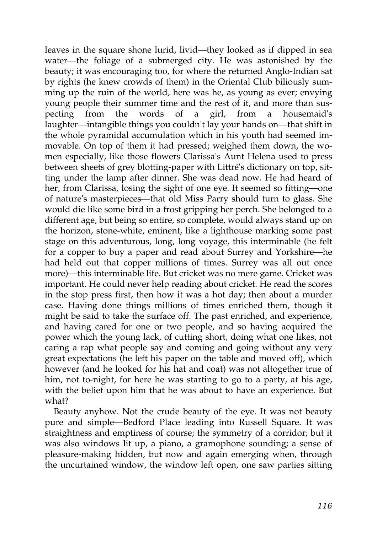leaves in the square shone lurid, livid—they looked as if dipped in sea water—the foliage of a submerged city. He was astonished by the beauty; it was encouraging too, for where the returned Anglo-Indian sat by rights (he knew crowds of them) in the Oriental Club biliously summing up the ruin of the world, here was he, as young as ever; envying young people their summer time and the rest of it, and more than suspecting from the words of a girl, from a housemaid's laughter—intangible things you couldn't lay your hands on—that shift in the whole pyramidal accumulation which in his youth had seemed immovable. On top of them it had pressed; weighed them down, the women especially, like those flowers Clarissa's Aunt Helena used to press between sheets of grey blotting-paper with Littré's dictionary on top, sitting under the lamp after dinner. She was dead now. He had heard of her, from Clarissa, losing the sight of one eye. It seemed so fitting—one of nature's masterpieces—that old Miss Parry should turn to glass. She would die like some bird in a frost gripping her perch. She belonged to a different age, but being so entire, so complete, would always stand up on the horizon, stone-white, eminent, like a lighthouse marking some past stage on this adventurous, long, long voyage, this interminable (he felt for a copper to buy a paper and read about Surrey and Yorkshire—he had held out that copper millions of times. Surrey was all out once more)—this interminable life. But cricket was no mere game. Cricket was important. He could never help reading about cricket. He read the scores in the stop press first, then how it was a hot day; then about a murder case. Having done things millions of times enriched them, though it might be said to take the surface off. The past enriched, and experience, and having cared for one or two people, and so having acquired the power which the young lack, of cutting short, doing what one likes, not caring a rap what people say and coming and going without any very great expectations (he left his paper on the table and moved off), which however (and he looked for his hat and coat) was not altogether true of him, not to-night, for here he was starting to go to a party, at his age, with the belief upon him that he was about to have an experience. But what?

Beauty anyhow. Not the crude beauty of the eye. It was not beauty pure and simple—Bedford Place leading into Russell Square. It was straightness and emptiness of course; the symmetry of a corridor; but it was also windows lit up, a piano, a gramophone sounding; a sense of pleasure-making hidden, but now and again emerging when, through the uncurtained window, the window left open, one saw parties sitting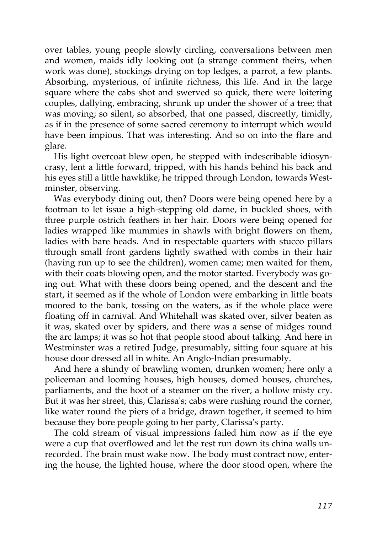over tables, young people slowly circling, conversations between men and women, maids idly looking out (a strange comment theirs, when work was done), stockings drying on top ledges, a parrot, a few plants. Absorbing, mysterious, of infinite richness, this life. And in the large square where the cabs shot and swerved so quick, there were loitering couples, dallying, embracing, shrunk up under the shower of a tree; that was moving; so silent, so absorbed, that one passed, discreetly, timidly, as if in the presence of some sacred ceremony to interrupt which would have been impious. That was interesting. And so on into the flare and glare.

His light overcoat blew open, he stepped with indescribable idiosyncrasy, lent a little forward, tripped, with his hands behind his back and his eyes still a little hawklike; he tripped through London, towards Westminster, observing.

Was everybody dining out, then? Doors were being opened here by a footman to let issue a high-stepping old dame, in buckled shoes, with three purple ostrich feathers in her hair. Doors were being opened for ladies wrapped like mummies in shawls with bright flowers on them, ladies with bare heads. And in respectable quarters with stucco pillars through small front gardens lightly swathed with combs in their hair (having run up to see the children), women came; men waited for them, with their coats blowing open, and the motor started. Everybody was going out. What with these doors being opened, and the descent and the start, it seemed as if the whole of London were embarking in little boats moored to the bank, tossing on the waters, as if the whole place were floating off in carnival. And Whitehall was skated over, silver beaten as it was, skated over by spiders, and there was a sense of midges round the arc lamps; it was so hot that people stood about talking. And here in Westminster was a retired Judge, presumably, sitting four square at his house door dressed all in white. An Anglo-Indian presumably.

And here a shindy of brawling women, drunken women; here only a policeman and looming houses, high houses, domed houses, churches, parliaments, and the hoot of a steamer on the river, a hollow misty cry. But it was her street, this, Clarissa's; cabs were rushing round the corner, like water round the piers of a bridge, drawn together, it seemed to him because they bore people going to her party, Clarissa's party.

The cold stream of visual impressions failed him now as if the eye were a cup that overflowed and let the rest run down its china walls unrecorded. The brain must wake now. The body must contract now, entering the house, the lighted house, where the door stood open, where the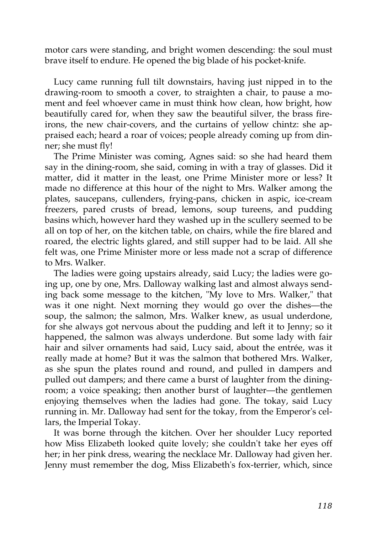motor cars were standing, and bright women descending: the soul must brave itself to endure. He opened the big blade of his pocket-knife.

Lucy came running full tilt downstairs, having just nipped in to the drawing-room to smooth a cover, to straighten a chair, to pause a moment and feel whoever came in must think how clean, how bright, how beautifully cared for, when they saw the beautiful silver, the brass fireirons, the new chair-covers, and the curtains of yellow chintz: she appraised each; heard a roar of voices; people already coming up from dinner; she must fly!

The Prime Minister was coming, Agnes said: so she had heard them say in the dining-room, she said, coming in with a tray of glasses. Did it matter, did it matter in the least, one Prime Minister more or less? It made no difference at this hour of the night to Mrs. Walker among the plates, saucepans, cullenders, frying-pans, chicken in aspic, ice-cream freezers, pared crusts of bread, lemons, soup tureens, and pudding basins which, however hard they washed up in the scullery seemed to be all on top of her, on the kitchen table, on chairs, while the fire blared and roared, the electric lights glared, and still supper had to be laid. All she felt was, one Prime Minister more or less made not a scrap of difference to Mrs. Walker.

The ladies were going upstairs already, said Lucy; the ladies were going up, one by one, Mrs. Dalloway walking last and almost always sending back some message to the kitchen, "My love to Mrs. Walker," that was it one night. Next morning they would go over the dishes—the soup, the salmon; the salmon, Mrs. Walker knew, as usual underdone, for she always got nervous about the pudding and left it to Jenny; so it happened, the salmon was always underdone. But some lady with fair hair and silver ornaments had said, Lucy said, about the entrée, was it really made at home? But it was the salmon that bothered Mrs. Walker, as she spun the plates round and round, and pulled in dampers and pulled out dampers; and there came a burst of laughter from the diningroom; a voice speaking; then another burst of laughter—the gentlemen enjoying themselves when the ladies had gone. The tokay, said Lucy running in. Mr. Dalloway had sent for the tokay, from the Emperor's cellars, the Imperial Tokay.

It was borne through the kitchen. Over her shoulder Lucy reported how Miss Elizabeth looked quite lovely; she couldn't take her eyes off her; in her pink dress, wearing the necklace Mr. Dalloway had given her. Jenny must remember the dog, Miss Elizabeth's fox-terrier, which, since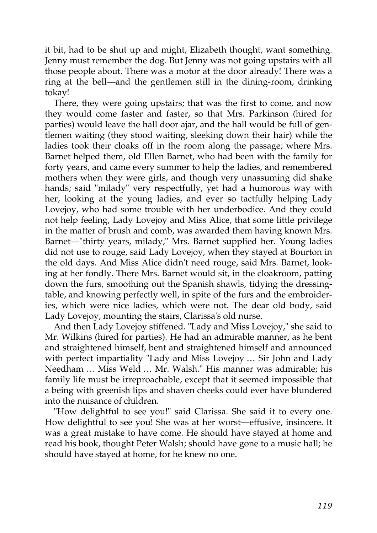it bit, had to be shut up and might, Elizabeth thought, want something. Jenny must remember the dog. But Jenny was not going upstairs with all those people about. There was a motor at the door already! There was a ring at the bell—and the gentlemen still in the dining-room, drinking tokay!

There, they were going upstairs; that was the first to come, and now they would come faster and faster, so that Mrs. Parkinson (hired for parties) would leave the hall door ajar, and the hall would be full of gentlemen waiting (they stood waiting, sleeking down their hair) while the ladies took their cloaks off in the room along the passage; where Mrs. Barnet helped them, old Ellen Barnet, who had been with the family for forty years, and came every summer to help the ladies, and remembered mothers when they were girls, and though very unassuming did shake hands; said "milady" very respectfully, yet had a humorous way with her, looking at the young ladies, and ever so tactfully helping Lady Lovejoy, who had some trouble with her underbodice. And they could not help feeling, Lady Lovejoy and Miss Alice, that some little privilege in the matter of brush and comb, was awarded them having known Mrs. Barnet—"thirty years, milady," Mrs. Barnet supplied her. Young ladies did not use to rouge, said Lady Lovejoy, when they stayed at Bourton in the old days. And Miss Alice didn't need rouge, said Mrs. Barnet, looking at her fondly. There Mrs. Barnet would sit, in the cloakroom, patting down the furs, smoothing out the Spanish shawls, tidying the dressingtable, and knowing perfectly well, in spite of the furs and the embroideries, which were nice ladies, which were not. The dear old body, said Lady Lovejoy, mounting the stairs, Clarissa's old nurse.

And then Lady Lovejoy stiffened. "Lady and Miss Lovejoy," she said to Mr. Wilkins (hired for parties). He had an admirable manner, as he bent and straightened himself, bent and straightened himself and announced with perfect impartiality "Lady and Miss Lovejoy … Sir John and Lady Needham … Miss Weld … Mr. Walsh." His manner was admirable; his family life must be irreproachable, except that it seemed impossible that a being with greenish lips and shaven cheeks could ever have blundered into the nuisance of children.

"How delightful to see you!" said Clarissa. She said it to every one. How delightful to see you! She was at her worst—effusive, insincere. It was a great mistake to have come. He should have stayed at home and read his book, thought Peter Walsh; should have gone to a music hall; he should have stayed at home, for he knew no one.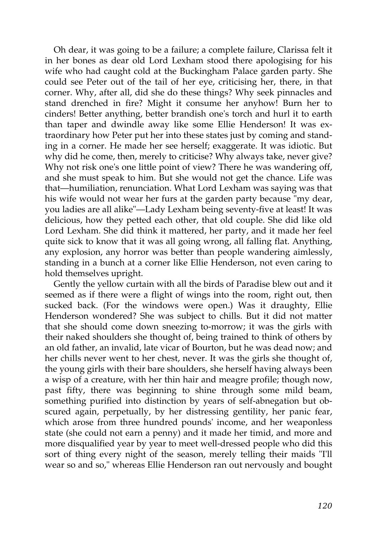Oh dear, it was going to be a failure; a complete failure, Clarissa felt it in her bones as dear old Lord Lexham stood there apologising for his wife who had caught cold at the Buckingham Palace garden party. She could see Peter out of the tail of her eye, criticising her, there, in that corner. Why, after all, did she do these things? Why seek pinnacles and stand drenched in fire? Might it consume her anyhow! Burn her to cinders! Better anything, better brandish one's torch and hurl it to earth than taper and dwindle away like some Ellie Henderson! It was extraordinary how Peter put her into these states just by coming and standing in a corner. He made her see herself; exaggerate. It was idiotic. But why did he come, then, merely to criticise? Why always take, never give? Why not risk one's one little point of view? There he was wandering off, and she must speak to him. But she would not get the chance. Life was that—humiliation, renunciation. What Lord Lexham was saying was that his wife would not wear her furs at the garden party because "my dear, you ladies are all alike"—Lady Lexham being seventy-five at least! It was delicious, how they petted each other, that old couple. She did like old Lord Lexham. She did think it mattered, her party, and it made her feel quite sick to know that it was all going wrong, all falling flat. Anything, any explosion, any horror was better than people wandering aimlessly, standing in a bunch at a corner like Ellie Henderson, not even caring to hold themselves upright.

Gently the yellow curtain with all the birds of Paradise blew out and it seemed as if there were a flight of wings into the room, right out, then sucked back. (For the windows were open.) Was it draughty, Ellie Henderson wondered? She was subject to chills. But it did not matter that she should come down sneezing to-morrow; it was the girls with their naked shoulders she thought of, being trained to think of others by an old father, an invalid, late vicar of Bourton, but he was dead now; and her chills never went to her chest, never. It was the girls she thought of, the young girls with their bare shoulders, she herself having always been a wisp of a creature, with her thin hair and meagre profile; though now, past fifty, there was beginning to shine through some mild beam, something purified into distinction by years of self-abnegation but obscured again, perpetually, by her distressing gentility, her panic fear, which arose from three hundred pounds' income, and her weaponless state (she could not earn a penny) and it made her timid, and more and more disqualified year by year to meet well-dressed people who did this sort of thing every night of the season, merely telling their maids "I'll wear so and so," whereas Ellie Henderson ran out nervously and bought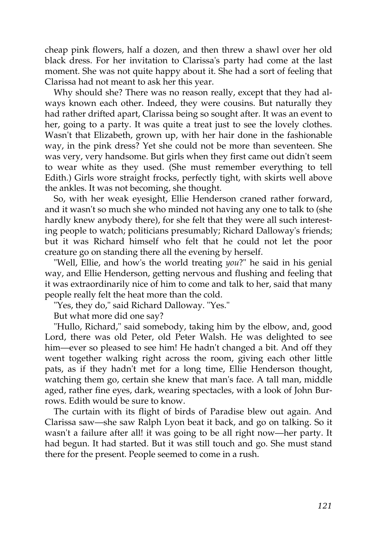cheap pink flowers, half a dozen, and then threw a shawl over her old black dress. For her invitation to Clarissa's party had come at the last moment. She was not quite happy about it. She had a sort of feeling that Clarissa had not meant to ask her this year.

Why should she? There was no reason really, except that they had always known each other. Indeed, they were cousins. But naturally they had rather drifted apart, Clarissa being so sought after. It was an event to her, going to a party. It was quite a treat just to see the lovely clothes. Wasn't that Elizabeth, grown up, with her hair done in the fashionable way, in the pink dress? Yet she could not be more than seventeen. She was very, very handsome. But girls when they first came out didn't seem to wear white as they used. (She must remember everything to tell Edith.) Girls wore straight frocks, perfectly tight, with skirts well above the ankles. It was not becoming, she thought.

So, with her weak eyesight, Ellie Henderson craned rather forward, and it wasn't so much she who minded not having any one to talk to (she hardly knew anybody there), for she felt that they were all such interesting people to watch; politicians presumably; Richard Dalloway's friends; but it was Richard himself who felt that he could not let the poor creature go on standing there all the evening by herself.

"Well, Ellie, and how's the world treating *you*?" he said in his genial way, and Ellie Henderson, getting nervous and flushing and feeling that it was extraordinarily nice of him to come and talk to her, said that many people really felt the heat more than the cold.

"Yes, they do," said Richard Dalloway. "Yes."

But what more did one say?

"Hullo, Richard," said somebody, taking him by the elbow, and, good Lord, there was old Peter, old Peter Walsh. He was delighted to see him—ever so pleased to see him! He hadn't changed a bit. And off they went together walking right across the room, giving each other little pats, as if they hadn't met for a long time, Ellie Henderson thought, watching them go, certain she knew that man's face. A tall man, middle aged, rather fine eyes, dark, wearing spectacles, with a look of John Burrows. Edith would be sure to know.

The curtain with its flight of birds of Paradise blew out again. And Clarissa saw—she saw Ralph Lyon beat it back, and go on talking. So it wasn't a failure after all! it was going to be all right now—her party. It had begun. It had started. But it was still touch and go. She must stand there for the present. People seemed to come in a rush.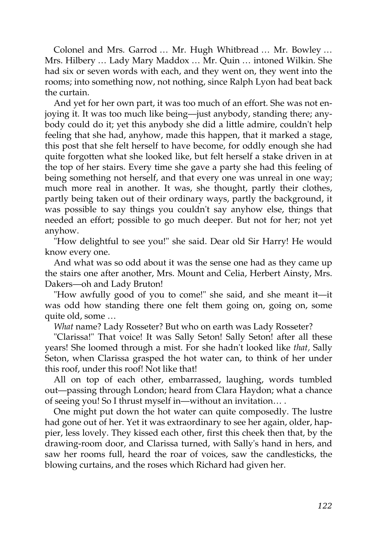Colonel and Mrs. Garrod … Mr. Hugh Whitbread … Mr. Bowley … Mrs. Hilbery … Lady Mary Maddox … Mr. Quin … intoned Wilkin. She had six or seven words with each, and they went on, they went into the rooms; into something now, not nothing, since Ralph Lyon had beat back the curtain.

And yet for her own part, it was too much of an effort. She was not enjoying it. It was too much like being—just anybody, standing there; anybody could do it; yet this anybody she did a little admire, couldn't help feeling that she had, anyhow, made this happen, that it marked a stage, this post that she felt herself to have become, for oddly enough she had quite forgotten what she looked like, but felt herself a stake driven in at the top of her stairs. Every time she gave a party she had this feeling of being something not herself, and that every one was unreal in one way; much more real in another. It was, she thought, partly their clothes, partly being taken out of their ordinary ways, partly the background, it was possible to say things you couldn't say anyhow else, things that needed an effort; possible to go much deeper. But not for her; not yet anyhow.

"How delightful to see you!" she said. Dear old Sir Harry! He would know every one.

And what was so odd about it was the sense one had as they came up the stairs one after another, Mrs. Mount and Celia, Herbert Ainsty, Mrs. Dakers—oh and Lady Bruton!

"How awfully good of you to come!" she said, and she meant it—it was odd how standing there one felt them going on, going on, some quite old, some …

*What* name? Lady Rosseter? But who on earth was Lady Rosseter?

"Clarissa!" That voice! It was Sally Seton! Sally Seton! after all these years! She loomed through a mist. For she hadn't looked like *that,* Sally Seton, when Clarissa grasped the hot water can, to think of her under this roof, under this roof! Not like that!

All on top of each other, embarrassed, laughing, words tumbled out—passing through London; heard from Clara Haydon; what a chance of seeing you! So I thrust myself in—without an invitation… .

One might put down the hot water can quite composedly. The lustre had gone out of her. Yet it was extraordinary to see her again, older, happier, less lovely. They kissed each other, first this cheek then that, by the drawing-room door, and Clarissa turned, with Sally's hand in hers, and saw her rooms full, heard the roar of voices, saw the candlesticks, the blowing curtains, and the roses which Richard had given her.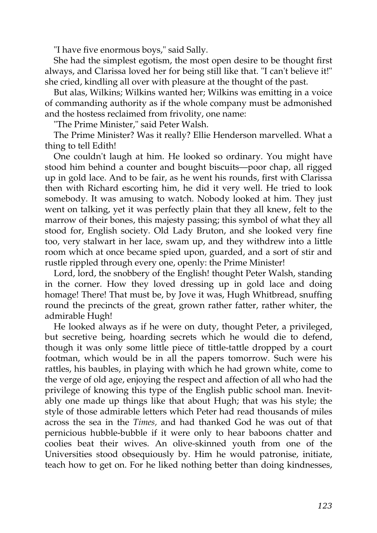"I have five enormous boys," said Sally.

She had the simplest egotism, the most open desire to be thought first always, and Clarissa loved her for being still like that. "I can't believe it!" she cried, kindling all over with pleasure at the thought of the past.

But alas, Wilkins; Wilkins wanted her; Wilkins was emitting in a voice of commanding authority as if the whole company must be admonished and the hostess reclaimed from frivolity, one name:

"The Prime Minister," said Peter Walsh.

The Prime Minister? Was it really? Ellie Henderson marvelled. What a thing to tell Edith!

One couldn't laugh at him. He looked so ordinary. You might have stood him behind a counter and bought biscuits—poor chap, all rigged up in gold lace. And to be fair, as he went his rounds, first with Clarissa then with Richard escorting him, he did it very well. He tried to look somebody. It was amusing to watch. Nobody looked at him. They just went on talking, yet it was perfectly plain that they all knew, felt to the marrow of their bones, this majesty passing; this symbol of what they all stood for, English society. Old Lady Bruton, and she looked very fine too, very stalwart in her lace, swam up, and they withdrew into a little room which at once became spied upon, guarded, and a sort of stir and rustle rippled through every one, openly: the Prime Minister!

Lord, lord, the snobbery of the English! thought Peter Walsh, standing in the corner. How they loved dressing up in gold lace and doing homage! There! That must be, by Jove it was, Hugh Whitbread, snuffing round the precincts of the great, grown rather fatter, rather whiter, the admirable Hugh!

He looked always as if he were on duty, thought Peter, a privileged, but secretive being, hoarding secrets which he would die to defend, though it was only some little piece of tittle-tattle dropped by a court footman, which would be in all the papers tomorrow. Such were his rattles, his baubles, in playing with which he had grown white, come to the verge of old age, enjoying the respect and affection of all who had the privilege of knowing this type of the English public school man. Inevitably one made up things like that about Hugh; that was his style; the style of those admirable letters which Peter had read thousands of miles across the sea in the *Times,* and had thanked God he was out of that pernicious hubble-bubble if it were only to hear baboons chatter and coolies beat their wives. An olive-skinned youth from one of the Universities stood obsequiously by. Him he would patronise, initiate, teach how to get on. For he liked nothing better than doing kindnesses,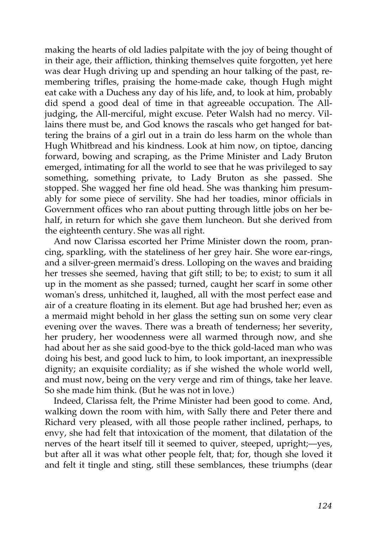making the hearts of old ladies palpitate with the joy of being thought of in their age, their affliction, thinking themselves quite forgotten, yet here was dear Hugh driving up and spending an hour talking of the past, remembering trifles, praising the home-made cake, though Hugh might eat cake with a Duchess any day of his life, and, to look at him, probably did spend a good deal of time in that agreeable occupation. The Alljudging, the All-merciful, might excuse. Peter Walsh had no mercy. Villains there must be, and God knows the rascals who get hanged for battering the brains of a girl out in a train do less harm on the whole than Hugh Whitbread and his kindness. Look at him now, on tiptoe, dancing forward, bowing and scraping, as the Prime Minister and Lady Bruton emerged, intimating for all the world to see that he was privileged to say something, something private, to Lady Bruton as she passed. She stopped. She wagged her fine old head. She was thanking him presumably for some piece of servility. She had her toadies, minor officials in Government offices who ran about putting through little jobs on her behalf, in return for which she gave them luncheon. But she derived from the eighteenth century. She was all right.

And now Clarissa escorted her Prime Minister down the room, prancing, sparkling, with the stateliness of her grey hair. She wore ear-rings, and a silver-green mermaid's dress. Lolloping on the waves and braiding her tresses she seemed, having that gift still; to be; to exist; to sum it all up in the moment as she passed; turned, caught her scarf in some other woman's dress, unhitched it, laughed, all with the most perfect ease and air of a creature floating in its element. But age had brushed her; even as a mermaid might behold in her glass the setting sun on some very clear evening over the waves. There was a breath of tenderness; her severity, her prudery, her woodenness were all warmed through now, and she had about her as she said good-bye to the thick gold-laced man who was doing his best, and good luck to him, to look important, an inexpressible dignity; an exquisite cordiality; as if she wished the whole world well, and must now, being on the very verge and rim of things, take her leave. So she made him think. (But he was not in love.)

Indeed, Clarissa felt, the Prime Minister had been good to come. And, walking down the room with him, with Sally there and Peter there and Richard very pleased, with all those people rather inclined, perhaps, to envy, she had felt that intoxication of the moment, that dilatation of the nerves of the heart itself till it seemed to quiver, steeped, upright;—yes, but after all it was what other people felt, that; for, though she loved it and felt it tingle and sting, still these semblances, these triumphs (dear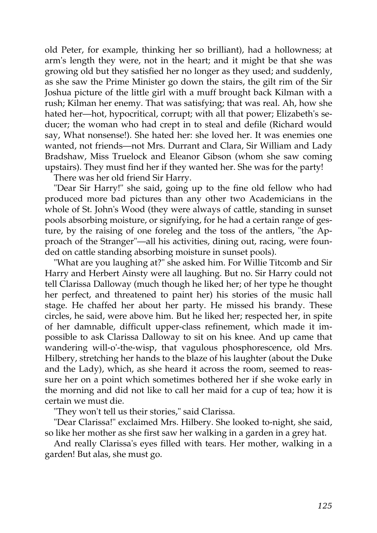old Peter, for example, thinking her so brilliant), had a hollowness; at arm's length they were, not in the heart; and it might be that she was growing old but they satisfied her no longer as they used; and suddenly, as she saw the Prime Minister go down the stairs, the gilt rim of the Sir Joshua picture of the little girl with a muff brought back Kilman with a rush; Kilman her enemy. That was satisfying; that was real. Ah, how she hated her—hot, hypocritical, corrupt; with all that power; Elizabeth's seducer; the woman who had crept in to steal and defile (Richard would say, What nonsense!). She hated her: she loved her. It was enemies one wanted, not friends—not Mrs. Durrant and Clara, Sir William and Lady Bradshaw, Miss Truelock and Eleanor Gibson (whom she saw coming upstairs). They must find her if they wanted her. She was for the party!

There was her old friend Sir Harry.

"Dear Sir Harry!" she said, going up to the fine old fellow who had produced more bad pictures than any other two Academicians in the whole of St. John's Wood (they were always of cattle, standing in sunset pools absorbing moisture, or signifying, for he had a certain range of gesture, by the raising of one foreleg and the toss of the antlers, "the Approach of the Stranger"—all his activities, dining out, racing, were founded on cattle standing absorbing moisture in sunset pools).

"What are you laughing at?" she asked him. For Willie Titcomb and Sir Harry and Herbert Ainsty were all laughing. But no. Sir Harry could not tell Clarissa Dalloway (much though he liked her; of her type he thought her perfect, and threatened to paint her) his stories of the music hall stage. He chaffed her about her party. He missed his brandy. These circles, he said, were above him. But he liked her; respected her, in spite of her damnable, difficult upper-class refinement, which made it impossible to ask Clarissa Dalloway to sit on his knee. And up came that wandering will-o'-the-wisp, that vagulous phosphorescence, old Mrs. Hilbery, stretching her hands to the blaze of his laughter (about the Duke and the Lady), which, as she heard it across the room, seemed to reassure her on a point which sometimes bothered her if she woke early in the morning and did not like to call her maid for a cup of tea; how it is certain we must die.

"They won't tell us their stories," said Clarissa.

"Dear Clarissa!" exclaimed Mrs. Hilbery. She looked to-night, she said, so like her mother as she first saw her walking in a garden in a grey hat.

And really Clarissa's eyes filled with tears. Her mother, walking in a garden! But alas, she must go.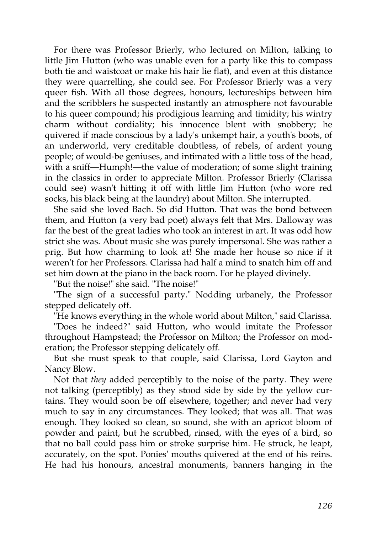For there was Professor Brierly, who lectured on Milton, talking to little Jim Hutton (who was unable even for a party like this to compass both tie and waistcoat or make his hair lie flat), and even at this distance they were quarrelling, she could see. For Professor Brierly was a very queer fish. With all those degrees, honours, lectureships between him and the scribblers he suspected instantly an atmosphere not favourable to his queer compound; his prodigious learning and timidity; his wintry charm without cordiality; his innocence blent with snobbery; he quivered if made conscious by a lady's unkempt hair, a youth's boots, of an underworld, very creditable doubtless, of rebels, of ardent young people; of would-be geniuses, and intimated with a little toss of the head, with a sniff—Humph!—the value of moderation; of some slight training in the classics in order to appreciate Milton. Professor Brierly (Clarissa could see) wasn't hitting it off with little Jim Hutton (who wore red socks, his black being at the laundry) about Milton. She interrupted.

She said she loved Bach. So did Hutton. That was the bond between them, and Hutton (a very bad poet) always felt that Mrs. Dalloway was far the best of the great ladies who took an interest in art. It was odd how strict she was. About music she was purely impersonal. She was rather a prig. But how charming to look at! She made her house so nice if it weren't for her Professors. Clarissa had half a mind to snatch him off and set him down at the piano in the back room. For he played divinely.

"But the noise!" she said. "The noise!"

"The sign of a successful party." Nodding urbanely, the Professor stepped delicately off.

"He knows everything in the whole world about Milton," said Clarissa.

"Does he indeed?" said Hutton, who would imitate the Professor throughout Hampstead; the Professor on Milton; the Professor on moderation; the Professor stepping delicately off.

But she must speak to that couple, said Clarissa, Lord Gayton and Nancy Blow.

Not that *they* added perceptibly to the noise of the party. They were not talking (perceptibly) as they stood side by side by the yellow curtains. They would soon be off elsewhere, together; and never had very much to say in any circumstances. They looked; that was all. That was enough. They looked so clean, so sound, she with an apricot bloom of powder and paint, but he scrubbed, rinsed, with the eyes of a bird, so that no ball could pass him or stroke surprise him. He struck, he leapt, accurately, on the spot. Ponies' mouths quivered at the end of his reins. He had his honours, ancestral monuments, banners hanging in the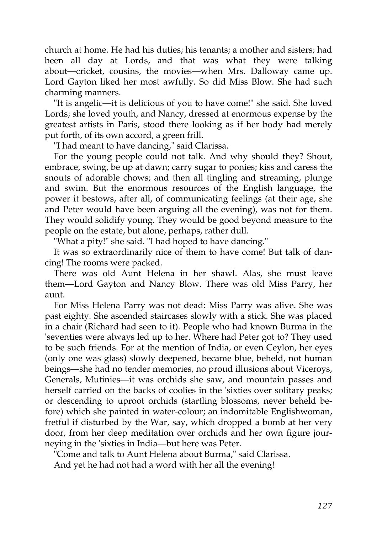church at home. He had his duties; his tenants; a mother and sisters; had been all day at Lords, and that was what they were talking about—cricket, cousins, the movies—when Mrs. Dalloway came up. Lord Gayton liked her most awfully. So did Miss Blow. She had such charming manners.

"It is angelic—it is delicious of you to have come!" she said. She loved Lords; she loved youth, and Nancy, dressed at enormous expense by the greatest artists in Paris, stood there looking as if her body had merely put forth, of its own accord, a green frill.

"I had meant to have dancing," said Clarissa.

For the young people could not talk. And why should they? Shout, embrace, swing, be up at dawn; carry sugar to ponies; kiss and caress the snouts of adorable chows; and then all tingling and streaming, plunge and swim. But the enormous resources of the English language, the power it bestows, after all, of communicating feelings (at their age, she and Peter would have been arguing all the evening), was not for them. They would solidify young. They would be good beyond measure to the people on the estate, but alone, perhaps, rather dull.

"What a pity!" she said. "I had hoped to have dancing."

It was so extraordinarily nice of them to have come! But talk of dancing! The rooms were packed.

There was old Aunt Helena in her shawl. Alas, she must leave them—Lord Gayton and Nancy Blow. There was old Miss Parry, her aunt.

For Miss Helena Parry was not dead: Miss Parry was alive. She was past eighty. She ascended staircases slowly with a stick. She was placed in a chair (Richard had seen to it). People who had known Burma in the 'seventies were always led up to her. Where had Peter got to? They used to be such friends. For at the mention of India, or even Ceylon, her eyes (only one was glass) slowly deepened, became blue, beheld, not human beings—she had no tender memories, no proud illusions about Viceroys, Generals, Mutinies—it was orchids she saw, and mountain passes and herself carried on the backs of coolies in the 'sixties over solitary peaks; or descending to uproot orchids (startling blossoms, never beheld before) which she painted in water-colour; an indomitable Englishwoman, fretful if disturbed by the War, say, which dropped a bomb at her very door, from her deep meditation over orchids and her own figure journeying in the 'sixties in India—but here was Peter.

"Come and talk to Aunt Helena about Burma," said Clarissa.

And yet he had not had a word with her all the evening!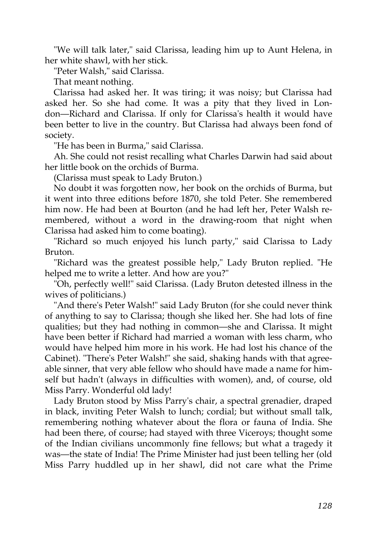"We will talk later," said Clarissa, leading him up to Aunt Helena, in her white shawl, with her stick.

"Peter Walsh," said Clarissa.

That meant nothing.

Clarissa had asked her. It was tiring; it was noisy; but Clarissa had asked her. So she had come. It was a pity that they lived in London—Richard and Clarissa. If only for Clarissa's health it would have been better to live in the country. But Clarissa had always been fond of society.

"He has been in Burma," said Clarissa.

Ah. She could not resist recalling what Charles Darwin had said about her little book on the orchids of Burma.

(Clarissa must speak to Lady Bruton.)

No doubt it was forgotten now, her book on the orchids of Burma, but it went into three editions before 1870, she told Peter. She remembered him now. He had been at Bourton (and he had left her, Peter Walsh remembered, without a word in the drawing-room that night when Clarissa had asked him to come boating).

"Richard so much enjoyed his lunch party," said Clarissa to Lady Bruton.

"Richard was the greatest possible help," Lady Bruton replied. "He helped me to write a letter. And how are you?"

"Oh, perfectly well!" said Clarissa. (Lady Bruton detested illness in the wives of politicians.)

"And there's Peter Walsh!" said Lady Bruton (for she could never think of anything to say to Clarissa; though she liked her. She had lots of fine qualities; but they had nothing in common—she and Clarissa. It might have been better if Richard had married a woman with less charm, who would have helped him more in his work. He had lost his chance of the Cabinet). "There's Peter Walsh!" she said, shaking hands with that agreeable sinner, that very able fellow who should have made a name for himself but hadn't (always in difficulties with women), and, of course, old Miss Parry. Wonderful old lady!

Lady Bruton stood by Miss Parry's chair, a spectral grenadier, draped in black, inviting Peter Walsh to lunch; cordial; but without small talk, remembering nothing whatever about the flora or fauna of India. She had been there, of course; had stayed with three Viceroys; thought some of the Indian civilians uncommonly fine fellows; but what a tragedy it was—the state of India! The Prime Minister had just been telling her (old Miss Parry huddled up in her shawl, did not care what the Prime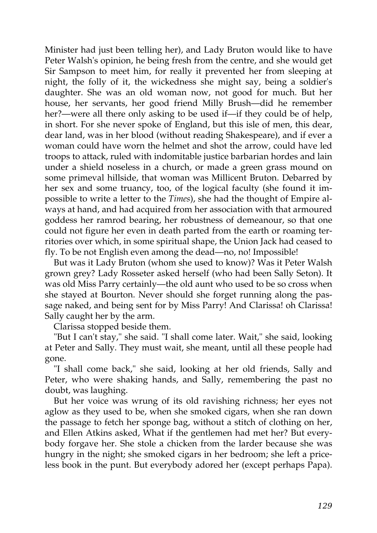Minister had just been telling her), and Lady Bruton would like to have Peter Walsh's opinion, he being fresh from the centre, and she would get Sir Sampson to meet him, for really it prevented her from sleeping at night, the folly of it, the wickedness she might say, being a soldier's daughter. She was an old woman now, not good for much. But her house, her servants, her good friend Milly Brush—did he remember her?—were all there only asking to be used if—if they could be of help, in short. For she never spoke of England, but this isle of men, this dear, dear land, was in her blood (without reading Shakespeare), and if ever a woman could have worn the helmet and shot the arrow, could have led troops to attack, ruled with indomitable justice barbarian hordes and lain under a shield noseless in a church, or made a green grass mound on some primeval hillside, that woman was Millicent Bruton. Debarred by her sex and some truancy, too, of the logical faculty (she found it impossible to write a letter to the *Times*), she had the thought of Empire always at hand, and had acquired from her association with that armoured goddess her ramrod bearing, her robustness of demeanour, so that one could not figure her even in death parted from the earth or roaming territories over which, in some spiritual shape, the Union Jack had ceased to fly. To be not English even among the dead—no, no! Impossible!

But was it Lady Bruton (whom she used to know)? Was it Peter Walsh grown grey? Lady Rosseter asked herself (who had been Sally Seton). It was old Miss Parry certainly—the old aunt who used to be so cross when she stayed at Bourton. Never should she forget running along the passage naked, and being sent for by Miss Parry! And Clarissa! oh Clarissa! Sally caught her by the arm.

Clarissa stopped beside them.

"But I can't stay," she said. "I shall come later. Wait," she said, looking at Peter and Sally. They must wait, she meant, until all these people had gone.

"I shall come back," she said, looking at her old friends, Sally and Peter, who were shaking hands, and Sally, remembering the past no doubt, was laughing.

But her voice was wrung of its old ravishing richness; her eyes not aglow as they used to be, when she smoked cigars, when she ran down the passage to fetch her sponge bag, without a stitch of clothing on her, and Ellen Atkins asked, What if the gentlemen had met her? But everybody forgave her. She stole a chicken from the larder because she was hungry in the night; she smoked cigars in her bedroom; she left a priceless book in the punt. But everybody adored her (except perhaps Papa).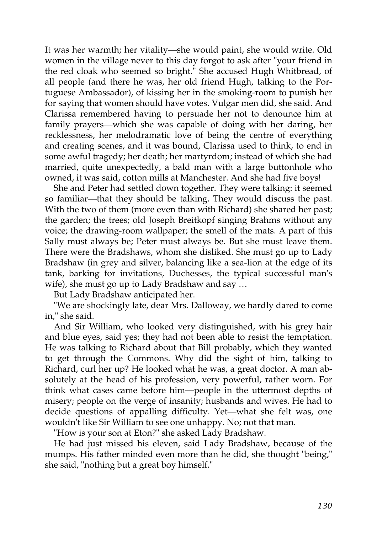It was her warmth; her vitality—she would paint, she would write. Old women in the village never to this day forgot to ask after "your friend in the red cloak who seemed so bright." She accused Hugh Whitbread, of all people (and there he was, her old friend Hugh, talking to the Portuguese Ambassador), of kissing her in the smoking-room to punish her for saying that women should have votes. Vulgar men did, she said. And Clarissa remembered having to persuade her not to denounce him at family prayers—which she was capable of doing with her daring, her recklessness, her melodramatic love of being the centre of everything and creating scenes, and it was bound, Clarissa used to think, to end in some awful tragedy; her death; her martyrdom; instead of which she had married, quite unexpectedly, a bald man with a large buttonhole who owned, it was said, cotton mills at Manchester. And she had five boys!

She and Peter had settled down together. They were talking: it seemed so familiar—that they should be talking. They would discuss the past. With the two of them (more even than with Richard) she shared her past; the garden; the trees; old Joseph Breitkopf singing Brahms without any voice; the drawing-room wallpaper; the smell of the mats. A part of this Sally must always be; Peter must always be. But she must leave them. There were the Bradshaws, whom she disliked. She must go up to Lady Bradshaw (in grey and silver, balancing like a sea-lion at the edge of its tank, barking for invitations, Duchesses, the typical successful man's wife), she must go up to Lady Bradshaw and say …

But Lady Bradshaw anticipated her.

"We are shockingly late, dear Mrs. Dalloway, we hardly dared to come in," she said.

And Sir William, who looked very distinguished, with his grey hair and blue eyes, said yes; they had not been able to resist the temptation. He was talking to Richard about that Bill probably, which they wanted to get through the Commons. Why did the sight of him, talking to Richard, curl her up? He looked what he was, a great doctor. A man absolutely at the head of his profession, very powerful, rather worn. For think what cases came before him—people in the uttermost depths of misery; people on the verge of insanity; husbands and wives. He had to decide questions of appalling difficulty. Yet—what she felt was, one wouldn't like Sir William to see one unhappy. No; not that man.

"How is your son at Eton?" she asked Lady Bradshaw.

He had just missed his eleven, said Lady Bradshaw, because of the mumps. His father minded even more than he did, she thought "being," she said, "nothing but a great boy himself."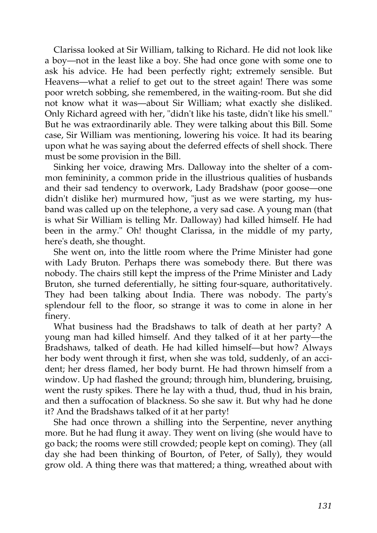Clarissa looked at Sir William, talking to Richard. He did not look like a boy—not in the least like a boy. She had once gone with some one to ask his advice. He had been perfectly right; extremely sensible. But Heavens—what a relief to get out to the street again! There was some poor wretch sobbing, she remembered, in the waiting-room. But she did not know what it was—about Sir William; what exactly she disliked. Only Richard agreed with her, "didn't like his taste, didn't like his smell." But he was extraordinarily able. They were talking about this Bill. Some case, Sir William was mentioning, lowering his voice. It had its bearing upon what he was saying about the deferred effects of shell shock. There must be some provision in the Bill.

Sinking her voice, drawing Mrs. Dalloway into the shelter of a common femininity, a common pride in the illustrious qualities of husbands and their sad tendency to overwork, Lady Bradshaw (poor goose—one didn't dislike her) murmured how, "just as we were starting, my husband was called up on the telephone, a very sad case. A young man (that is what Sir William is telling Mr. Dalloway) had killed himself. He had been in the army." Oh! thought Clarissa, in the middle of my party, here's death, she thought.

She went on, into the little room where the Prime Minister had gone with Lady Bruton. Perhaps there was somebody there. But there was nobody. The chairs still kept the impress of the Prime Minister and Lady Bruton, she turned deferentially, he sitting four-square, authoritatively. They had been talking about India. There was nobody. The party's splendour fell to the floor, so strange it was to come in alone in her finery.

What business had the Bradshaws to talk of death at her party? A young man had killed himself. And they talked of it at her party—the Bradshaws, talked of death. He had killed himself—but how? Always her body went through it first, when she was told, suddenly, of an accident; her dress flamed, her body burnt. He had thrown himself from a window. Up had flashed the ground; through him, blundering, bruising, went the rusty spikes. There he lay with a thud, thud, thud in his brain, and then a suffocation of blackness. So she saw it. But why had he done it? And the Bradshaws talked of it at her party!

She had once thrown a shilling into the Serpentine, never anything more. But he had flung it away. They went on living (she would have to go back; the rooms were still crowded; people kept on coming). They (all day she had been thinking of Bourton, of Peter, of Sally), they would grow old. A thing there was that mattered; a thing, wreathed about with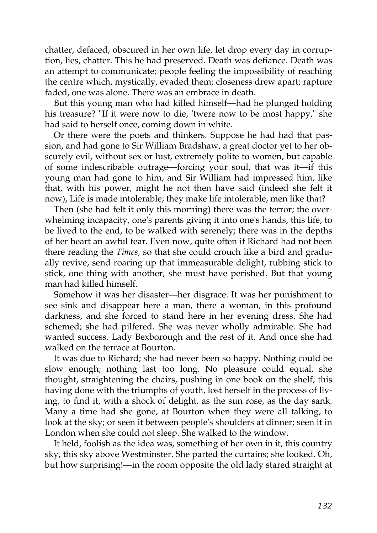chatter, defaced, obscured in her own life, let drop every day in corruption, lies, chatter. This he had preserved. Death was defiance. Death was an attempt to communicate; people feeling the impossibility of reaching the centre which, mystically, evaded them; closeness drew apart; rapture faded, one was alone. There was an embrace in death.

But this young man who had killed himself—had he plunged holding his treasure? "If it were now to die, 'twere now to be most happy," she had said to herself once, coming down in white.

Or there were the poets and thinkers. Suppose he had had that passion, and had gone to Sir William Bradshaw, a great doctor yet to her obscurely evil, without sex or lust, extremely polite to women, but capable of some indescribable outrage—forcing your soul, that was it—if this young man had gone to him, and Sir William had impressed him, like that, with his power, might he not then have said (indeed she felt it now), Life is made intolerable; they make life intolerable, men like that?

Then (she had felt it only this morning) there was the terror; the overwhelming incapacity, one's parents giving it into one's hands, this life, to be lived to the end, to be walked with serenely; there was in the depths of her heart an awful fear. Even now, quite often if Richard had not been there reading the *Times,* so that she could crouch like a bird and gradually revive, send roaring up that immeasurable delight, rubbing stick to stick, one thing with another, she must have perished. But that young man had killed himself.

Somehow it was her disaster—her disgrace. It was her punishment to see sink and disappear here a man, there a woman, in this profound darkness, and she forced to stand here in her evening dress. She had schemed; she had pilfered. She was never wholly admirable. She had wanted success. Lady Bexborough and the rest of it. And once she had walked on the terrace at Bourton.

It was due to Richard; she had never been so happy. Nothing could be slow enough; nothing last too long. No pleasure could equal, she thought, straightening the chairs, pushing in one book on the shelf, this having done with the triumphs of youth, lost herself in the process of living, to find it, with a shock of delight, as the sun rose, as the day sank. Many a time had she gone, at Bourton when they were all talking, to look at the sky; or seen it between people's shoulders at dinner; seen it in London when she could not sleep. She walked to the window.

It held, foolish as the idea was, something of her own in it, this country sky, this sky above Westminster. She parted the curtains; she looked. Oh, but how surprising!—in the room opposite the old lady stared straight at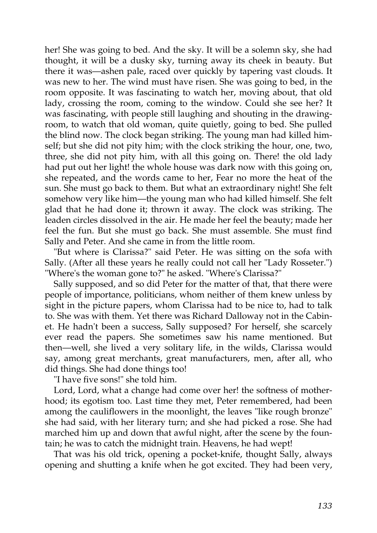her! She was going to bed. And the sky. It will be a solemn sky, she had thought, it will be a dusky sky, turning away its cheek in beauty. But there it was—ashen pale, raced over quickly by tapering vast clouds. It was new to her. The wind must have risen. She was going to bed, in the room opposite. It was fascinating to watch her, moving about, that old lady, crossing the room, coming to the window. Could she see her? It was fascinating, with people still laughing and shouting in the drawingroom, to watch that old woman, quite quietly, going to bed. She pulled the blind now. The clock began striking. The young man had killed himself; but she did not pity him; with the clock striking the hour, one, two, three, she did not pity him, with all this going on. There! the old lady had put out her light! the whole house was dark now with this going on, she repeated, and the words came to her, Fear no more the heat of the sun. She must go back to them. But what an extraordinary night! She felt somehow very like him—the young man who had killed himself. She felt glad that he had done it; thrown it away. The clock was striking. The leaden circles dissolved in the air. He made her feel the beauty; made her feel the fun. But she must go back. She must assemble. She must find Sally and Peter. And she came in from the little room.

"But where is Clarissa?" said Peter. He was sitting on the sofa with Sally. (After all these years he really could not call her "Lady Rosseter.") "Where's the woman gone to?" he asked. "Where's Clarissa?"

Sally supposed, and so did Peter for the matter of that, that there were people of importance, politicians, whom neither of them knew unless by sight in the picture papers, whom Clarissa had to be nice to, had to talk to. She was with them. Yet there was Richard Dalloway not in the Cabinet. He hadn't been a success, Sally supposed? For herself, she scarcely ever read the papers. She sometimes saw his name mentioned. But then—well, she lived a very solitary life, in the wilds, Clarissa would say, among great merchants, great manufacturers, men, after all, who did things. She had done things too!

"I have five sons!" she told him.

Lord, Lord, what a change had come over her! the softness of motherhood; its egotism too. Last time they met, Peter remembered, had been among the cauliflowers in the moonlight, the leaves "like rough bronze" she had said, with her literary turn; and she had picked a rose. She had marched him up and down that awful night, after the scene by the fountain; he was to catch the midnight train. Heavens, he had wept!

That was his old trick, opening a pocket-knife, thought Sally, always opening and shutting a knife when he got excited. They had been very,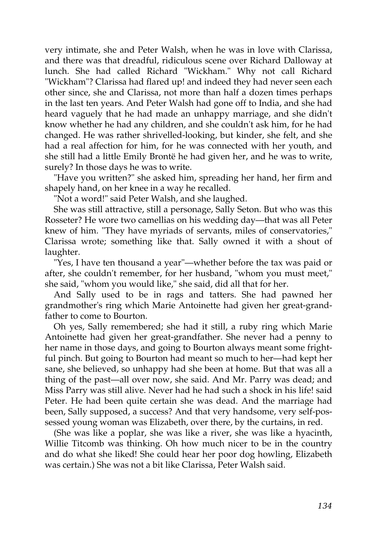very intimate, she and Peter Walsh, when he was in love with Clarissa, and there was that dreadful, ridiculous scene over Richard Dalloway at lunch. She had called Richard "Wickham." Why not call Richard "Wickham"? Clarissa had flared up! and indeed they had never seen each other since, she and Clarissa, not more than half a dozen times perhaps in the last ten years. And Peter Walsh had gone off to India, and she had heard vaguely that he had made an unhappy marriage, and she didn't know whether he had any children, and she couldn't ask him, for he had changed. He was rather shrivelled-looking, but kinder, she felt, and she had a real affection for him, for he was connected with her youth, and she still had a little Emily Brontë he had given her, and he was to write, surely? In those days he was to write.

"Have you written?" she asked him, spreading her hand, her firm and shapely hand, on her knee in a way he recalled.

"Not a word!" said Peter Walsh, and she laughed.

She was still attractive, still a personage, Sally Seton. But who was this Rosseter? He wore two camellias on his wedding day—that was all Peter knew of him. "They have myriads of servants, miles of conservatories," Clarissa wrote; something like that. Sally owned it with a shout of laughter.

"Yes, I have ten thousand a year"—whether before the tax was paid or after, she couldn't remember, for her husband, "whom you must meet," she said, "whom you would like," she said, did all that for her.

And Sally used to be in rags and tatters. She had pawned her grandmother's ring which Marie Antoinette had given her great-grandfather to come to Bourton.

Oh yes, Sally remembered; she had it still, a ruby ring which Marie Antoinette had given her great-grandfather. She never had a penny to her name in those days, and going to Bourton always meant some frightful pinch. But going to Bourton had meant so much to her—had kept her sane, she believed, so unhappy had she been at home. But that was all a thing of the past—all over now, she said. And Mr. Parry was dead; and Miss Parry was still alive. Never had he had such a shock in his life! said Peter. He had been quite certain she was dead. And the marriage had been, Sally supposed, a success? And that very handsome, very self-possessed young woman was Elizabeth, over there, by the curtains, in red.

(She was like a poplar, she was like a river, she was like a hyacinth, Willie Titcomb was thinking. Oh how much nicer to be in the country and do what she liked! She could hear her poor dog howling, Elizabeth was certain.) She was not a bit like Clarissa, Peter Walsh said.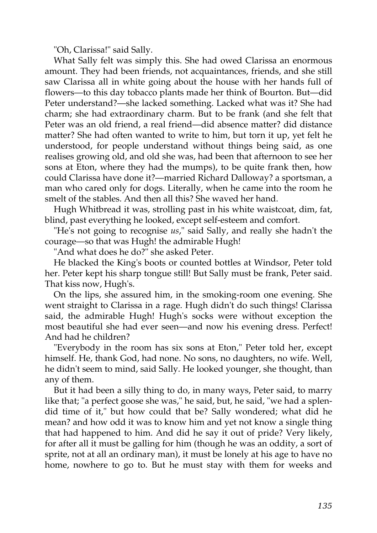"Oh, Clarissa!" said Sally.

What Sally felt was simply this. She had owed Clarissa an enormous amount. They had been friends, not acquaintances, friends, and she still saw Clarissa all in white going about the house with her hands full of flowers—to this day tobacco plants made her think of Bourton. But—did Peter understand?—she lacked something. Lacked what was it? She had charm; she had extraordinary charm. But to be frank (and she felt that Peter was an old friend, a real friend—did absence matter? did distance matter? She had often wanted to write to him, but torn it up, yet felt he understood, for people understand without things being said, as one realises growing old, and old she was, had been that afternoon to see her sons at Eton, where they had the mumps), to be quite frank then, how could Clarissa have done it?—married Richard Dalloway? a sportsman, a man who cared only for dogs. Literally, when he came into the room he smelt of the stables. And then all this? She waved her hand.

Hugh Whitbread it was, strolling past in his white waistcoat, dim, fat, blind, past everything he looked, except self-esteem and comfort.

"He's not going to recognise *us*," said Sally, and really she hadn't the courage—so that was Hugh! the admirable Hugh!

"And what does he do?" she asked Peter.

He blacked the King's boots or counted bottles at Windsor, Peter told her. Peter kept his sharp tongue still! But Sally must be frank, Peter said. That kiss now, Hugh's.

On the lips, she assured him, in the smoking-room one evening. She went straight to Clarissa in a rage. Hugh didn't do such things! Clarissa said, the admirable Hugh! Hugh's socks were without exception the most beautiful she had ever seen—and now his evening dress. Perfect! And had he children?

"Everybody in the room has six sons at Eton," Peter told her, except himself. He, thank God, had none. No sons, no daughters, no wife. Well, he didn't seem to mind, said Sally. He looked younger, she thought, than any of them.

But it had been a silly thing to do, in many ways, Peter said, to marry like that; "a perfect goose she was," he said, but, he said, "we had a splendid time of it," but how could that be? Sally wondered; what did he mean? and how odd it was to know him and yet not know a single thing that had happened to him. And did he say it out of pride? Very likely, for after all it must be galling for him (though he was an oddity, a sort of sprite, not at all an ordinary man), it must be lonely at his age to have no home, nowhere to go to. But he must stay with them for weeks and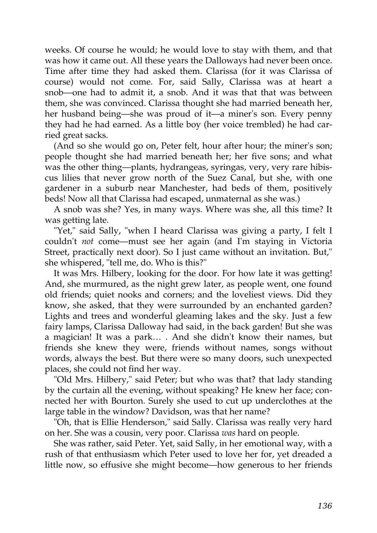weeks. Of course he would; he would love to stay with them, and that was how it came out. All these years the Dalloways had never been once. Time after time they had asked them. Clarissa (for it was Clarissa of course) would not come. For, said Sally, Clarissa was at heart a snob—one had to admit it, a snob. And it was that that was between them, she was convinced. Clarissa thought she had married beneath her, her husband being—she was proud of it—a miner's son. Every penny they had he had earned. As a little boy (her voice trembled) he had carried great sacks.

(And so she would go on, Peter felt, hour after hour; the miner's son; people thought she had married beneath her; her five sons; and what was the other thing—plants, hydrangeas, syringas, very, very rare hibiscus lilies that never grow north of the Suez Canal, but she, with one gardener in a suburb near Manchester, had beds of them, positively beds! Now all that Clarissa had escaped, unmaternal as she was.)

A snob was she? Yes, in many ways. Where was she, all this time? It was getting late.

"Yet," said Sally, "when I heard Clarissa was giving a party, I felt I couldn't *not* come—must see her again (and I'm staying in Victoria Street, practically next door). So I just came without an invitation. But," she whispered, "tell me, do. Who is this?"

It was Mrs. Hilbery, looking for the door. For how late it was getting! And, she murmured, as the night grew later, as people went, one found old friends; quiet nooks and corners; and the loveliest views. Did they know, she asked, that they were surrounded by an enchanted garden? Lights and trees and wonderful gleaming lakes and the sky. Just a few fairy lamps, Clarissa Dalloway had said, in the back garden! But she was a magician! It was a park… . And she didn't know their names, but friends she knew they were, friends without names, songs without words, always the best. But there were so many doors, such unexpected places, she could not find her way.

"Old Mrs. Hilbery," said Peter; but who was that? that lady standing by the curtain all the evening, without speaking? He knew her face; connected her with Bourton. Surely she used to cut up underclothes at the large table in the window? Davidson, was that her name?

"Oh, that is Ellie Henderson," said Sally. Clarissa was really very hard on her. She was a cousin, very poor. Clarissa *was* hard on people.

She was rather, said Peter. Yet, said Sally, in her emotional way, with a rush of that enthusiasm which Peter used to love her for, yet dreaded a little now, so effusive she might become—how generous to her friends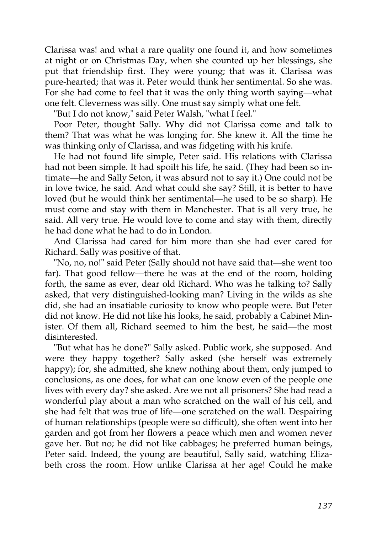Clarissa was! and what a rare quality one found it, and how sometimes at night or on Christmas Day, when she counted up her blessings, she put that friendship first. They were young; that was it. Clarissa was pure-hearted; that was it. Peter would think her sentimental. So she was. For she had come to feel that it was the only thing worth saying—what one felt. Cleverness was silly. One must say simply what one felt.

"But I do not know," said Peter Walsh, "what I feel."

Poor Peter, thought Sally. Why did not Clarissa come and talk to them? That was what he was longing for. She knew it. All the time he was thinking only of Clarissa, and was fidgeting with his knife.

He had not found life simple, Peter said. His relations with Clarissa had not been simple. It had spoilt his life, he said. (They had been so intimate—he and Sally Seton, it was absurd not to say it.) One could not be in love twice, he said. And what could she say? Still, it is better to have loved (but he would think her sentimental—he used to be so sharp). He must come and stay with them in Manchester. That is all very true, he said. All very true. He would love to come and stay with them, directly he had done what he had to do in London.

And Clarissa had cared for him more than she had ever cared for Richard. Sally was positive of that.

"No, no, no!" said Peter (Sally should not have said that—she went too far). That good fellow—there he was at the end of the room, holding forth, the same as ever, dear old Richard. Who was he talking to? Sally asked, that very distinguished-looking man? Living in the wilds as she did, she had an insatiable curiosity to know who people were. But Peter did not know. He did not like his looks, he said, probably a Cabinet Minister. Of them all, Richard seemed to him the best, he said—the most disinterested.

"But what has he done?" Sally asked. Public work, she supposed. And were they happy together? Sally asked (she herself was extremely happy); for, she admitted, she knew nothing about them, only jumped to conclusions, as one does, for what can one know even of the people one lives with every day? she asked. Are we not all prisoners? She had read a wonderful play about a man who scratched on the wall of his cell, and she had felt that was true of life—one scratched on the wall. Despairing of human relationships (people were so difficult), she often went into her garden and got from her flowers a peace which men and women never gave her. But no; he did not like cabbages; he preferred human beings, Peter said. Indeed, the young are beautiful, Sally said, watching Elizabeth cross the room. How unlike Clarissa at her age! Could he make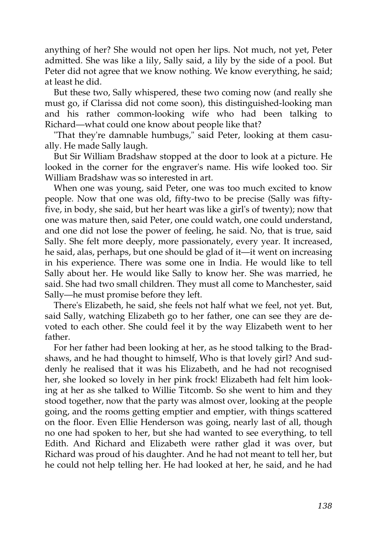anything of her? She would not open her lips. Not much, not yet, Peter admitted. She was like a lily, Sally said, a lily by the side of a pool. But Peter did not agree that we know nothing. We know everything, he said; at least he did.

But these two, Sally whispered, these two coming now (and really she must go, if Clarissa did not come soon), this distinguished-looking man and his rather common-looking wife who had been talking to Richard—what could one know about people like that?

"That they're damnable humbugs," said Peter, looking at them casually. He made Sally laugh.

But Sir William Bradshaw stopped at the door to look at a picture. He looked in the corner for the engraver's name. His wife looked too. Sir William Bradshaw was so interested in art.

When one was young, said Peter, one was too much excited to know people. Now that one was old, fifty-two to be precise (Sally was fiftyfive, in body, she said, but her heart was like a girl's of twenty); now that one was mature then, said Peter, one could watch, one could understand, and one did not lose the power of feeling, he said. No, that is true, said Sally. She felt more deeply, more passionately, every year. It increased, he said, alas, perhaps, but one should be glad of it—it went on increasing in his experience. There was some one in India. He would like to tell Sally about her. He would like Sally to know her. She was married, he said. She had two small children. They must all come to Manchester, said Sally—he must promise before they left.

There's Elizabeth, he said, she feels not half what we feel, not yet. But, said Sally, watching Elizabeth go to her father, one can see they are devoted to each other. She could feel it by the way Elizabeth went to her father.

For her father had been looking at her, as he stood talking to the Bradshaws, and he had thought to himself, Who is that lovely girl? And suddenly he realised that it was his Elizabeth, and he had not recognised her, she looked so lovely in her pink frock! Elizabeth had felt him looking at her as she talked to Willie Titcomb. So she went to him and they stood together, now that the party was almost over, looking at the people going, and the rooms getting emptier and emptier, with things scattered on the floor. Even Ellie Henderson was going, nearly last of all, though no one had spoken to her, but she had wanted to see everything, to tell Edith. And Richard and Elizabeth were rather glad it was over, but Richard was proud of his daughter. And he had not meant to tell her, but he could not help telling her. He had looked at her, he said, and he had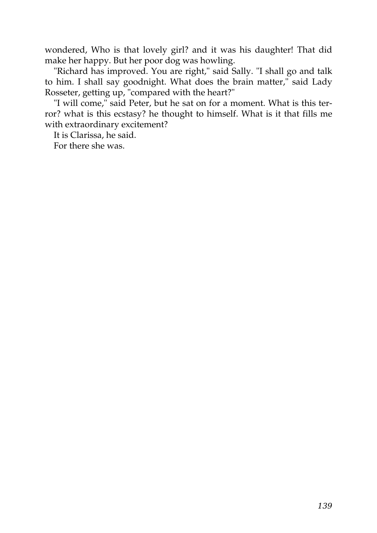wondered, Who is that lovely girl? and it was his daughter! That did make her happy. But her poor dog was howling.

"Richard has improved. You are right," said Sally. "I shall go and talk to him. I shall say goodnight. What does the brain matter," said Lady Rosseter, getting up, "compared with the heart?"

"I will come," said Peter, but he sat on for a moment. What is this terror? what is this ecstasy? he thought to himself. What is it that fills me with extraordinary excitement?

It is Clarissa, he said.

For there she was.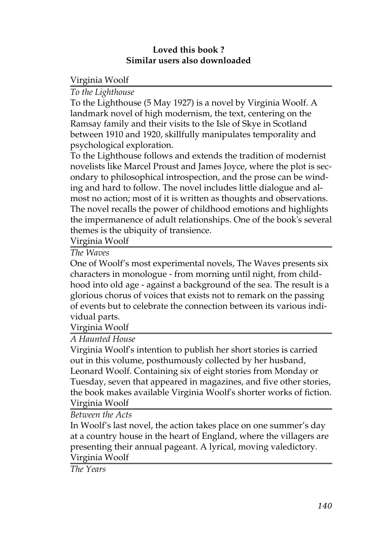### **Loved this book ? Similar users also downloaded**

Virginia Woolf

# *[To the Lighthouse](http://generation.feedbooks.com/book/1234.pdf)*

To the Lighthouse (5 May 1927) is a novel by Virginia Woolf. A landmark novel of high modernism, the text, centering on the Ramsay family and their visits to the Isle of Skye in Scotland between 1910 and 1920, skillfully manipulates temporality and psychological exploration.

To the Lighthouse follows and extends the tradition of modernist novelists like Marcel Proust and James Joyce, where the plot is secondary to philosophical introspection, and the prose can be winding and hard to follow. The novel includes little dialogue and almost no action; most of it is written as thoughts and observations. The novel recalls the power of childhood emotions and highlights the impermanence of adult relationships. One of the book's several themes is the ubiquity of transience.

Virginia Woolf

*[The Waves](http://generation.feedbooks.com/book/1230.pdf)*

One of Woolf's most experimental novels, The Waves presents six characters in monologue - from morning until night, from childhood into old age - against a background of the sea. The result is a glorious chorus of voices that exists not to remark on the passing of events but to celebrate the connection between its various individual parts.

Virginia Woolf

*[A Haunted House](http://generation.feedbooks.com/book/1388.pdf)*

Virginia Woolf's intention to publish her short stories is carried out in this volume, posthumously collected by her husband, Leonard Woolf. Containing six of eight stories from Monday or Tuesday, seven that appeared in magazines, and five other stories, the book makes available Virginia Woolf's shorter works of fiction. Virginia Woolf

*[Between the Acts](http://generation.feedbooks.com/book/1235.pdf)*

In Woolf's last novel, the action takes place on one summer's day at a country house in the heart of England, where the villagers are presenting their annual pageant. A lyrical, moving valedictory. Virginia Woolf

*[The Years](http://generation.feedbooks.com/book/1233.pdf)*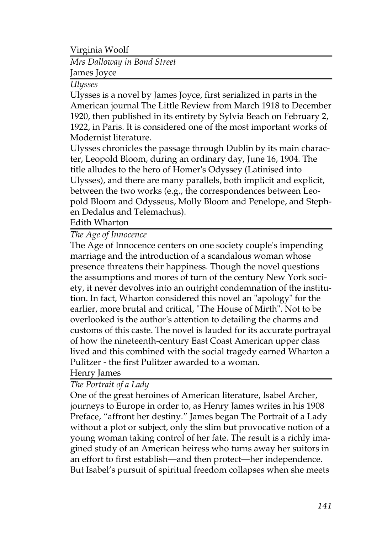Virginia Woolf

## *[Mrs Dalloway in Bond Street](http://generation.feedbooks.com/book/1393.pdf)* James Joyce

#### *[Ulysses](http://generation.feedbooks.com/book/1232.pdf)*

Ulysses is a novel by James Joyce, first serialized in parts in the American journal The Little Review from March 1918 to December 1920, then published in its entirety by Sylvia Beach on February 2, 1922, in Paris. It is considered one of the most important works of Modernist literature.

Ulysses chronicles the passage through Dublin by its main character, Leopold Bloom, during an ordinary day, June 16, 1904. The title alludes to the hero of Homer's Odyssey (Latinised into Ulysses), and there are many parallels, both implicit and explicit, between the two works (e.g., the correspondences between Leopold Bloom and Odysseus, Molly Bloom and Penelope, and Stephen Dedalus and Telemachus).

Edith Wharton

### *[The Age of Innocence](http://generation.feedbooks.com/book/93.pdf)*

The Age of Innocence centers on one society couple's impending marriage and the introduction of a scandalous woman whose presence threatens their happiness. Though the novel questions the assumptions and mores of turn of the century New York society, it never devolves into an outright condemnation of the institution. In fact, Wharton considered this novel an "apology" for the earlier, more brutal and critical, "The House of Mirth". Not to be overlooked is the author's attention to detailing the charms and customs of this caste. The novel is lauded for its accurate portrayal of how the nineteenth-century East Coast American upper class lived and this combined with the social tragedy earned Wharton a Pulitzer - the first Pulitzer awarded to a woman.

### Henry James

### *[The Portrait of a Lady](http://generation.feedbooks.com/book/413.pdf)*

One of the great heroines of American literature, Isabel Archer, journeys to Europe in order to, as Henry James writes in his 1908 Preface, "affront her destiny." James began The Portrait of a Lady without a plot or subject, only the slim but provocative notion of a young woman taking control of her fate. The result is a richly imagined study of an American heiress who turns away her suitors in an effort to first establish—and then protect—her independence. But Isabel's pursuit of spiritual freedom collapses when she meets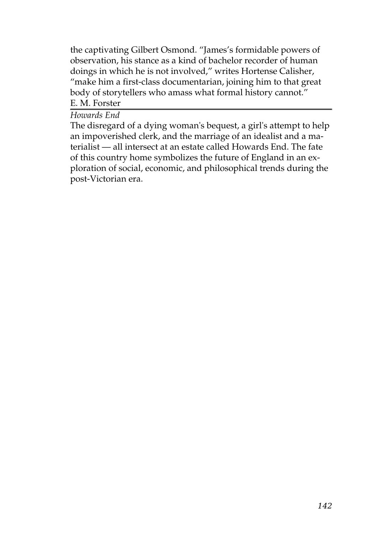the captivating Gilbert Osmond. "James's formidable powers of observation, his stance as a kind of bachelor recorder of human doings in which he is not involved," writes Hortense Calisher, "make him a first-class documentarian, joining him to that great body of storytellers who amass what formal history cannot." E. M. Forster

#### *[Howards End](http://generation.feedbooks.com/book/2071.pdf)*

The disregard of a dying woman's bequest, a girl's attempt to help an impoverished clerk, and the marriage of an idealist and a materialist — all intersect at an estate called Howards End. The fate of this country home symbolizes the future of England in an exploration of social, economic, and philosophical trends during the post-Victorian era.